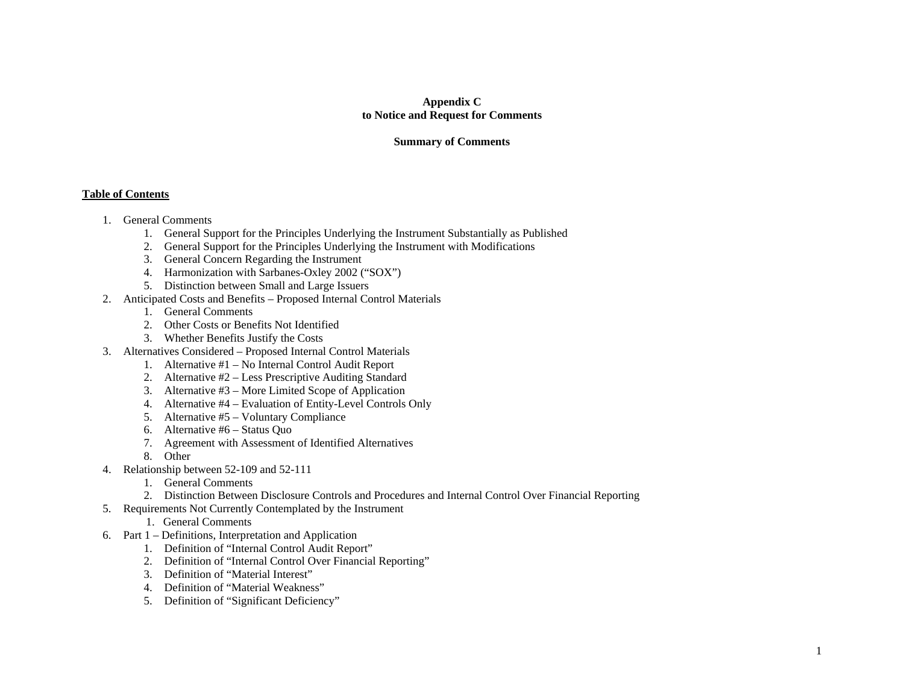# **Appendix C to Notice and Request for Comments**

### **Summary of Comments**

#### **Table of Contents**

- 1. General Comments
	- 1. General Support for the Principles Underlying the Instrument Substantially as Published
	- 2. General Support for the Principles Underlying the Instrument with Modifications
	- 3. General Concern Regarding the Instrument
	- 4. Harmonization with Sarbanes-Oxley 2002 ("SOX")
	- 5. Distinction between Small and Large Issuers
- 2. Anticipated Costs and Benefits Proposed Internal Control Materials
	- 1. General Comments
	- 2. Other Costs or Benefits Not Identified
	- 3. Whether Benefits Justify the Costs
- 3. Alternatives Considered Proposed Internal Control Materials
	- 1. Alternative #1 No Internal Control Audit Report
	- 2. Alternative #2 Less Prescriptive Auditing Standard
	- 3. Alternative #3 More Limited Scope of Application
	- 4. Alternative #4 Evaluation of Entity-Level Controls Only
	- 5. Alternative #5 Voluntary Compliance
	- 6. Alternative #6 Status Quo
	- 7. Agreement with Assessment of Identified Alternatives
	- 8. Other
- 4. Relationship between 52-109 and 52-111
	- 1. General Comments
	- 2. Distinction Between Disclosure Controls and Procedures and Internal Control Over Financial Reporting
- 5. Requirements Not Currently Contemplated by the Instrument

## 1. General Comments

- 6. Part 1 Definitions, Interpretation and Application
	- 1. Definition of "Internal Control Audit Report"
	- 2. Definition of "Internal Control Over Financial Reporting"
	- 3. Definition of "Material Interest"
	- 4. Definition of "Material Weakness"
	- 5. Definition of "Significant Deficiency"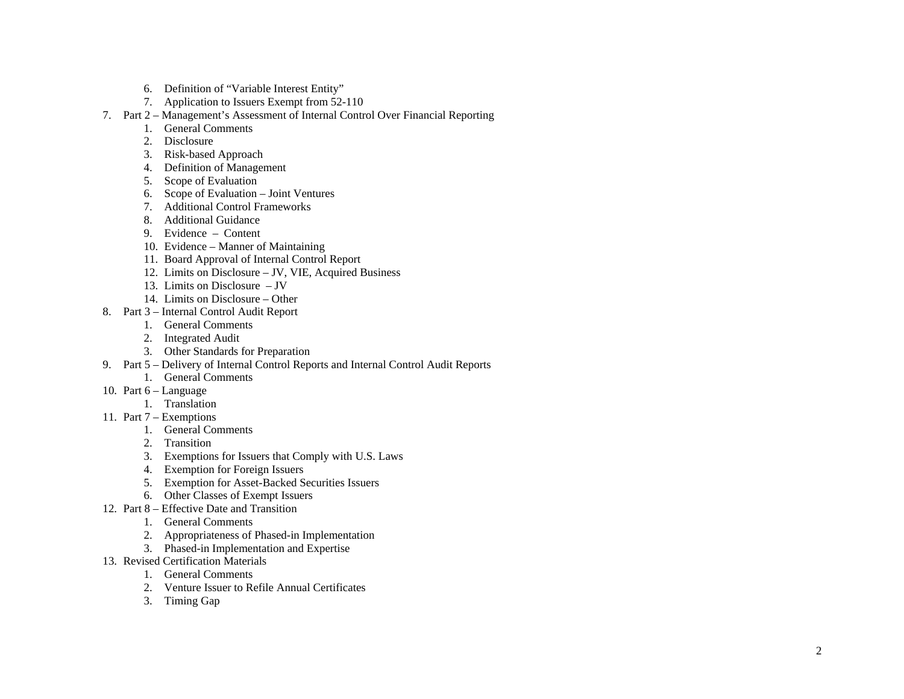- 6. Definition of "Variable Interest Entity"
- 7. Application to Issuers Exempt from 52-110
- 7. Part 2 Management's Assessment of Internal Control Over Financial Reporting
	- 1. General Comments
	- 2. Disclosure
	- 3. Risk-based Approach
	- 4. Definition of Management
	- 5. Scope of Evaluation
	- 6. Scope of Evaluation Joint Ventures
	- 7. Additional Control Frameworks
	- 8. Additional Guidance
	- 9. Evidence Content
	- 10. Evidence Manner of Maintaining
	- 11. Board Approval of Internal Control Report
	- 12. Limits on Disclosure JV, VIE, Acquired Business
	- 13. Limits on Disclosure JV
	- 14. Limits on Disclosure Other
- 8. Part 3 Internal Control Audit Report
	- 1. General Comments
	- 2. Integrated Audit
	- 3. Other Standards for Preparation
- 9. Part 5 Delivery of Internal Control Reports and Internal Control Audit Reports
	- 1. General Comments
- 10. Part 6 Language
	- 1. Translation
- 11. Part 7 Exemptions
	- 1. General Comments
	- 2. Transition
	- 3. Exemptions for Issuers that Comply with U.S. Laws
	- 4. Exemption for Foreign Issuers
	- 5. Exemption for Asset-Backed Securities Issuers
	- 6. Other Classes of Exempt Issuers
- 12. Part 8 Effective Date and Transition
	- 1. General Comments
	- 2. Appropriateness of Phased-in Implementation
	- 3. Phased-in Implementation and Expertise
- 13. Revised Certification Materials
	- 1. General Comments
	- 2. Venture Issuer to Refile Annual Certificates
	- 3. Timing Gap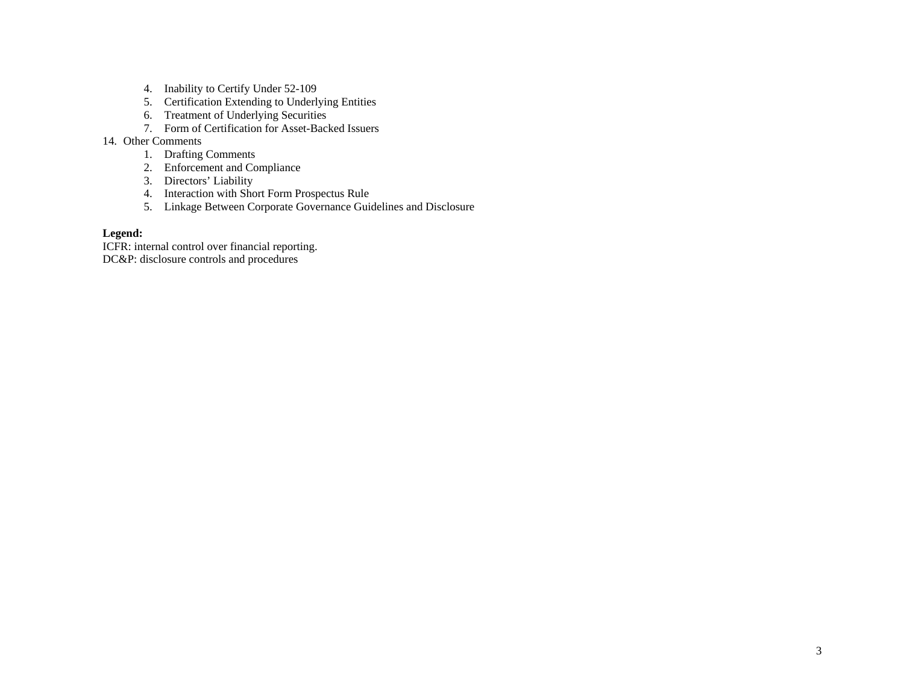- 4. Inability to Certify Under 52-109
- 5. Certification Extending to Underlying Entities
- 6. Treatment of Underlying Securities
- 7. Form of Certification for Asset-Backed Issuers

#### 14. Other Comments

- 1. Drafting Comments
- 2. Enforcement and Compliance
- 3. Directors' Liability
- 4. Interaction with Short Form Prospectus Rule
- 5. Linkage Between Corporate Governance Guidelines and Disclosure

# **Legend:**

ICFR: internal control over financial reporting. DC&P: disclosure controls and procedures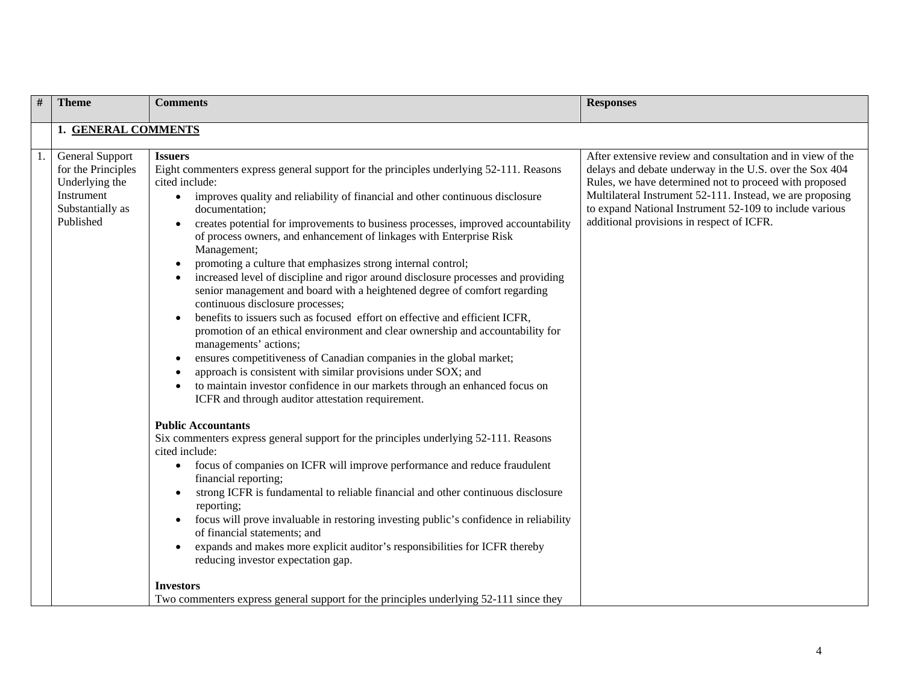| # | <b>Theme</b>                                                                                           | <b>Comments</b>                                                                                                                                                                                                                                                                                                                                                                                                                                                                                                                                                                                                                                                                                                                                                                                                                                                                                                                                                                                                                                                                                                                                                                                                                                                                                                                                                                                                                                                                                                                                                                                                                                                                                                         | <b>Responses</b>                                                                                                                                                                                                                                                                                                                                     |
|---|--------------------------------------------------------------------------------------------------------|-------------------------------------------------------------------------------------------------------------------------------------------------------------------------------------------------------------------------------------------------------------------------------------------------------------------------------------------------------------------------------------------------------------------------------------------------------------------------------------------------------------------------------------------------------------------------------------------------------------------------------------------------------------------------------------------------------------------------------------------------------------------------------------------------------------------------------------------------------------------------------------------------------------------------------------------------------------------------------------------------------------------------------------------------------------------------------------------------------------------------------------------------------------------------------------------------------------------------------------------------------------------------------------------------------------------------------------------------------------------------------------------------------------------------------------------------------------------------------------------------------------------------------------------------------------------------------------------------------------------------------------------------------------------------------------------------------------------------|------------------------------------------------------------------------------------------------------------------------------------------------------------------------------------------------------------------------------------------------------------------------------------------------------------------------------------------------------|
|   | 1. GENERAL COMMENTS                                                                                    |                                                                                                                                                                                                                                                                                                                                                                                                                                                                                                                                                                                                                                                                                                                                                                                                                                                                                                                                                                                                                                                                                                                                                                                                                                                                                                                                                                                                                                                                                                                                                                                                                                                                                                                         |                                                                                                                                                                                                                                                                                                                                                      |
|   | General Support<br>for the Principles<br>Underlying the<br>Instrument<br>Substantially as<br>Published | <b>Issuers</b><br>Eight commenters express general support for the principles underlying 52-111. Reasons<br>cited include:<br>improves quality and reliability of financial and other continuous disclosure<br>$\bullet$<br>documentation:<br>creates potential for improvements to business processes, improved accountability<br>of process owners, and enhancement of linkages with Enterprise Risk<br>Management;<br>promoting a culture that emphasizes strong internal control;<br>increased level of discipline and rigor around disclosure processes and providing<br>senior management and board with a heightened degree of comfort regarding<br>continuous disclosure processes;<br>benefits to issuers such as focused effort on effective and efficient ICFR,<br>promotion of an ethical environment and clear ownership and accountability for<br>managements' actions;<br>ensures competitiveness of Canadian companies in the global market;<br>approach is consistent with similar provisions under SOX; and<br>to maintain investor confidence in our markets through an enhanced focus on<br>ICFR and through auditor attestation requirement.<br><b>Public Accountants</b><br>Six commenters express general support for the principles underlying 52-111. Reasons<br>cited include:<br>focus of companies on ICFR will improve performance and reduce fraudulent<br>financial reporting;<br>strong ICFR is fundamental to reliable financial and other continuous disclosure<br>reporting;<br>focus will prove invaluable in restoring investing public's confidence in reliability<br>of financial statements; and<br>expands and makes more explicit auditor's responsibilities for ICFR thereby | After extensive review and consultation and in view of the<br>delays and debate underway in the U.S. over the Sox 404<br>Rules, we have determined not to proceed with proposed<br>Multilateral Instrument 52-111. Instead, we are proposing<br>to expand National Instrument 52-109 to include various<br>additional provisions in respect of ICFR. |
|   |                                                                                                        | reducing investor expectation gap.<br><b>Investors</b>                                                                                                                                                                                                                                                                                                                                                                                                                                                                                                                                                                                                                                                                                                                                                                                                                                                                                                                                                                                                                                                                                                                                                                                                                                                                                                                                                                                                                                                                                                                                                                                                                                                                  |                                                                                                                                                                                                                                                                                                                                                      |
|   |                                                                                                        | Two commenters express general support for the principles underlying 52-111 since they                                                                                                                                                                                                                                                                                                                                                                                                                                                                                                                                                                                                                                                                                                                                                                                                                                                                                                                                                                                                                                                                                                                                                                                                                                                                                                                                                                                                                                                                                                                                                                                                                                  |                                                                                                                                                                                                                                                                                                                                                      |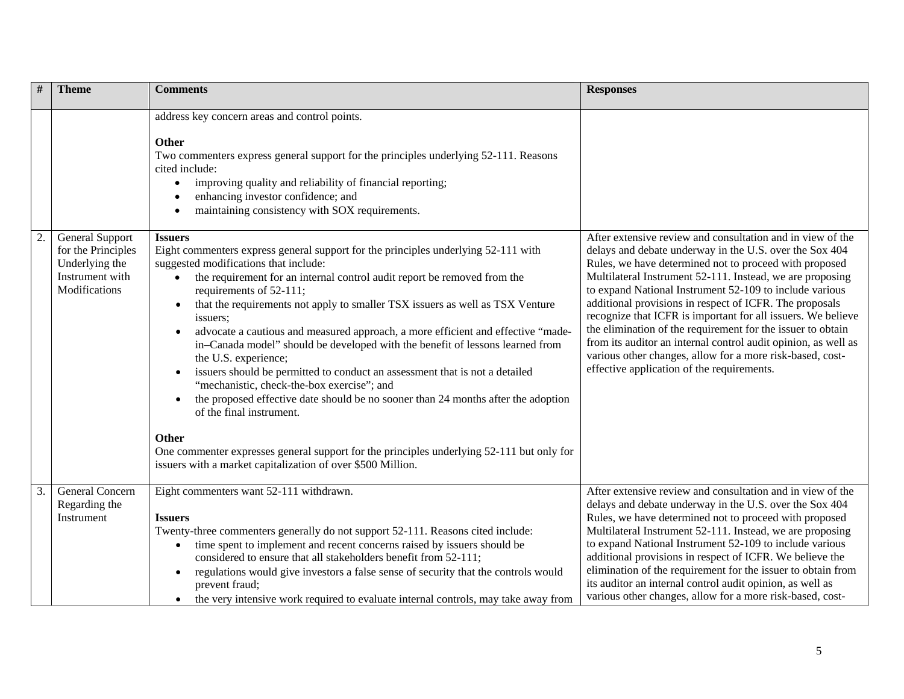| $\#$ | <b>Theme</b>                                                                                | <b>Comments</b>                                                                                                                                                                                                                                                                                                                                                                                                                                                                                                                                                                                                                                                                                                                                                                                                                                                                                                                                                                                                 | <b>Responses</b>                                                                                                                                                                                                                                                                                                                                                                                                                                                                                                                                                                                                                                                               |
|------|---------------------------------------------------------------------------------------------|-----------------------------------------------------------------------------------------------------------------------------------------------------------------------------------------------------------------------------------------------------------------------------------------------------------------------------------------------------------------------------------------------------------------------------------------------------------------------------------------------------------------------------------------------------------------------------------------------------------------------------------------------------------------------------------------------------------------------------------------------------------------------------------------------------------------------------------------------------------------------------------------------------------------------------------------------------------------------------------------------------------------|--------------------------------------------------------------------------------------------------------------------------------------------------------------------------------------------------------------------------------------------------------------------------------------------------------------------------------------------------------------------------------------------------------------------------------------------------------------------------------------------------------------------------------------------------------------------------------------------------------------------------------------------------------------------------------|
|      |                                                                                             | address key concern areas and control points.<br><b>Other</b><br>Two commenters express general support for the principles underlying 52-111. Reasons<br>cited include:<br>improving quality and reliability of financial reporting;<br>$\bullet$<br>enhancing investor confidence; and<br>maintaining consistency with SOX requirements.<br>$\bullet$                                                                                                                                                                                                                                                                                                                                                                                                                                                                                                                                                                                                                                                          |                                                                                                                                                                                                                                                                                                                                                                                                                                                                                                                                                                                                                                                                                |
|      | General Support<br>for the Principles<br>Underlying the<br>Instrument with<br>Modifications | <b>Issuers</b><br>Eight commenters express general support for the principles underlying 52-111 with<br>suggested modifications that include:<br>the requirement for an internal control audit report be removed from the<br>requirements of 52-111;<br>that the requirements not apply to smaller TSX issuers as well as TSX Venture<br>$\bullet$<br>issuers;<br>advocate a cautious and measured approach, a more efficient and effective "made-<br>in-Canada model" should be developed with the benefit of lessons learned from<br>the U.S. experience;<br>issuers should be permitted to conduct an assessment that is not a detailed<br>$\bullet$<br>"mechanistic, check-the-box exercise"; and<br>the proposed effective date should be no sooner than 24 months after the adoption<br>$\bullet$<br>of the final instrument.<br><b>Other</b><br>One commenter expresses general support for the principles underlying 52-111 but only for<br>issuers with a market capitalization of over \$500 Million. | After extensive review and consultation and in view of the<br>delays and debate underway in the U.S. over the Sox 404<br>Rules, we have determined not to proceed with proposed<br>Multilateral Instrument 52-111. Instead, we are proposing<br>to expand National Instrument 52-109 to include various<br>additional provisions in respect of ICFR. The proposals<br>recognize that ICFR is important for all issuers. We believe<br>the elimination of the requirement for the issuer to obtain<br>from its auditor an internal control audit opinion, as well as<br>various other changes, allow for a more risk-based, cost-<br>effective application of the requirements. |
| 3.   | General Concern<br>Regarding the<br>Instrument                                              | Eight commenters want 52-111 withdrawn.<br>Issuers<br>Twenty-three commenters generally do not support 52-111. Reasons cited include:<br>time spent to implement and recent concerns raised by issuers should be<br>$\bullet$<br>considered to ensure that all stakeholders benefit from 52-111;<br>regulations would give investors a false sense of security that the controls would<br>$\bullet$<br>prevent fraud;<br>the very intensive work required to evaluate internal controls, may take away from                                                                                                                                                                                                                                                                                                                                                                                                                                                                                                     | After extensive review and consultation and in view of the<br>delays and debate underway in the U.S. over the Sox 404<br>Rules, we have determined not to proceed with proposed<br>Multilateral Instrument 52-111. Instead, we are proposing<br>to expand National Instrument 52-109 to include various<br>additional provisions in respect of ICFR. We believe the<br>elimination of the requirement for the issuer to obtain from<br>its auditor an internal control audit opinion, as well as<br>various other changes, allow for a more risk-based, cost-                                                                                                                  |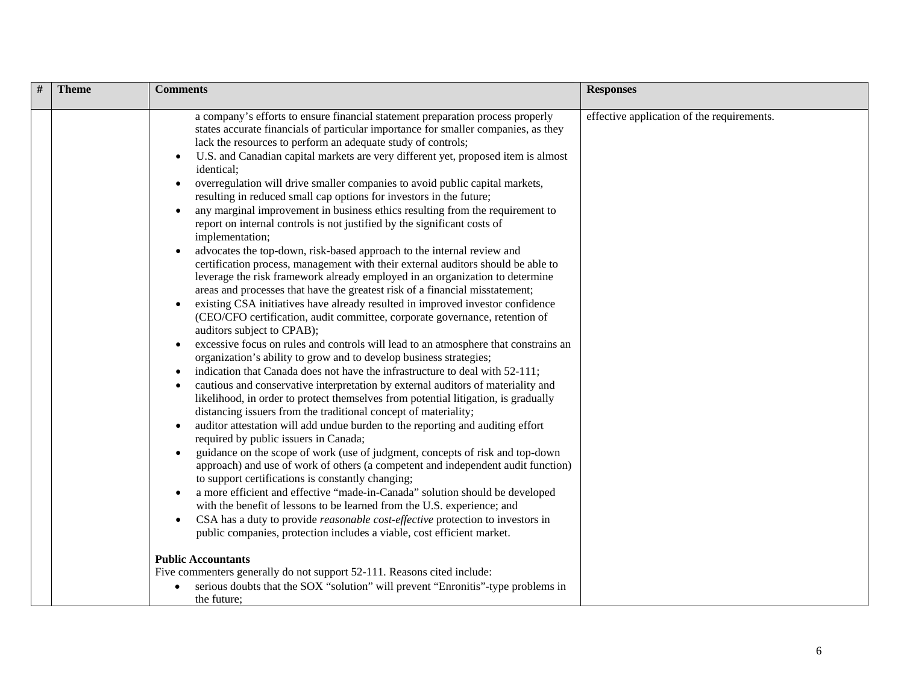| a company's efforts to ensure financial statement preparation process properly<br>effective application of the requirements.<br>states accurate financials of particular importance for smaller companies, as they<br>lack the resources to perform an adequate study of controls;<br>U.S. and Canadian capital markets are very different yet, proposed item is almost<br>identical;<br>overregulation will drive smaller companies to avoid public capital markets,<br>$\bullet$<br>resulting in reduced small cap options for investors in the future;<br>any marginal improvement in business ethics resulting from the requirement to<br>report on internal controls is not justified by the significant costs of                                                                                                                                                                                                                                                                                                                                                                                                                                                                                                                                                                                                                                                                                                                                                                                                                                                                                                                                                                                                                                                                                                                                                                      | # | <b>Theme</b> | <b>Comments</b> | <b>Responses</b> |
|---------------------------------------------------------------------------------------------------------------------------------------------------------------------------------------------------------------------------------------------------------------------------------------------------------------------------------------------------------------------------------------------------------------------------------------------------------------------------------------------------------------------------------------------------------------------------------------------------------------------------------------------------------------------------------------------------------------------------------------------------------------------------------------------------------------------------------------------------------------------------------------------------------------------------------------------------------------------------------------------------------------------------------------------------------------------------------------------------------------------------------------------------------------------------------------------------------------------------------------------------------------------------------------------------------------------------------------------------------------------------------------------------------------------------------------------------------------------------------------------------------------------------------------------------------------------------------------------------------------------------------------------------------------------------------------------------------------------------------------------------------------------------------------------------------------------------------------------------------------------------------------------|---|--------------|-----------------|------------------|
| advocates the top-down, risk-based approach to the internal review and<br>certification process, management with their external auditors should be able to<br>leverage the risk framework already employed in an organization to determine<br>areas and processes that have the greatest risk of a financial misstatement;<br>existing CSA initiatives have already resulted in improved investor confidence<br>(CEO/CFO certification, audit committee, corporate governance, retention of<br>auditors subject to CPAB);<br>excessive focus on rules and controls will lead to an atmosphere that constrains an<br>organization's ability to grow and to develop business strategies;<br>indication that Canada does not have the infrastructure to deal with 52-111;<br>cautious and conservative interpretation by external auditors of materiality and<br>likelihood, in order to protect themselves from potential litigation, is gradually<br>distancing issuers from the traditional concept of materiality;<br>auditor attestation will add undue burden to the reporting and auditing effort<br>required by public issuers in Canada;<br>guidance on the scope of work (use of judgment, concepts of risk and top-down<br>approach) and use of work of others (a competent and independent audit function)<br>to support certifications is constantly changing;<br>a more efficient and effective "made-in-Canada" solution should be developed<br>with the benefit of lessons to be learned from the U.S. experience; and<br>CSA has a duty to provide reasonable cost-effective protection to investors in<br>public companies, protection includes a viable, cost efficient market.<br><b>Public Accountants</b><br>Five commenters generally do not support 52-111. Reasons cited include:<br>serious doubts that the SOX "solution" will prevent "Enronitis"-type problems in |   |              | implementation; |                  |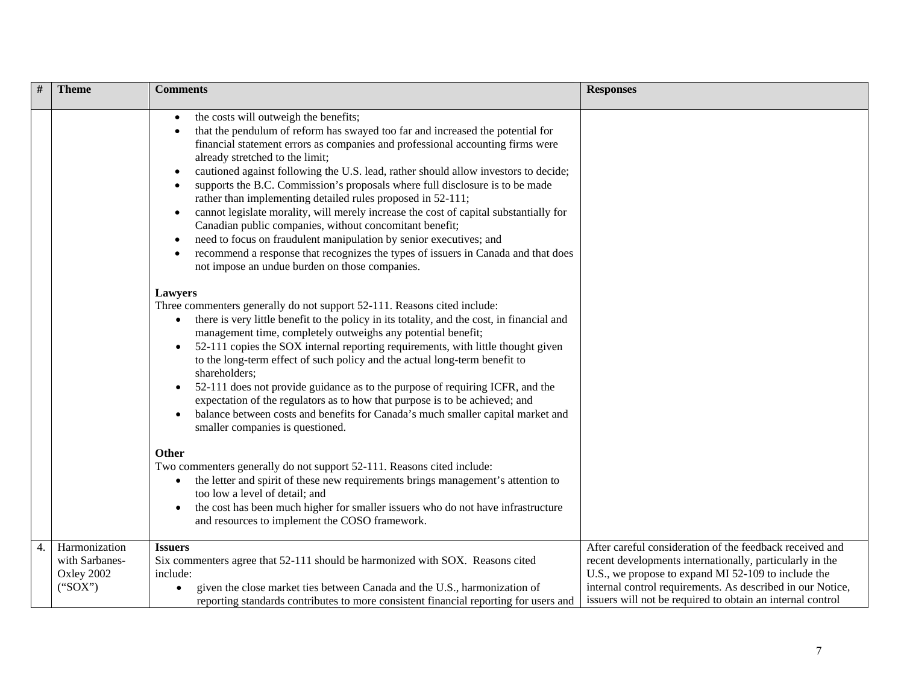|    | <b>Theme</b>                                             | <b>Comments</b>                                                                                                                                                                                                                                                                                                                                                                                                                                                                                                                                                                                                                                                                                                                                                                                                                                                               | <b>Responses</b>                                                                                                                                                                                                                                                                                        |
|----|----------------------------------------------------------|-------------------------------------------------------------------------------------------------------------------------------------------------------------------------------------------------------------------------------------------------------------------------------------------------------------------------------------------------------------------------------------------------------------------------------------------------------------------------------------------------------------------------------------------------------------------------------------------------------------------------------------------------------------------------------------------------------------------------------------------------------------------------------------------------------------------------------------------------------------------------------|---------------------------------------------------------------------------------------------------------------------------------------------------------------------------------------------------------------------------------------------------------------------------------------------------------|
|    |                                                          | the costs will outweigh the benefits;<br>that the pendulum of reform has swayed too far and increased the potential for<br>financial statement errors as companies and professional accounting firms were<br>already stretched to the limit;<br>cautioned against following the U.S. lead, rather should allow investors to decide;<br>supports the B.C. Commission's proposals where full disclosure is to be made<br>rather than implementing detailed rules proposed in 52-111;<br>cannot legislate morality, will merely increase the cost of capital substantially for<br>$\bullet$<br>Canadian public companies, without concomitant benefit;<br>need to focus on fraudulent manipulation by senior executives; and<br>$\bullet$<br>recommend a response that recognizes the types of issuers in Canada and that does<br>not impose an undue burden on those companies. |                                                                                                                                                                                                                                                                                                         |
|    |                                                          | <b>Lawyers</b><br>Three commenters generally do not support 52-111. Reasons cited include:<br>there is very little benefit to the policy in its totality, and the cost, in financial and<br>management time, completely outweighs any potential benefit;<br>52-111 copies the SOX internal reporting requirements, with little thought given<br>to the long-term effect of such policy and the actual long-term benefit to<br>shareholders;<br>52-111 does not provide guidance as to the purpose of requiring ICFR, and the<br>expectation of the regulators as to how that purpose is to be achieved; and<br>balance between costs and benefits for Canada's much smaller capital market and<br>smaller companies is questioned.                                                                                                                                            |                                                                                                                                                                                                                                                                                                         |
|    |                                                          | <b>Other</b><br>Two commenters generally do not support 52-111. Reasons cited include:<br>the letter and spirit of these new requirements brings management's attention to<br>$\bullet$<br>too low a level of detail; and<br>the cost has been much higher for smaller issuers who do not have infrastructure<br>$\bullet$<br>and resources to implement the COSO framework.                                                                                                                                                                                                                                                                                                                                                                                                                                                                                                  |                                                                                                                                                                                                                                                                                                         |
| 4. | Harmonization<br>with Sarbanes-<br>Oxley 2002<br>("SOX") | <b>Issuers</b><br>Six commenters agree that 52-111 should be harmonized with SOX. Reasons cited<br>include:<br>given the close market ties between Canada and the U.S., harmonization of<br>$\bullet$<br>reporting standards contributes to more consistent financial reporting for users and                                                                                                                                                                                                                                                                                                                                                                                                                                                                                                                                                                                 | After careful consideration of the feedback received and<br>recent developments internationally, particularly in the<br>U.S., we propose to expand MI 52-109 to include the<br>internal control requirements. As described in our Notice,<br>issuers will not be required to obtain an internal control |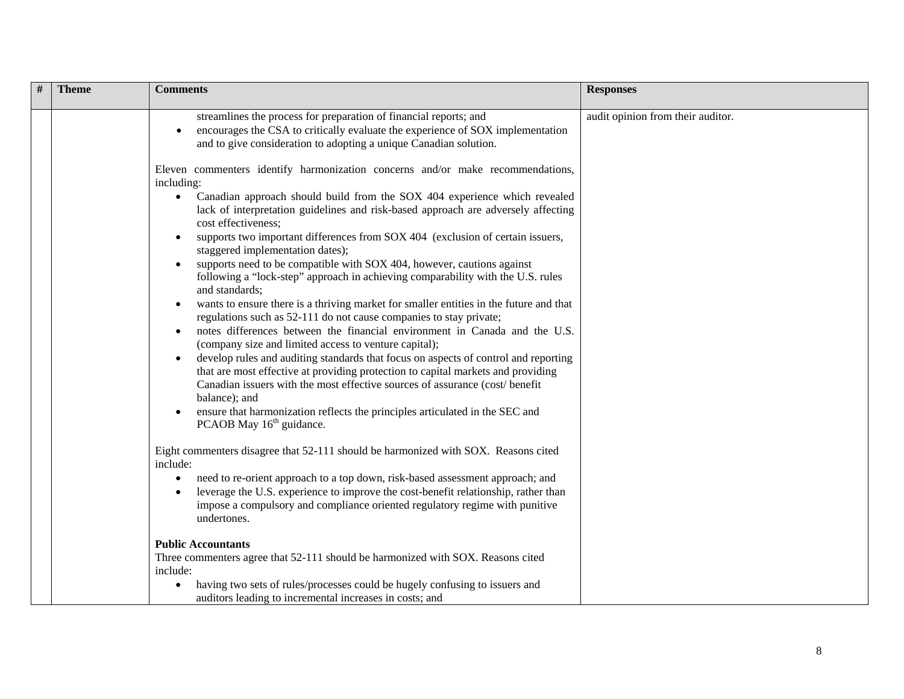| <b>Theme</b> | <b>Comments</b>                                                                                                                                                                                                                                                                                                                                                                                                                                                                                                                                                                                                                                                                                                                                                                                                                                                                                                                                                                                                                                                                                                                                                                                                                                                                                                                                                                                                                                                                                                                                                                                                                                                           | <b>Responses</b>                  |
|--------------|---------------------------------------------------------------------------------------------------------------------------------------------------------------------------------------------------------------------------------------------------------------------------------------------------------------------------------------------------------------------------------------------------------------------------------------------------------------------------------------------------------------------------------------------------------------------------------------------------------------------------------------------------------------------------------------------------------------------------------------------------------------------------------------------------------------------------------------------------------------------------------------------------------------------------------------------------------------------------------------------------------------------------------------------------------------------------------------------------------------------------------------------------------------------------------------------------------------------------------------------------------------------------------------------------------------------------------------------------------------------------------------------------------------------------------------------------------------------------------------------------------------------------------------------------------------------------------------------------------------------------------------------------------------------------|-----------------------------------|
|              | streamlines the process for preparation of financial reports; and<br>encourages the CSA to critically evaluate the experience of SOX implementation<br>and to give consideration to adopting a unique Canadian solution.                                                                                                                                                                                                                                                                                                                                                                                                                                                                                                                                                                                                                                                                                                                                                                                                                                                                                                                                                                                                                                                                                                                                                                                                                                                                                                                                                                                                                                                  | audit opinion from their auditor. |
|              | Eleven commenters identify harmonization concerns and/or make recommendations,<br>including:<br>Canadian approach should build from the SOX 404 experience which revealed<br>$\bullet$<br>lack of interpretation guidelines and risk-based approach are adversely affecting<br>cost effectiveness;<br>supports two important differences from SOX 404 (exclusion of certain issuers,<br>staggered implementation dates);<br>supports need to be compatible with SOX 404, however, cautions against<br>following a "lock-step" approach in achieving comparability with the U.S. rules<br>and standards;<br>wants to ensure there is a thriving market for smaller entities in the future and that<br>regulations such as 52-111 do not cause companies to stay private;<br>notes differences between the financial environment in Canada and the U.S.<br>(company size and limited access to venture capital);<br>develop rules and auditing standards that focus on aspects of control and reporting<br>that are most effective at providing protection to capital markets and providing<br>Canadian issuers with the most effective sources of assurance (cost/benefit<br>balance); and<br>ensure that harmonization reflects the principles articulated in the SEC and<br>PCAOB May 16 <sup>th</sup> guidance.<br>Eight commenters disagree that 52-111 should be harmonized with SOX. Reasons cited<br>include:<br>need to re-orient approach to a top down, risk-based assessment approach; and<br>leverage the U.S. experience to improve the cost-benefit relationship, rather than<br>impose a compulsory and compliance oriented regulatory regime with punitive |                                   |
|              | undertones.<br><b>Public Accountants</b><br>Three commenters agree that 52-111 should be harmonized with SOX. Reasons cited<br>include:<br>having two sets of rules/processes could be hugely confusing to issuers and<br>auditors leading to incremental increases in costs; and                                                                                                                                                                                                                                                                                                                                                                                                                                                                                                                                                                                                                                                                                                                                                                                                                                                                                                                                                                                                                                                                                                                                                                                                                                                                                                                                                                                         |                                   |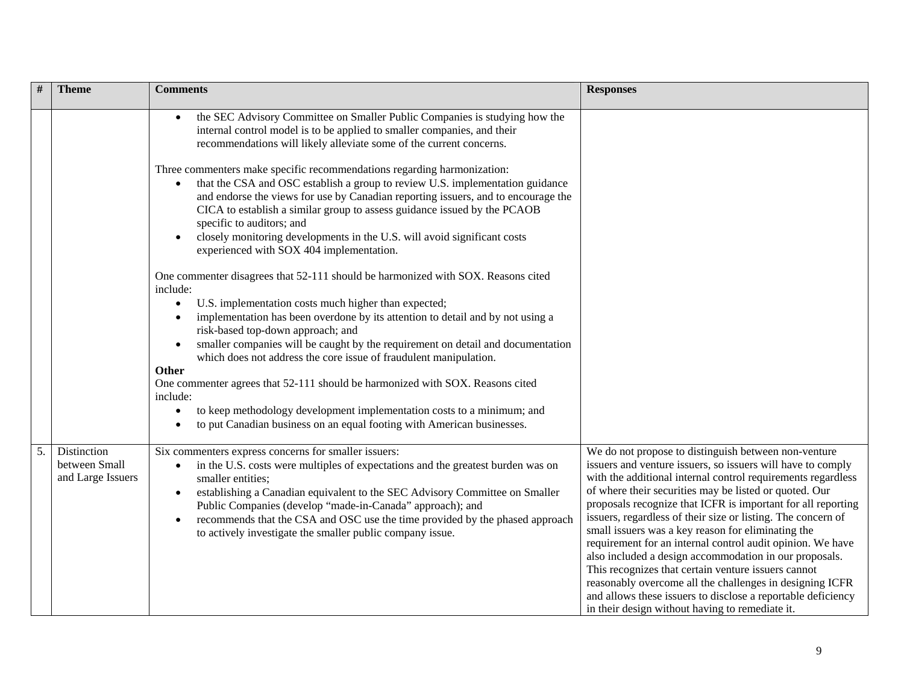|    | <b>Theme</b>                                      | <b>Comments</b>                                                                                                                                                                                                                                                                                                                                                                                                                                                                              | <b>Responses</b>                                                                                                                                                                                                                                                                                                                                                                                                                                                                                                                                                                                                                                                                                                                                                                                  |
|----|---------------------------------------------------|----------------------------------------------------------------------------------------------------------------------------------------------------------------------------------------------------------------------------------------------------------------------------------------------------------------------------------------------------------------------------------------------------------------------------------------------------------------------------------------------|---------------------------------------------------------------------------------------------------------------------------------------------------------------------------------------------------------------------------------------------------------------------------------------------------------------------------------------------------------------------------------------------------------------------------------------------------------------------------------------------------------------------------------------------------------------------------------------------------------------------------------------------------------------------------------------------------------------------------------------------------------------------------------------------------|
|    |                                                   | the SEC Advisory Committee on Smaller Public Companies is studying how the<br>internal control model is to be applied to smaller companies, and their<br>recommendations will likely alleviate some of the current concerns.                                                                                                                                                                                                                                                                 |                                                                                                                                                                                                                                                                                                                                                                                                                                                                                                                                                                                                                                                                                                                                                                                                   |
|    |                                                   | Three commenters make specific recommendations regarding harmonization:<br>that the CSA and OSC establish a group to review U.S. implementation guidance<br>$\bullet$<br>and endorse the views for use by Canadian reporting issuers, and to encourage the<br>CICA to establish a similar group to assess guidance issued by the PCAOB<br>specific to auditors; and<br>closely monitoring developments in the U.S. will avoid significant costs<br>experienced with SOX 404 implementation.  |                                                                                                                                                                                                                                                                                                                                                                                                                                                                                                                                                                                                                                                                                                                                                                                                   |
|    |                                                   | One commenter disagrees that 52-111 should be harmonized with SOX. Reasons cited<br>include:<br>U.S. implementation costs much higher than expected;<br>$\bullet$                                                                                                                                                                                                                                                                                                                            |                                                                                                                                                                                                                                                                                                                                                                                                                                                                                                                                                                                                                                                                                                                                                                                                   |
|    |                                                   | implementation has been overdone by its attention to detail and by not using a<br>risk-based top-down approach; and<br>smaller companies will be caught by the requirement on detail and documentation<br>which does not address the core issue of fraudulent manipulation.                                                                                                                                                                                                                  |                                                                                                                                                                                                                                                                                                                                                                                                                                                                                                                                                                                                                                                                                                                                                                                                   |
|    |                                                   | Other<br>One commenter agrees that 52-111 should be harmonized with SOX. Reasons cited<br>include:<br>to keep methodology development implementation costs to a minimum; and                                                                                                                                                                                                                                                                                                                 |                                                                                                                                                                                                                                                                                                                                                                                                                                                                                                                                                                                                                                                                                                                                                                                                   |
|    |                                                   | to put Canadian business on an equal footing with American businesses.                                                                                                                                                                                                                                                                                                                                                                                                                       |                                                                                                                                                                                                                                                                                                                                                                                                                                                                                                                                                                                                                                                                                                                                                                                                   |
| 5. | Distinction<br>between Small<br>and Large Issuers | Six commenters express concerns for smaller issuers:<br>in the U.S. costs were multiples of expectations and the greatest burden was on<br>$\bullet$<br>smaller entities;<br>establishing a Canadian equivalent to the SEC Advisory Committee on Smaller<br>$\bullet$<br>Public Companies (develop "made-in-Canada" approach); and<br>recommends that the CSA and OSC use the time provided by the phased approach<br>$\bullet$<br>to actively investigate the smaller public company issue. | We do not propose to distinguish between non-venture<br>issuers and venture issuers, so issuers will have to comply<br>with the additional internal control requirements regardless<br>of where their securities may be listed or quoted. Our<br>proposals recognize that ICFR is important for all reporting<br>issuers, regardless of their size or listing. The concern of<br>small issuers was a key reason for eliminating the<br>requirement for an internal control audit opinion. We have<br>also included a design accommodation in our proposals.<br>This recognizes that certain venture issuers cannot<br>reasonably overcome all the challenges in designing ICFR<br>and allows these issuers to disclose a reportable deficiency<br>in their design without having to remediate it. |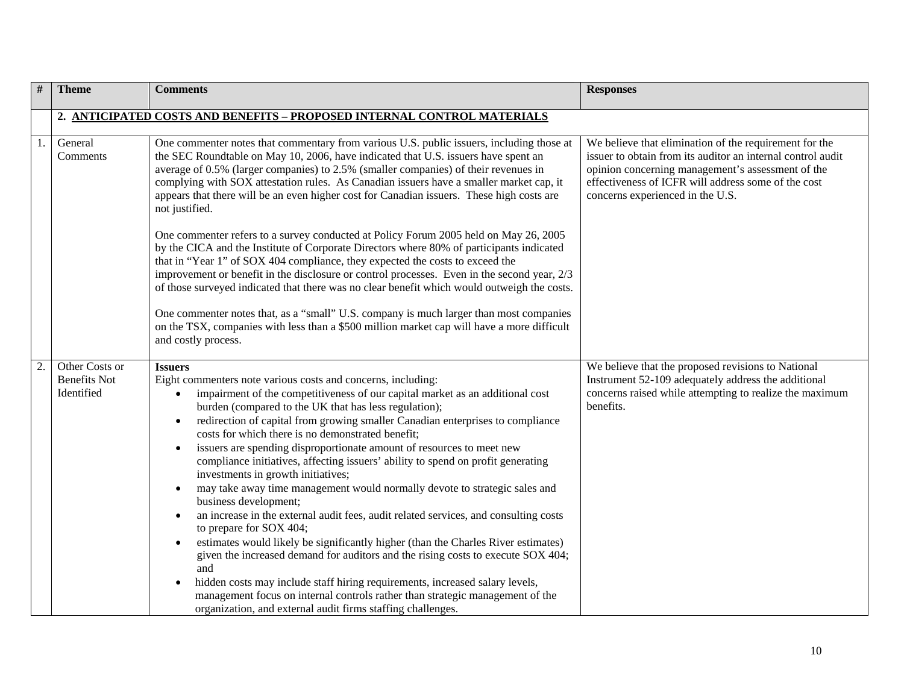| #                | <b>Theme</b>                                        | <b>Comments</b>                                                                                                                                                                                                                                                                                                                                                                                                                                                                                                                                                                                                                                                                                                                                                                                                                                                                                                                                                                                                                                                                                                                                                                                                                                     | <b>Responses</b>                                                                                                                                                                                                                                                      |
|------------------|-----------------------------------------------------|-----------------------------------------------------------------------------------------------------------------------------------------------------------------------------------------------------------------------------------------------------------------------------------------------------------------------------------------------------------------------------------------------------------------------------------------------------------------------------------------------------------------------------------------------------------------------------------------------------------------------------------------------------------------------------------------------------------------------------------------------------------------------------------------------------------------------------------------------------------------------------------------------------------------------------------------------------------------------------------------------------------------------------------------------------------------------------------------------------------------------------------------------------------------------------------------------------------------------------------------------------|-----------------------------------------------------------------------------------------------------------------------------------------------------------------------------------------------------------------------------------------------------------------------|
|                  |                                                     | 2. ANTICIPATED COSTS AND BENEFITS - PROPOSED INTERNAL CONTROL MATERIALS                                                                                                                                                                                                                                                                                                                                                                                                                                                                                                                                                                                                                                                                                                                                                                                                                                                                                                                                                                                                                                                                                                                                                                             |                                                                                                                                                                                                                                                                       |
| 1.               | General<br>Comments                                 | One commenter notes that commentary from various U.S. public issuers, including those at<br>the SEC Roundtable on May 10, 2006, have indicated that U.S. issuers have spent an<br>average of 0.5% (larger companies) to 2.5% (smaller companies) of their revenues in<br>complying with SOX attestation rules. As Canadian issuers have a smaller market cap, it<br>appears that there will be an even higher cost for Canadian issuers. These high costs are<br>not justified.                                                                                                                                                                                                                                                                                                                                                                                                                                                                                                                                                                                                                                                                                                                                                                     | We believe that elimination of the requirement for the<br>issuer to obtain from its auditor an internal control audit<br>opinion concerning management's assessment of the<br>effectiveness of ICFR will address some of the cost<br>concerns experienced in the U.S. |
|                  |                                                     | One commenter refers to a survey conducted at Policy Forum 2005 held on May 26, 2005<br>by the CICA and the Institute of Corporate Directors where 80% of participants indicated<br>that in "Year 1" of SOX 404 compliance, they expected the costs to exceed the<br>improvement or benefit in the disclosure or control processes. Even in the second year, 2/3<br>of those surveyed indicated that there was no clear benefit which would outweigh the costs.                                                                                                                                                                                                                                                                                                                                                                                                                                                                                                                                                                                                                                                                                                                                                                                     |                                                                                                                                                                                                                                                                       |
|                  |                                                     | One commenter notes that, as a "small" U.S. company is much larger than most companies<br>on the TSX, companies with less than a \$500 million market cap will have a more difficult<br>and costly process.                                                                                                                                                                                                                                                                                                                                                                                                                                                                                                                                                                                                                                                                                                                                                                                                                                                                                                                                                                                                                                         |                                                                                                                                                                                                                                                                       |
| $\overline{2}$ . | Other Costs or<br><b>Benefits Not</b><br>Identified | <b>Issuers</b><br>Eight commenters note various costs and concerns, including:<br>impairment of the competitiveness of our capital market as an additional cost<br>burden (compared to the UK that has less regulation);<br>redirection of capital from growing smaller Canadian enterprises to compliance<br>costs for which there is no demonstrated benefit;<br>issuers are spending disproportionate amount of resources to meet new<br>compliance initiatives, affecting issuers' ability to spend on profit generating<br>investments in growth initiatives;<br>may take away time management would normally devote to strategic sales and<br>business development;<br>an increase in the external audit fees, audit related services, and consulting costs<br>$\bullet$<br>to prepare for SOX 404;<br>estimates would likely be significantly higher (than the Charles River estimates)<br>$\bullet$<br>given the increased demand for auditors and the rising costs to execute SOX 404;<br>and<br>hidden costs may include staff hiring requirements, increased salary levels,<br>$\bullet$<br>management focus on internal controls rather than strategic management of the<br>organization, and external audit firms staffing challenges. | We believe that the proposed revisions to National<br>Instrument 52-109 adequately address the additional<br>concerns raised while attempting to realize the maximum<br>benefits.                                                                                     |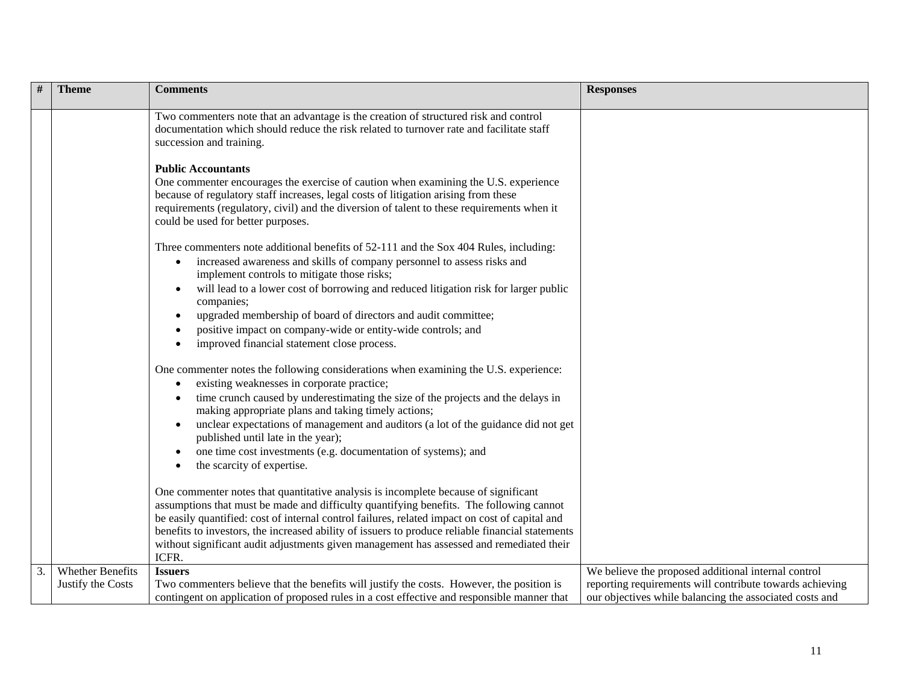|    | <b>Theme</b>      | <b>Comments</b>                                                                                                                                                                                                                                                                                                                             | <b>Responses</b>                                         |
|----|-------------------|---------------------------------------------------------------------------------------------------------------------------------------------------------------------------------------------------------------------------------------------------------------------------------------------------------------------------------------------|----------------------------------------------------------|
|    |                   | Two commenters note that an advantage is the creation of structured risk and control<br>documentation which should reduce the risk related to turnover rate and facilitate staff<br>succession and training.                                                                                                                                |                                                          |
|    |                   | <b>Public Accountants</b><br>One commenter encourages the exercise of caution when examining the U.S. experience<br>because of regulatory staff increases, legal costs of litigation arising from these<br>requirements (regulatory, civil) and the diversion of talent to these requirements when it<br>could be used for better purposes. |                                                          |
|    |                   | Three commenters note additional benefits of 52-111 and the Sox 404 Rules, including:<br>increased awareness and skills of company personnel to assess risks and<br>implement controls to mitigate those risks;                                                                                                                             |                                                          |
|    |                   | will lead to a lower cost of borrowing and reduced litigation risk for larger public<br>companies;<br>upgraded membership of board of directors and audit committee;                                                                                                                                                                        |                                                          |
|    |                   | positive impact on company-wide or entity-wide controls; and<br>improved financial statement close process.                                                                                                                                                                                                                                 |                                                          |
|    |                   | One commenter notes the following considerations when examining the U.S. experience:<br>existing weaknesses in corporate practice;                                                                                                                                                                                                          |                                                          |
|    |                   | time crunch caused by underestimating the size of the projects and the delays in<br>making appropriate plans and taking timely actions;                                                                                                                                                                                                     |                                                          |
|    |                   | unclear expectations of management and auditors (a lot of the guidance did not get<br>published until late in the year);                                                                                                                                                                                                                    |                                                          |
|    |                   | one time cost investments (e.g. documentation of systems); and<br>the scarcity of expertise.                                                                                                                                                                                                                                                |                                                          |
|    |                   | One commenter notes that quantitative analysis is incomplete because of significant<br>assumptions that must be made and difficulty quantifying benefits. The following cannot                                                                                                                                                              |                                                          |
|    |                   | be easily quantified: cost of internal control failures, related impact on cost of capital and<br>benefits to investors, the increased ability of issuers to produce reliable financial statements                                                                                                                                          |                                                          |
|    |                   | without significant audit adjustments given management has assessed and remediated their<br>ICFR.                                                                                                                                                                                                                                           |                                                          |
| 3. | Whether Benefits  | <b>Issuers</b>                                                                                                                                                                                                                                                                                                                              | We believe the proposed additional internal control      |
|    | Justify the Costs | Two commenters believe that the benefits will justify the costs. However, the position is                                                                                                                                                                                                                                                   | reporting requirements will contribute towards achieving |
|    |                   | contingent on application of proposed rules in a cost effective and responsible manner that                                                                                                                                                                                                                                                 | our objectives while balancing the associated costs and  |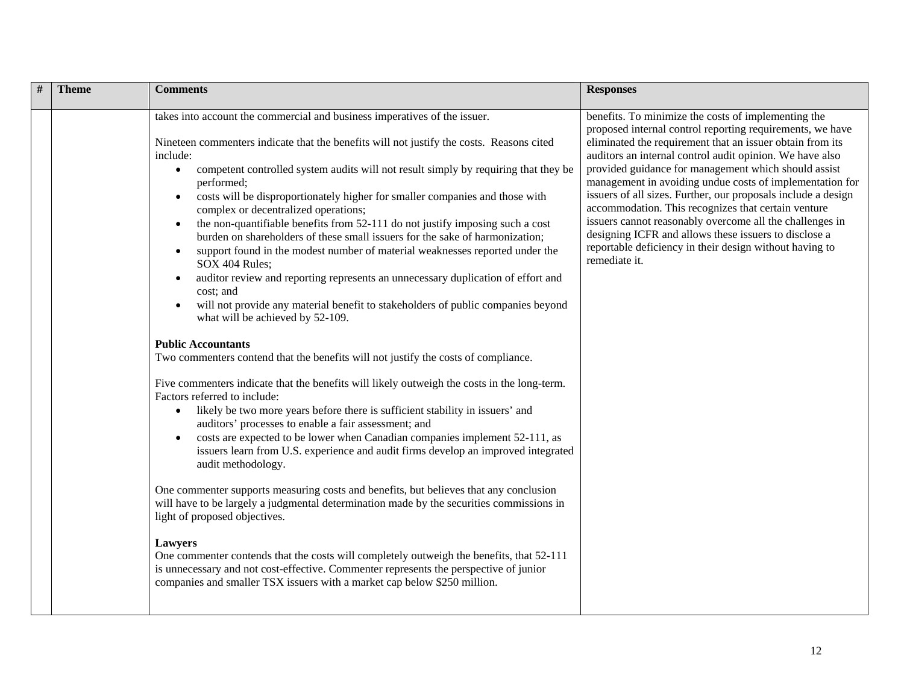| $\#$ | <b>Theme</b> | <b>Comments</b>                                                                                                                                                                                                                                                                                                                                                                                                                                                                                                                                                                                                                                                                                                                                                                                                                                                                                                                                                                                                                                                                                                                                                                                                                                                                                                                                                                                                                                                                                                                                                                                                                                                                                                                                                                                                                                                                                                                                                                                                                                                                                                  | <b>Responses</b>                                                                                                                                                                                                                                                                                                                                                                                                                                                                                                                                                                                                                                                                       |
|------|--------------|------------------------------------------------------------------------------------------------------------------------------------------------------------------------------------------------------------------------------------------------------------------------------------------------------------------------------------------------------------------------------------------------------------------------------------------------------------------------------------------------------------------------------------------------------------------------------------------------------------------------------------------------------------------------------------------------------------------------------------------------------------------------------------------------------------------------------------------------------------------------------------------------------------------------------------------------------------------------------------------------------------------------------------------------------------------------------------------------------------------------------------------------------------------------------------------------------------------------------------------------------------------------------------------------------------------------------------------------------------------------------------------------------------------------------------------------------------------------------------------------------------------------------------------------------------------------------------------------------------------------------------------------------------------------------------------------------------------------------------------------------------------------------------------------------------------------------------------------------------------------------------------------------------------------------------------------------------------------------------------------------------------------------------------------------------------------------------------------------------------|----------------------------------------------------------------------------------------------------------------------------------------------------------------------------------------------------------------------------------------------------------------------------------------------------------------------------------------------------------------------------------------------------------------------------------------------------------------------------------------------------------------------------------------------------------------------------------------------------------------------------------------------------------------------------------------|
|      |              | takes into account the commercial and business imperatives of the issuer.<br>Nineteen commenters indicate that the benefits will not justify the costs. Reasons cited<br>include:<br>competent controlled system audits will not result simply by requiring that they be<br>$\bullet$<br>performed;<br>costs will be disproportionately higher for smaller companies and those with<br>$\bullet$<br>complex or decentralized operations;<br>the non-quantifiable benefits from 52-111 do not justify imposing such a cost<br>$\bullet$<br>burden on shareholders of these small issuers for the sake of harmonization;<br>support found in the modest number of material weaknesses reported under the<br>$\bullet$<br>SOX 404 Rules;<br>auditor review and reporting represents an unnecessary duplication of effort and<br>$\bullet$<br>cost; and<br>will not provide any material benefit to stakeholders of public companies beyond<br>$\bullet$<br>what will be achieved by 52-109.<br><b>Public Accountants</b><br>Two commenters contend that the benefits will not justify the costs of compliance.<br>Five commenters indicate that the benefits will likely outweigh the costs in the long-term.<br>Factors referred to include:<br>likely be two more years before there is sufficient stability in issuers' and<br>$\bullet$<br>auditors' processes to enable a fair assessment; and<br>costs are expected to be lower when Canadian companies implement 52-111, as<br>$\bullet$<br>issuers learn from U.S. experience and audit firms develop an improved integrated<br>audit methodology.<br>One commenter supports measuring costs and benefits, but believes that any conclusion<br>will have to be largely a judgmental determination made by the securities commissions in<br>light of proposed objectives.<br><b>Lawyers</b><br>One commenter contends that the costs will completely outweigh the benefits, that 52-111<br>is unnecessary and not cost-effective. Commenter represents the perspective of junior<br>companies and smaller TSX issuers with a market cap below \$250 million. | benefits. To minimize the costs of implementing the<br>proposed internal control reporting requirements, we have<br>eliminated the requirement that an issuer obtain from its<br>auditors an internal control audit opinion. We have also<br>provided guidance for management which should assist<br>management in avoiding undue costs of implementation for<br>issuers of all sizes. Further, our proposals include a design<br>accommodation. This recognizes that certain venture<br>issuers cannot reasonably overcome all the challenges in<br>designing ICFR and allows these issuers to disclose a<br>reportable deficiency in their design without having to<br>remediate it. |
|      |              |                                                                                                                                                                                                                                                                                                                                                                                                                                                                                                                                                                                                                                                                                                                                                                                                                                                                                                                                                                                                                                                                                                                                                                                                                                                                                                                                                                                                                                                                                                                                                                                                                                                                                                                                                                                                                                                                                                                                                                                                                                                                                                                  |                                                                                                                                                                                                                                                                                                                                                                                                                                                                                                                                                                                                                                                                                        |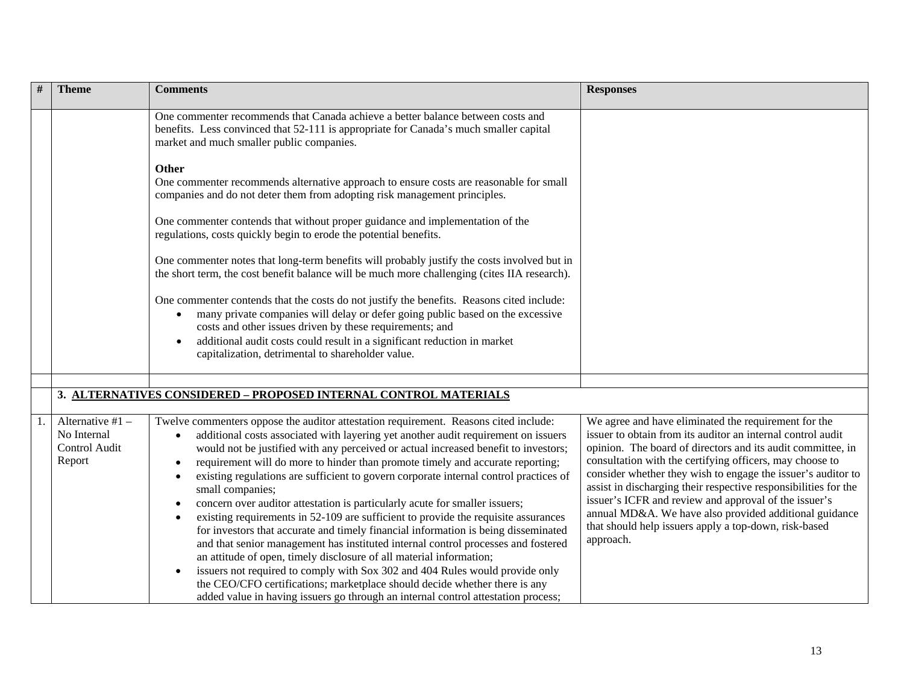|    | <b>Theme</b>                                               | <b>Comments</b>                                                                                                                                                                                                                                                                                                                                                                                                                                                                                                                                                                                                                                                                                                                                                                                                                                                                                                                                                                                                                                                                                                                                                                                             | <b>Responses</b>                                                                                                                                                                                                                                                                                                                                                                                                                                                                                                                                                           |
|----|------------------------------------------------------------|-------------------------------------------------------------------------------------------------------------------------------------------------------------------------------------------------------------------------------------------------------------------------------------------------------------------------------------------------------------------------------------------------------------------------------------------------------------------------------------------------------------------------------------------------------------------------------------------------------------------------------------------------------------------------------------------------------------------------------------------------------------------------------------------------------------------------------------------------------------------------------------------------------------------------------------------------------------------------------------------------------------------------------------------------------------------------------------------------------------------------------------------------------------------------------------------------------------|----------------------------------------------------------------------------------------------------------------------------------------------------------------------------------------------------------------------------------------------------------------------------------------------------------------------------------------------------------------------------------------------------------------------------------------------------------------------------------------------------------------------------------------------------------------------------|
|    |                                                            | One commenter recommends that Canada achieve a better balance between costs and<br>benefits. Less convinced that 52-111 is appropriate for Canada's much smaller capital<br>market and much smaller public companies.                                                                                                                                                                                                                                                                                                                                                                                                                                                                                                                                                                                                                                                                                                                                                                                                                                                                                                                                                                                       |                                                                                                                                                                                                                                                                                                                                                                                                                                                                                                                                                                            |
|    |                                                            | <b>Other</b><br>One commenter recommends alternative approach to ensure costs are reasonable for small<br>companies and do not deter them from adopting risk management principles.                                                                                                                                                                                                                                                                                                                                                                                                                                                                                                                                                                                                                                                                                                                                                                                                                                                                                                                                                                                                                         |                                                                                                                                                                                                                                                                                                                                                                                                                                                                                                                                                                            |
|    |                                                            | One commenter contends that without proper guidance and implementation of the<br>regulations, costs quickly begin to erode the potential benefits.                                                                                                                                                                                                                                                                                                                                                                                                                                                                                                                                                                                                                                                                                                                                                                                                                                                                                                                                                                                                                                                          |                                                                                                                                                                                                                                                                                                                                                                                                                                                                                                                                                                            |
|    |                                                            | One commenter notes that long-term benefits will probably justify the costs involved but in<br>the short term, the cost benefit balance will be much more challenging (cites IIA research).                                                                                                                                                                                                                                                                                                                                                                                                                                                                                                                                                                                                                                                                                                                                                                                                                                                                                                                                                                                                                 |                                                                                                                                                                                                                                                                                                                                                                                                                                                                                                                                                                            |
|    |                                                            | One commenter contends that the costs do not justify the benefits. Reasons cited include:<br>many private companies will delay or defer going public based on the excessive<br>$\bullet$<br>costs and other issues driven by these requirements; and<br>additional audit costs could result in a significant reduction in market<br>capitalization, detrimental to shareholder value.                                                                                                                                                                                                                                                                                                                                                                                                                                                                                                                                                                                                                                                                                                                                                                                                                       |                                                                                                                                                                                                                                                                                                                                                                                                                                                                                                                                                                            |
|    |                                                            |                                                                                                                                                                                                                                                                                                                                                                                                                                                                                                                                                                                                                                                                                                                                                                                                                                                                                                                                                                                                                                                                                                                                                                                                             |                                                                                                                                                                                                                                                                                                                                                                                                                                                                                                                                                                            |
|    |                                                            | 3. ALTERNATIVES CONSIDERED - PROPOSED INTERNAL CONTROL MATERIALS                                                                                                                                                                                                                                                                                                                                                                                                                                                                                                                                                                                                                                                                                                                                                                                                                                                                                                                                                                                                                                                                                                                                            |                                                                                                                                                                                                                                                                                                                                                                                                                                                                                                                                                                            |
| 1. | Alternative #1 -<br>No Internal<br>Control Audit<br>Report | Twelve commenters oppose the auditor attestation requirement. Reasons cited include:<br>additional costs associated with layering yet another audit requirement on issuers<br>$\bullet$<br>would not be justified with any perceived or actual increased benefit to investors;<br>requirement will do more to hinder than promote timely and accurate reporting;<br>$\bullet$<br>existing regulations are sufficient to govern corporate internal control practices of<br>$\bullet$<br>small companies;<br>concern over auditor attestation is particularly acute for smaller issuers;<br>$\bullet$<br>existing requirements in 52-109 are sufficient to provide the requisite assurances<br>$\bullet$<br>for investors that accurate and timely financial information is being disseminated<br>and that senior management has instituted internal control processes and fostered<br>an attitude of open, timely disclosure of all material information;<br>issuers not required to comply with Sox 302 and 404 Rules would provide only<br>the CEO/CFO certifications; marketplace should decide whether there is any<br>added value in having issuers go through an internal control attestation process; | We agree and have eliminated the requirement for the<br>issuer to obtain from its auditor an internal control audit<br>opinion. The board of directors and its audit committee, in<br>consultation with the certifying officers, may choose to<br>consider whether they wish to engage the issuer's auditor to<br>assist in discharging their respective responsibilities for the<br>issuer's ICFR and review and approval of the issuer's<br>annual MD&A. We have also provided additional guidance<br>that should help issuers apply a top-down, risk-based<br>approach. |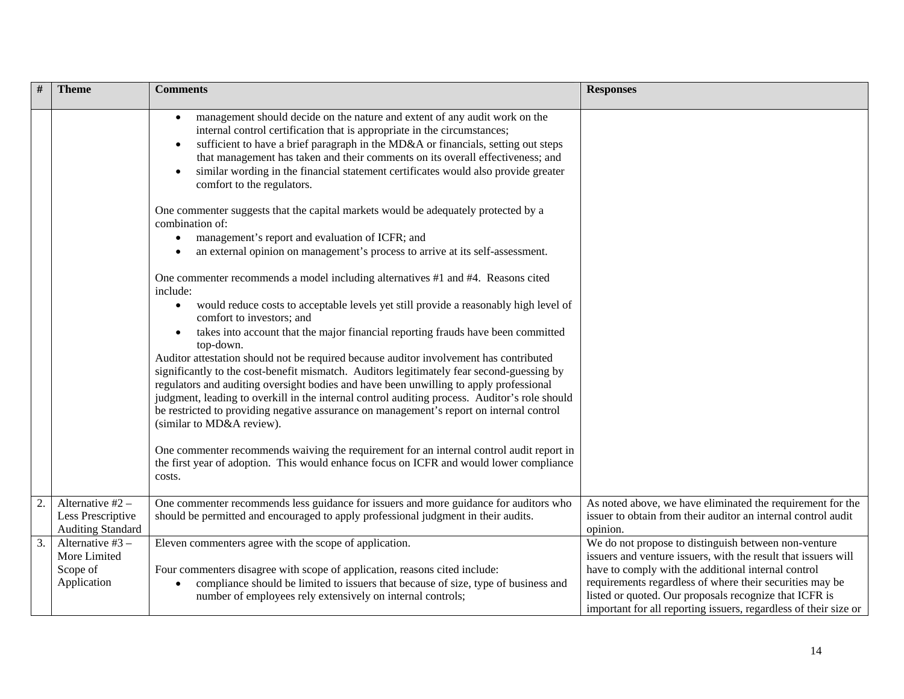|    | <b>Theme</b>                                                        | <b>Comments</b>                                                                                                                                                                                                                                                                                                                                                                                                                                                                                                      | <b>Responses</b>                                                                                                                                                                                                                                                                                                                                                        |
|----|---------------------------------------------------------------------|----------------------------------------------------------------------------------------------------------------------------------------------------------------------------------------------------------------------------------------------------------------------------------------------------------------------------------------------------------------------------------------------------------------------------------------------------------------------------------------------------------------------|-------------------------------------------------------------------------------------------------------------------------------------------------------------------------------------------------------------------------------------------------------------------------------------------------------------------------------------------------------------------------|
|    |                                                                     | management should decide on the nature and extent of any audit work on the<br>$\bullet$<br>internal control certification that is appropriate in the circumstances;<br>sufficient to have a brief paragraph in the MD&A or financials, setting out steps<br>$\bullet$<br>that management has taken and their comments on its overall effectiveness; and<br>similar wording in the financial statement certificates would also provide greater<br>comfort to the regulators.                                          |                                                                                                                                                                                                                                                                                                                                                                         |
|    |                                                                     | One commenter suggests that the capital markets would be adequately protected by a<br>combination of:<br>management's report and evaluation of ICFR; and<br>an external opinion on management's process to arrive at its self-assessment.                                                                                                                                                                                                                                                                            |                                                                                                                                                                                                                                                                                                                                                                         |
|    |                                                                     | One commenter recommends a model including alternatives #1 and #4. Reasons cited<br>include:<br>would reduce costs to acceptable levels yet still provide a reasonably high level of<br>$\bullet$<br>comfort to investors; and<br>takes into account that the major financial reporting frauds have been committed                                                                                                                                                                                                   |                                                                                                                                                                                                                                                                                                                                                                         |
|    |                                                                     | top-down.<br>Auditor attestation should not be required because auditor involvement has contributed<br>significantly to the cost-benefit mismatch. Auditors legitimately fear second-guessing by<br>regulators and auditing oversight bodies and have been unwilling to apply professional<br>judgment, leading to overkill in the internal control auditing process. Auditor's role should<br>be restricted to providing negative assurance on management's report on internal control<br>(similar to MD&A review). |                                                                                                                                                                                                                                                                                                                                                                         |
|    |                                                                     | One commenter recommends waiving the requirement for an internal control audit report in<br>the first year of adoption. This would enhance focus on ICFR and would lower compliance<br>costs.                                                                                                                                                                                                                                                                                                                        |                                                                                                                                                                                                                                                                                                                                                                         |
| 2. | Alternative $#2 -$<br>Less Prescriptive<br><b>Auditing Standard</b> | One commenter recommends less guidance for issuers and more guidance for auditors who<br>should be permitted and encouraged to apply professional judgment in their audits.                                                                                                                                                                                                                                                                                                                                          | As noted above, we have eliminated the requirement for the<br>issuer to obtain from their auditor an internal control audit<br>opinion.                                                                                                                                                                                                                                 |
| 3. | Alternative $#3 -$<br>More Limited<br>Scope of<br>Application       | Eleven commenters agree with the scope of application.<br>Four commenters disagree with scope of application, reasons cited include:<br>compliance should be limited to issuers that because of size, type of business and<br>$\bullet$<br>number of employees rely extensively on internal controls;                                                                                                                                                                                                                | We do not propose to distinguish between non-venture<br>issuers and venture issuers, with the result that issuers will<br>have to comply with the additional internal control<br>requirements regardless of where their securities may be<br>listed or quoted. Our proposals recognize that ICFR is<br>important for all reporting issuers, regardless of their size or |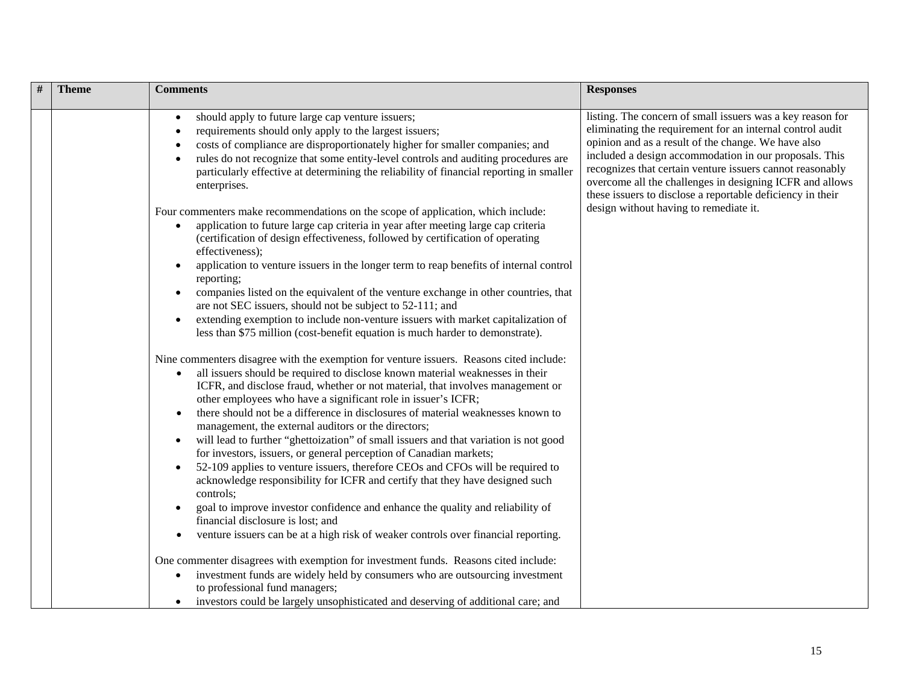| # | <b>Theme</b> | <b>Comments</b>                                                                                                                                                                                                                                                                                                                                                                                                                                                                                                                                                                                                                                                                                                                                                                                                                                                                                                                                                                                                                                                                                                                                                                                                                                                                                                                                                                                                                                                                                                                                                                                                                                                                                                                                                                                                                                                                           | <b>Responses</b>                                                                                                                                                                                                                                                                                                                                                                                                                |
|---|--------------|-------------------------------------------------------------------------------------------------------------------------------------------------------------------------------------------------------------------------------------------------------------------------------------------------------------------------------------------------------------------------------------------------------------------------------------------------------------------------------------------------------------------------------------------------------------------------------------------------------------------------------------------------------------------------------------------------------------------------------------------------------------------------------------------------------------------------------------------------------------------------------------------------------------------------------------------------------------------------------------------------------------------------------------------------------------------------------------------------------------------------------------------------------------------------------------------------------------------------------------------------------------------------------------------------------------------------------------------------------------------------------------------------------------------------------------------------------------------------------------------------------------------------------------------------------------------------------------------------------------------------------------------------------------------------------------------------------------------------------------------------------------------------------------------------------------------------------------------------------------------------------------------|---------------------------------------------------------------------------------------------------------------------------------------------------------------------------------------------------------------------------------------------------------------------------------------------------------------------------------------------------------------------------------------------------------------------------------|
|   |              | should apply to future large cap venture issuers;<br>$\bullet$<br>requirements should only apply to the largest issuers;<br>costs of compliance are disproportionately higher for smaller companies; and<br>rules do not recognize that some entity-level controls and auditing procedures are<br>particularly effective at determining the reliability of financial reporting in smaller<br>enterprises.                                                                                                                                                                                                                                                                                                                                                                                                                                                                                                                                                                                                                                                                                                                                                                                                                                                                                                                                                                                                                                                                                                                                                                                                                                                                                                                                                                                                                                                                                 | listing. The concern of small issuers was a key reason for<br>eliminating the requirement for an internal control audit<br>opinion and as a result of the change. We have also<br>included a design accommodation in our proposals. This<br>recognizes that certain venture issuers cannot reasonably<br>overcome all the challenges in designing ICFR and allows<br>these issuers to disclose a reportable deficiency in their |
|   |              | Four commenters make recommendations on the scope of application, which include:<br>application to future large cap criteria in year after meeting large cap criteria<br>(certification of design effectiveness, followed by certification of operating<br>effectiveness);<br>application to venture issuers in the longer term to reap benefits of internal control<br>reporting;<br>companies listed on the equivalent of the venture exchange in other countries, that<br>are not SEC issuers, should not be subject to 52-111; and<br>extending exemption to include non-venture issuers with market capitalization of<br>$\bullet$<br>less than \$75 million (cost-benefit equation is much harder to demonstrate).<br>Nine commenters disagree with the exemption for venture issuers. Reasons cited include:<br>all issuers should be required to disclose known material weaknesses in their<br>$\bullet$<br>ICFR, and disclose fraud, whether or not material, that involves management or<br>other employees who have a significant role in issuer's ICFR;<br>there should not be a difference in disclosures of material weaknesses known to<br>management, the external auditors or the directors;<br>will lead to further "ghettoization" of small issuers and that variation is not good<br>$\bullet$<br>for investors, issuers, or general perception of Canadian markets;<br>52-109 applies to venture issuers, therefore CEOs and CFOs will be required to<br>$\bullet$<br>acknowledge responsibility for ICFR and certify that they have designed such<br>controls;<br>goal to improve investor confidence and enhance the quality and reliability of<br>financial disclosure is lost; and<br>venture issuers can be at a high risk of weaker controls over financial reporting.<br>One commenter disagrees with exemption for investment funds. Reasons cited include: | design without having to remediate it.                                                                                                                                                                                                                                                                                                                                                                                          |
|   |              | investment funds are widely held by consumers who are outsourcing investment<br>$\bullet$<br>to professional fund managers;<br>investors could be largely unsophisticated and deserving of additional care; and                                                                                                                                                                                                                                                                                                                                                                                                                                                                                                                                                                                                                                                                                                                                                                                                                                                                                                                                                                                                                                                                                                                                                                                                                                                                                                                                                                                                                                                                                                                                                                                                                                                                           |                                                                                                                                                                                                                                                                                                                                                                                                                                 |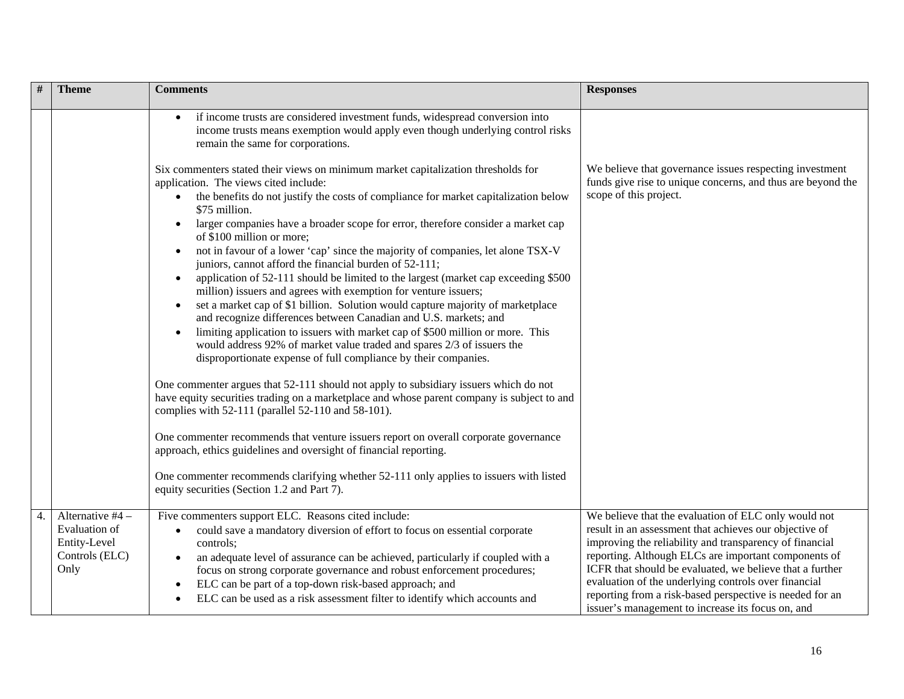|    | <b>Theme</b>                                                                | <b>Comments</b>                                                                                                                                                                                                                                                                                                                                                                                                                                                                                                                                                                                                                                                                                                                                                                                                                                                                                                                                                                                                                                                                                                                                                                                                                                                                                                                                                                                                                                                                                                                                                                                                             | <b>Responses</b>                                                                                                                                                                                                                                                                                                                                                                                                                                                       |
|----|-----------------------------------------------------------------------------|-----------------------------------------------------------------------------------------------------------------------------------------------------------------------------------------------------------------------------------------------------------------------------------------------------------------------------------------------------------------------------------------------------------------------------------------------------------------------------------------------------------------------------------------------------------------------------------------------------------------------------------------------------------------------------------------------------------------------------------------------------------------------------------------------------------------------------------------------------------------------------------------------------------------------------------------------------------------------------------------------------------------------------------------------------------------------------------------------------------------------------------------------------------------------------------------------------------------------------------------------------------------------------------------------------------------------------------------------------------------------------------------------------------------------------------------------------------------------------------------------------------------------------------------------------------------------------------------------------------------------------|------------------------------------------------------------------------------------------------------------------------------------------------------------------------------------------------------------------------------------------------------------------------------------------------------------------------------------------------------------------------------------------------------------------------------------------------------------------------|
|    |                                                                             | if income trusts are considered investment funds, widespread conversion into<br>income trusts means exemption would apply even though underlying control risks<br>remain the same for corporations.                                                                                                                                                                                                                                                                                                                                                                                                                                                                                                                                                                                                                                                                                                                                                                                                                                                                                                                                                                                                                                                                                                                                                                                                                                                                                                                                                                                                                         |                                                                                                                                                                                                                                                                                                                                                                                                                                                                        |
|    |                                                                             | Six commenters stated their views on minimum market capitalization thresholds for<br>application. The views cited include:<br>the benefits do not justify the costs of compliance for market capitalization below<br>\$75 million.<br>larger companies have a broader scope for error, therefore consider a market cap<br>$\bullet$<br>of \$100 million or more:<br>not in favour of a lower 'cap' since the majority of companies, let alone TSX-V<br>juniors, cannot afford the financial burden of 52-111;<br>application of 52-111 should be limited to the largest (market cap exceeding \$500<br>million) issuers and agrees with exemption for venture issuers;<br>set a market cap of \$1 billion. Solution would capture majority of marketplace<br>$\bullet$<br>and recognize differences between Canadian and U.S. markets; and<br>limiting application to issuers with market cap of \$500 million or more. This<br>would address 92% of market value traded and spares 2/3 of issuers the<br>disproportionate expense of full compliance by their companies.<br>One commenter argues that 52-111 should not apply to subsidiary issuers which do not<br>have equity securities trading on a marketplace and whose parent company is subject to and<br>complies with 52-111 (parallel 52-110 and 58-101).<br>One commenter recommends that venture issuers report on overall corporate governance<br>approach, ethics guidelines and oversight of financial reporting.<br>One commenter recommends clarifying whether 52-111 only applies to issuers with listed<br>equity securities (Section 1.2 and Part 7). | We believe that governance issues respecting investment<br>funds give rise to unique concerns, and thus are beyond the<br>scope of this project.                                                                                                                                                                                                                                                                                                                       |
| 4. | Alternative #4 -<br>Evaluation of<br>Entity-Level<br>Controls (ELC)<br>Only | Five commenters support ELC. Reasons cited include:<br>could save a mandatory diversion of effort to focus on essential corporate<br>controls;<br>an adequate level of assurance can be achieved, particularly if coupled with a<br>focus on strong corporate governance and robust enforcement procedures;<br>ELC can be part of a top-down risk-based approach; and<br>ELC can be used as a risk assessment filter to identify which accounts and                                                                                                                                                                                                                                                                                                                                                                                                                                                                                                                                                                                                                                                                                                                                                                                                                                                                                                                                                                                                                                                                                                                                                                         | We believe that the evaluation of ELC only would not<br>result in an assessment that achieves our objective of<br>improving the reliability and transparency of financial<br>reporting. Although ELCs are important components of<br>ICFR that should be evaluated, we believe that a further<br>evaluation of the underlying controls over financial<br>reporting from a risk-based perspective is needed for an<br>issuer's management to increase its focus on, and |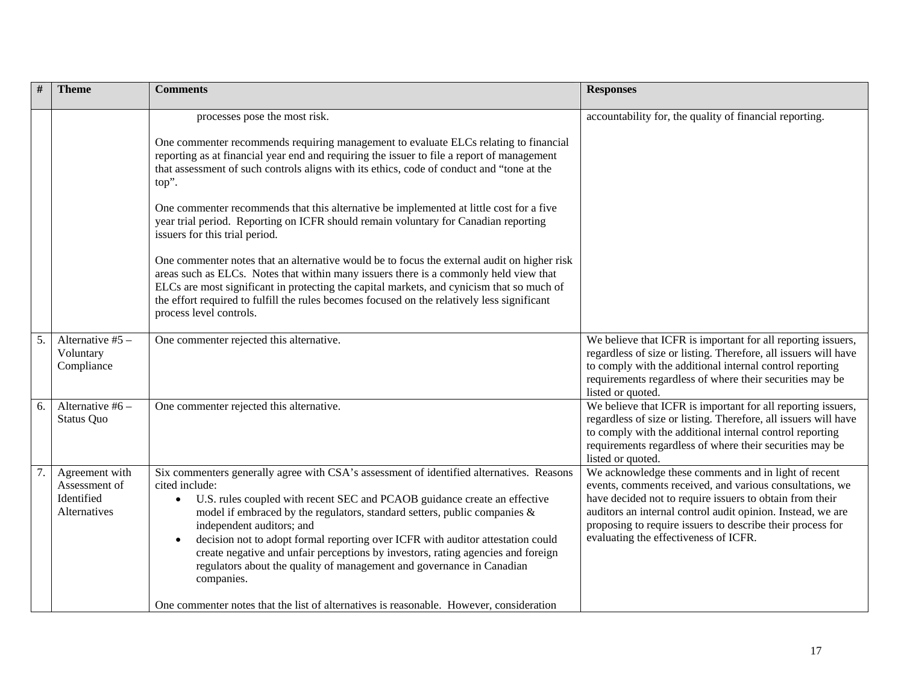| $\#$<br><b>Theme</b>                                                | <b>Comments</b>                                                                                                                                                                                                                                                                                                                                                                                                                                                                                                                                                                   | <b>Responses</b>                                                                                                                                                                                                                                                                                                                                   |
|---------------------------------------------------------------------|-----------------------------------------------------------------------------------------------------------------------------------------------------------------------------------------------------------------------------------------------------------------------------------------------------------------------------------------------------------------------------------------------------------------------------------------------------------------------------------------------------------------------------------------------------------------------------------|----------------------------------------------------------------------------------------------------------------------------------------------------------------------------------------------------------------------------------------------------------------------------------------------------------------------------------------------------|
|                                                                     | processes pose the most risk.                                                                                                                                                                                                                                                                                                                                                                                                                                                                                                                                                     | accountability for, the quality of financial reporting.                                                                                                                                                                                                                                                                                            |
|                                                                     | One commenter recommends requiring management to evaluate ELCs relating to financial<br>reporting as at financial year end and requiring the issuer to file a report of management<br>that assessment of such controls aligns with its ethics, code of conduct and "tone at the<br>top".                                                                                                                                                                                                                                                                                          |                                                                                                                                                                                                                                                                                                                                                    |
|                                                                     | One commenter recommends that this alternative be implemented at little cost for a five<br>year trial period. Reporting on ICFR should remain voluntary for Canadian reporting<br>issuers for this trial period.                                                                                                                                                                                                                                                                                                                                                                  |                                                                                                                                                                                                                                                                                                                                                    |
|                                                                     | One commenter notes that an alternative would be to focus the external audit on higher risk<br>areas such as ELCs. Notes that within many issuers there is a commonly held view that<br>ELCs are most significant in protecting the capital markets, and cynicism that so much of<br>the effort required to fulfill the rules becomes focused on the relatively less significant<br>process level controls.                                                                                                                                                                       |                                                                                                                                                                                                                                                                                                                                                    |
| 5.<br>Alternative #5 -<br>Voluntary<br>Compliance                   | One commenter rejected this alternative.                                                                                                                                                                                                                                                                                                                                                                                                                                                                                                                                          | We believe that ICFR is important for all reporting issuers,<br>regardless of size or listing. Therefore, all issuers will have<br>to comply with the additional internal control reporting<br>requirements regardless of where their securities may be<br>listed or quoted.                                                                       |
| Alternative #6 -<br>6.<br><b>Status Quo</b>                         | One commenter rejected this alternative.                                                                                                                                                                                                                                                                                                                                                                                                                                                                                                                                          | We believe that ICFR is important for all reporting issuers,<br>regardless of size or listing. Therefore, all issuers will have<br>to comply with the additional internal control reporting<br>requirements regardless of where their securities may be<br>listed or quoted.                                                                       |
| 7.<br>Agreement with<br>Assessment of<br>Identified<br>Alternatives | Six commenters generally agree with CSA's assessment of identified alternatives. Reasons<br>cited include:<br>• U.S. rules coupled with recent SEC and PCAOB guidance create an effective<br>model if embraced by the regulators, standard setters, public companies $\&$<br>independent auditors; and<br>decision not to adopt formal reporting over ICFR with auditor attestation could<br>$\bullet$<br>create negative and unfair perceptions by investors, rating agencies and foreign<br>regulators about the quality of management and governance in Canadian<br>companies. | We acknowledge these comments and in light of recent<br>events, comments received, and various consultations, we<br>have decided not to require issuers to obtain from their<br>auditors an internal control audit opinion. Instead, we are<br>proposing to require issuers to describe their process for<br>evaluating the effectiveness of ICFR. |
|                                                                     | One commenter notes that the list of alternatives is reasonable. However, consideration                                                                                                                                                                                                                                                                                                                                                                                                                                                                                           |                                                                                                                                                                                                                                                                                                                                                    |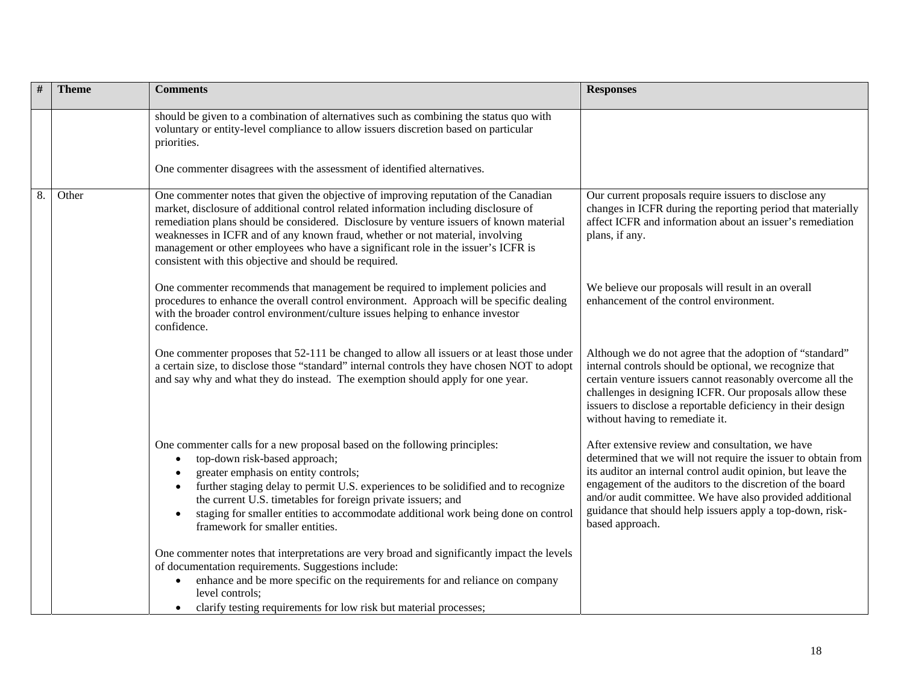| # | <b>Theme</b> | <b>Comments</b>                                                                                                                                                                                                                                                                                                                                                                                                                                                                                         | <b>Responses</b>                                                                                                                                                                                                                                                                                                                                                                           |
|---|--------------|---------------------------------------------------------------------------------------------------------------------------------------------------------------------------------------------------------------------------------------------------------------------------------------------------------------------------------------------------------------------------------------------------------------------------------------------------------------------------------------------------------|--------------------------------------------------------------------------------------------------------------------------------------------------------------------------------------------------------------------------------------------------------------------------------------------------------------------------------------------------------------------------------------------|
|   |              | should be given to a combination of alternatives such as combining the status quo with<br>voluntary or entity-level compliance to allow issuers discretion based on particular<br>priorities.                                                                                                                                                                                                                                                                                                           |                                                                                                                                                                                                                                                                                                                                                                                            |
|   |              | One commenter disagrees with the assessment of identified alternatives.                                                                                                                                                                                                                                                                                                                                                                                                                                 |                                                                                                                                                                                                                                                                                                                                                                                            |
| 8 | Other        | One commenter notes that given the objective of improving reputation of the Canadian<br>market, disclosure of additional control related information including disclosure of<br>remediation plans should be considered. Disclosure by venture issuers of known material<br>weaknesses in ICFR and of any known fraud, whether or not material, involving<br>management or other employees who have a significant role in the issuer's ICFR is<br>consistent with this objective and should be required. | Our current proposals require issuers to disclose any<br>changes in ICFR during the reporting period that materially<br>affect ICFR and information about an issuer's remediation<br>plans, if any.                                                                                                                                                                                        |
|   |              | One commenter recommends that management be required to implement policies and<br>procedures to enhance the overall control environment. Approach will be specific dealing<br>with the broader control environment/culture issues helping to enhance investor<br>confidence.                                                                                                                                                                                                                            | We believe our proposals will result in an overall<br>enhancement of the control environment.                                                                                                                                                                                                                                                                                              |
|   |              | One commenter proposes that 52-111 be changed to allow all issuers or at least those under<br>a certain size, to disclose those "standard" internal controls they have chosen NOT to adopt<br>and say why and what they do instead. The exemption should apply for one year.                                                                                                                                                                                                                            | Although we do not agree that the adoption of "standard"<br>internal controls should be optional, we recognize that<br>certain venture issuers cannot reasonably overcome all the<br>challenges in designing ICFR. Our proposals allow these<br>issuers to disclose a reportable deficiency in their design<br>without having to remediate it.                                             |
|   |              | One commenter calls for a new proposal based on the following principles:<br>top-down risk-based approach;<br>$\bullet$<br>greater emphasis on entity controls;<br>further staging delay to permit U.S. experiences to be solidified and to recognize<br>the current U.S. timetables for foreign private issuers; and<br>staging for smaller entities to accommodate additional work being done on control<br>framework for smaller entities.                                                           | After extensive review and consultation, we have<br>determined that we will not require the issuer to obtain from<br>its auditor an internal control audit opinion, but leave the<br>engagement of the auditors to the discretion of the board<br>and/or audit committee. We have also provided additional<br>guidance that should help issuers apply a top-down, risk-<br>based approach. |
|   |              | One commenter notes that interpretations are very broad and significantly impact the levels<br>of documentation requirements. Suggestions include:<br>enhance and be more specific on the requirements for and reliance on company<br>level controls:<br>clarify testing requirements for low risk but material processes;                                                                                                                                                                              |                                                                                                                                                                                                                                                                                                                                                                                            |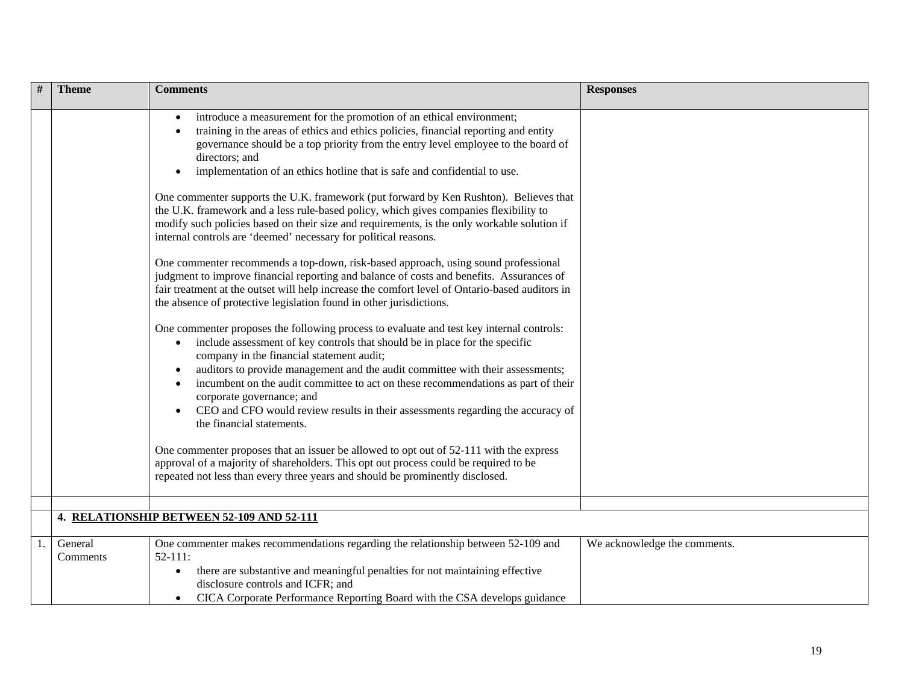| <b>Theme</b>        | <b>Comments</b>                                                                                                                                                                                                                                                                                                                                                                                                                                                                                                                                                                                                                                                                                                                                                                                                                                                                                                                                                                                                                                                                                                                                                                                                                                                                                                                                                                                                                                                                                                                                                                                                                                                                                                   | <b>Responses</b>             |
|---------------------|-------------------------------------------------------------------------------------------------------------------------------------------------------------------------------------------------------------------------------------------------------------------------------------------------------------------------------------------------------------------------------------------------------------------------------------------------------------------------------------------------------------------------------------------------------------------------------------------------------------------------------------------------------------------------------------------------------------------------------------------------------------------------------------------------------------------------------------------------------------------------------------------------------------------------------------------------------------------------------------------------------------------------------------------------------------------------------------------------------------------------------------------------------------------------------------------------------------------------------------------------------------------------------------------------------------------------------------------------------------------------------------------------------------------------------------------------------------------------------------------------------------------------------------------------------------------------------------------------------------------------------------------------------------------------------------------------------------------|------------------------------|
|                     | introduce a measurement for the promotion of an ethical environment;<br>training in the areas of ethics and ethics policies, financial reporting and entity<br>governance should be a top priority from the entry level employee to the board of<br>directors; and<br>implementation of an ethics hotline that is safe and confidential to use.<br>One commenter supports the U.K. framework (put forward by Ken Rushton). Believes that<br>the U.K. framework and a less rule-based policy, which gives companies flexibility to<br>modify such policies based on their size and requirements, is the only workable solution if<br>internal controls are 'deemed' necessary for political reasons.<br>One commenter recommends a top-down, risk-based approach, using sound professional<br>judgment to improve financial reporting and balance of costs and benefits. Assurances of<br>fair treatment at the outset will help increase the comfort level of Ontario-based auditors in<br>the absence of protective legislation found in other jurisdictions.<br>One commenter proposes the following process to evaluate and test key internal controls:<br>include assessment of key controls that should be in place for the specific<br>$\bullet$<br>company in the financial statement audit;<br>auditors to provide management and the audit committee with their assessments;<br>incumbent on the audit committee to act on these recommendations as part of their<br>corporate governance; and<br>CEO and CFO would review results in their assessments regarding the accuracy of<br>the financial statements.<br>One commenter proposes that an issuer be allowed to opt out of 52-111 with the express |                              |
|                     | approval of a majority of shareholders. This opt out process could be required to be<br>repeated not less than every three years and should be prominently disclosed.                                                                                                                                                                                                                                                                                                                                                                                                                                                                                                                                                                                                                                                                                                                                                                                                                                                                                                                                                                                                                                                                                                                                                                                                                                                                                                                                                                                                                                                                                                                                             |                              |
|                     | 4. RELATIONSHIP BETWEEN 52-109 AND 52-111                                                                                                                                                                                                                                                                                                                                                                                                                                                                                                                                                                                                                                                                                                                                                                                                                                                                                                                                                                                                                                                                                                                                                                                                                                                                                                                                                                                                                                                                                                                                                                                                                                                                         |                              |
|                     |                                                                                                                                                                                                                                                                                                                                                                                                                                                                                                                                                                                                                                                                                                                                                                                                                                                                                                                                                                                                                                                                                                                                                                                                                                                                                                                                                                                                                                                                                                                                                                                                                                                                                                                   |                              |
| General<br>Comments | One commenter makes recommendations regarding the relationship between 52-109 and<br>$52 - 111$ :<br>there are substantive and meaningful penalties for not maintaining effective<br>disclosure controls and ICFR; and<br>CICA Corporate Performance Reporting Board with the CSA develops guidance                                                                                                                                                                                                                                                                                                                                                                                                                                                                                                                                                                                                                                                                                                                                                                                                                                                                                                                                                                                                                                                                                                                                                                                                                                                                                                                                                                                                               | We acknowledge the comments. |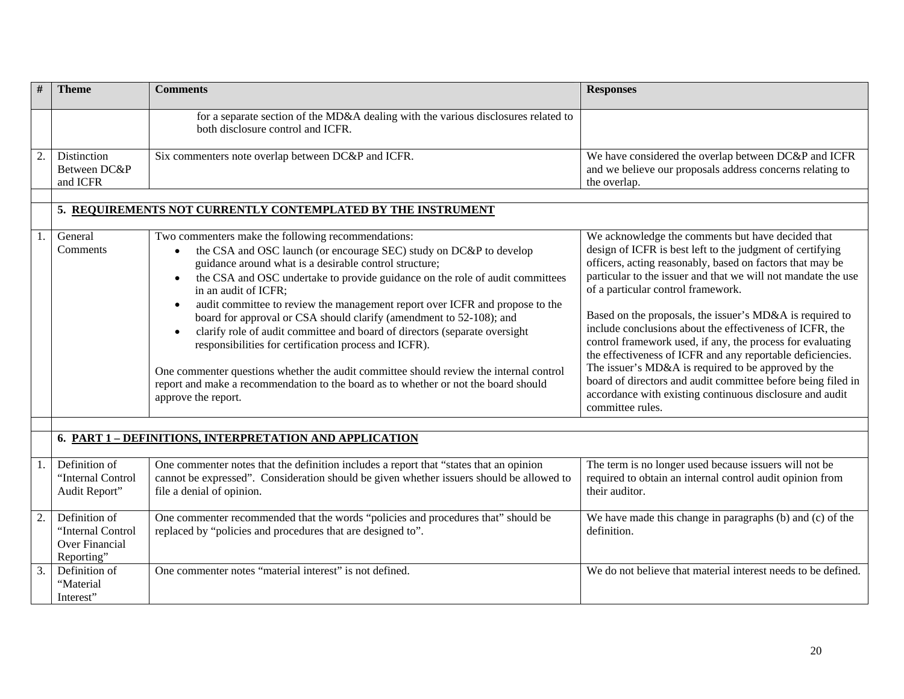| #                | <b>Theme</b>                                                              | <b>Comments</b>                                                                                                                                                                                                                                                                                                                                                                                                                                                                                                                                                                                                                                                                                                                                                                                   | <b>Responses</b>                                                                                                                                                                                                                                                                                                                                                                                                                                                                                                                                                                                                                                                                                                                              |
|------------------|---------------------------------------------------------------------------|---------------------------------------------------------------------------------------------------------------------------------------------------------------------------------------------------------------------------------------------------------------------------------------------------------------------------------------------------------------------------------------------------------------------------------------------------------------------------------------------------------------------------------------------------------------------------------------------------------------------------------------------------------------------------------------------------------------------------------------------------------------------------------------------------|-----------------------------------------------------------------------------------------------------------------------------------------------------------------------------------------------------------------------------------------------------------------------------------------------------------------------------------------------------------------------------------------------------------------------------------------------------------------------------------------------------------------------------------------------------------------------------------------------------------------------------------------------------------------------------------------------------------------------------------------------|
|                  |                                                                           | for a separate section of the MD&A dealing with the various disclosures related to<br>both disclosure control and ICFR.                                                                                                                                                                                                                                                                                                                                                                                                                                                                                                                                                                                                                                                                           |                                                                                                                                                                                                                                                                                                                                                                                                                                                                                                                                                                                                                                                                                                                                               |
| 2.               | Distinction<br>Between DC&P<br>and ICFR                                   | Six commenters note overlap between DC&P and ICFR.                                                                                                                                                                                                                                                                                                                                                                                                                                                                                                                                                                                                                                                                                                                                                | We have considered the overlap between DC&P and ICFR<br>and we believe our proposals address concerns relating to<br>the overlap.                                                                                                                                                                                                                                                                                                                                                                                                                                                                                                                                                                                                             |
|                  |                                                                           | 5. REQUIREMENTS NOT CURRENTLY CONTEMPLATED BY THE INSTRUMENT                                                                                                                                                                                                                                                                                                                                                                                                                                                                                                                                                                                                                                                                                                                                      |                                                                                                                                                                                                                                                                                                                                                                                                                                                                                                                                                                                                                                                                                                                                               |
| 1.               | General<br>Comments                                                       | Two commenters make the following recommendations:<br>the CSA and OSC launch (or encourage SEC) study on DC&P to develop<br>guidance around what is a desirable control structure;<br>the CSA and OSC undertake to provide guidance on the role of audit committees<br>in an audit of ICFR;<br>audit committee to review the management report over ICFR and propose to the<br>board for approval or CSA should clarify (amendment to 52-108); and<br>clarify role of audit committee and board of directors (separate oversight<br>responsibilities for certification process and ICFR).<br>One commenter questions whether the audit committee should review the internal control<br>report and make a recommendation to the board as to whether or not the board should<br>approve the report. | We acknowledge the comments but have decided that<br>design of ICFR is best left to the judgment of certifying<br>officers, acting reasonably, based on factors that may be<br>particular to the issuer and that we will not mandate the use<br>of a particular control framework.<br>Based on the proposals, the issuer's MD&A is required to<br>include conclusions about the effectiveness of ICFR, the<br>control framework used, if any, the process for evaluating<br>the effectiveness of ICFR and any reportable deficiencies.<br>The issuer's MD&A is required to be approved by the<br>board of directors and audit committee before being filed in<br>accordance with existing continuous disclosure and audit<br>committee rules. |
|                  |                                                                           | 6. PART 1 - DEFINITIONS, INTERPRETATION AND APPLICATION                                                                                                                                                                                                                                                                                                                                                                                                                                                                                                                                                                                                                                                                                                                                           |                                                                                                                                                                                                                                                                                                                                                                                                                                                                                                                                                                                                                                                                                                                                               |
| 1.               | Definition of<br>"Internal Control<br>Audit Report"                       | One commenter notes that the definition includes a report that "states that an opinion<br>cannot be expressed". Consideration should be given whether issuers should be allowed to<br>file a denial of opinion.                                                                                                                                                                                                                                                                                                                                                                                                                                                                                                                                                                                   | The term is no longer used because issuers will not be<br>required to obtain an internal control audit opinion from<br>their auditor.                                                                                                                                                                                                                                                                                                                                                                                                                                                                                                                                                                                                         |
| 2.               | Definition of<br>"Internal Control<br><b>Over Financial</b><br>Reporting" | One commenter recommended that the words "policies and procedures that" should be<br>replaced by "policies and procedures that are designed to".                                                                                                                                                                                                                                                                                                                                                                                                                                                                                                                                                                                                                                                  | We have made this change in paragraphs (b) and (c) of the<br>definition.                                                                                                                                                                                                                                                                                                                                                                                                                                                                                                                                                                                                                                                                      |
| $\overline{3}$ . | Definition of<br>"Material<br>Interest"                                   | One commenter notes "material interest" is not defined.                                                                                                                                                                                                                                                                                                                                                                                                                                                                                                                                                                                                                                                                                                                                           | We do not believe that material interest needs to be defined.                                                                                                                                                                                                                                                                                                                                                                                                                                                                                                                                                                                                                                                                                 |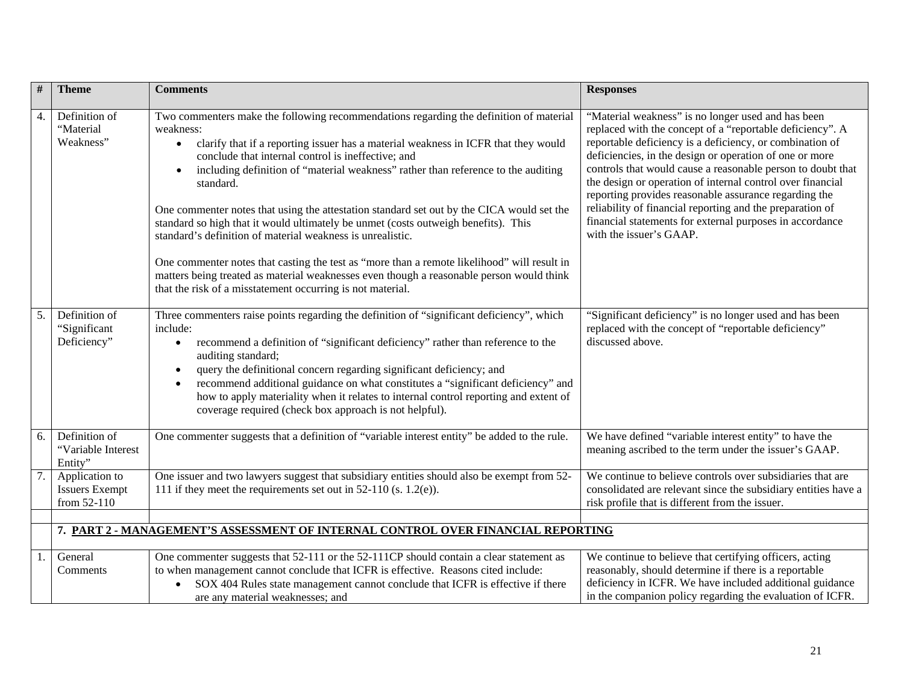| #  | <b>Theme</b>                                           | <b>Comments</b>                                                                                                                                                                                                                                                                                                                                                                                                                                                                                                                                                                                                                                                                                                                                                                                                                                                                       | <b>Responses</b>                                                                                                                                                                                                                                                                                                                                                                                                                                                                                                                                                                 |
|----|--------------------------------------------------------|---------------------------------------------------------------------------------------------------------------------------------------------------------------------------------------------------------------------------------------------------------------------------------------------------------------------------------------------------------------------------------------------------------------------------------------------------------------------------------------------------------------------------------------------------------------------------------------------------------------------------------------------------------------------------------------------------------------------------------------------------------------------------------------------------------------------------------------------------------------------------------------|----------------------------------------------------------------------------------------------------------------------------------------------------------------------------------------------------------------------------------------------------------------------------------------------------------------------------------------------------------------------------------------------------------------------------------------------------------------------------------------------------------------------------------------------------------------------------------|
| 4. | Definition of<br>"Material<br>Weakness"                | Two commenters make the following recommendations regarding the definition of material<br>weakness:<br>clarify that if a reporting issuer has a material weakness in ICFR that they would<br>$\bullet$<br>conclude that internal control is ineffective; and<br>including definition of "material weakness" rather than reference to the auditing<br>$\bullet$<br>standard.<br>One commenter notes that using the attestation standard set out by the CICA would set the<br>standard so high that it would ultimately be unmet (costs outweigh benefits). This<br>standard's definition of material weakness is unrealistic.<br>One commenter notes that casting the test as "more than a remote likelihood" will result in<br>matters being treated as material weaknesses even though a reasonable person would think<br>that the risk of a misstatement occurring is not material. | "Material weakness" is no longer used and has been<br>replaced with the concept of a "reportable deficiency". A<br>reportable deficiency is a deficiency, or combination of<br>deficiencies, in the design or operation of one or more<br>controls that would cause a reasonable person to doubt that<br>the design or operation of internal control over financial<br>reporting provides reasonable assurance regarding the<br>reliability of financial reporting and the preparation of<br>financial statements for external purposes in accordance<br>with the issuer's GAAP. |
| 5. | Definition of<br>"Significant<br>Deficiency"           | Three commenters raise points regarding the definition of "significant deficiency", which<br>include:<br>recommend a definition of "significant deficiency" rather than reference to the<br>$\bullet$<br>auditing standard;<br>query the definitional concern regarding significant deficiency; and<br>$\bullet$<br>recommend additional guidance on what constitutes a "significant deficiency" and<br>how to apply materiality when it relates to internal control reporting and extent of<br>coverage required (check box approach is not helpful).                                                                                                                                                                                                                                                                                                                                | "Significant deficiency" is no longer used and has been<br>replaced with the concept of "reportable deficiency"<br>discussed above.                                                                                                                                                                                                                                                                                                                                                                                                                                              |
| 6. | Definition of<br>"Variable Interest<br>Entity"         | One commenter suggests that a definition of "variable interest entity" be added to the rule.                                                                                                                                                                                                                                                                                                                                                                                                                                                                                                                                                                                                                                                                                                                                                                                          | We have defined "variable interest entity" to have the<br>meaning ascribed to the term under the issuer's GAAP.                                                                                                                                                                                                                                                                                                                                                                                                                                                                  |
| 7. | Application to<br><b>Issuers Exempt</b><br>from 52-110 | One issuer and two lawyers suggest that subsidiary entities should also be exempt from 52-<br>111 if they meet the requirements set out in $52-110$ (s. 1.2(e)).                                                                                                                                                                                                                                                                                                                                                                                                                                                                                                                                                                                                                                                                                                                      | We continue to believe controls over subsidiaries that are<br>consolidated are relevant since the subsidiary entities have a<br>risk profile that is different from the issuer.                                                                                                                                                                                                                                                                                                                                                                                                  |
|    |                                                        |                                                                                                                                                                                                                                                                                                                                                                                                                                                                                                                                                                                                                                                                                                                                                                                                                                                                                       |                                                                                                                                                                                                                                                                                                                                                                                                                                                                                                                                                                                  |
|    |                                                        | 7. PART 2 - MANAGEMENT'S ASSESSMENT OF INTERNAL CONTROL OVER FINANCIAL REPORTING                                                                                                                                                                                                                                                                                                                                                                                                                                                                                                                                                                                                                                                                                                                                                                                                      |                                                                                                                                                                                                                                                                                                                                                                                                                                                                                                                                                                                  |
|    | General<br>Comments                                    | One commenter suggests that 52-111 or the 52-111CP should contain a clear statement as<br>to when management cannot conclude that ICFR is effective. Reasons cited include:<br>SOX 404 Rules state management cannot conclude that ICFR is effective if there<br>$\bullet$<br>are any material weaknesses; and                                                                                                                                                                                                                                                                                                                                                                                                                                                                                                                                                                        | We continue to believe that certifying officers, acting<br>reasonably, should determine if there is a reportable<br>deficiency in ICFR. We have included additional guidance<br>in the companion policy regarding the evaluation of ICFR.                                                                                                                                                                                                                                                                                                                                        |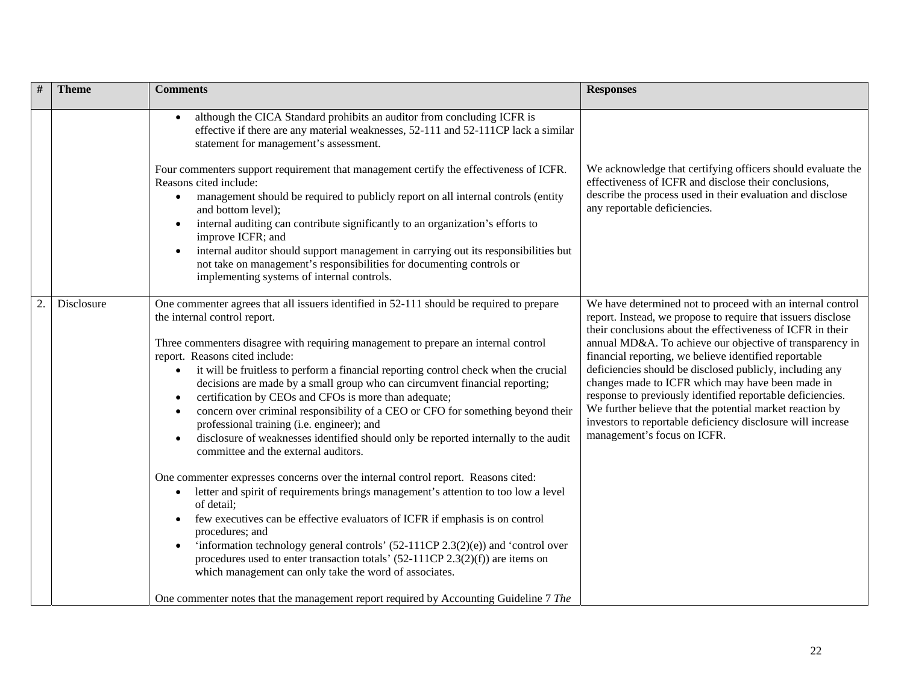|    | <b>Theme</b> | <b>Comments</b>                                                                                                                                                                                                                                                                                                                                                                                                                                                                                                                                                                                                                                                                                                                                                                                                                                                                                                                                                                                                                                                                                                                                                                                                                                                                                            | <b>Responses</b>                                                                                                                                                                                                                                                                                                                                                                                                                                                                                                                                                                                                                                      |
|----|--------------|------------------------------------------------------------------------------------------------------------------------------------------------------------------------------------------------------------------------------------------------------------------------------------------------------------------------------------------------------------------------------------------------------------------------------------------------------------------------------------------------------------------------------------------------------------------------------------------------------------------------------------------------------------------------------------------------------------------------------------------------------------------------------------------------------------------------------------------------------------------------------------------------------------------------------------------------------------------------------------------------------------------------------------------------------------------------------------------------------------------------------------------------------------------------------------------------------------------------------------------------------------------------------------------------------------|-------------------------------------------------------------------------------------------------------------------------------------------------------------------------------------------------------------------------------------------------------------------------------------------------------------------------------------------------------------------------------------------------------------------------------------------------------------------------------------------------------------------------------------------------------------------------------------------------------------------------------------------------------|
|    |              | although the CICA Standard prohibits an auditor from concluding ICFR is<br>effective if there are any material weaknesses, 52-111 and 52-111CP lack a similar<br>statement for management's assessment.                                                                                                                                                                                                                                                                                                                                                                                                                                                                                                                                                                                                                                                                                                                                                                                                                                                                                                                                                                                                                                                                                                    |                                                                                                                                                                                                                                                                                                                                                                                                                                                                                                                                                                                                                                                       |
|    |              | Four commenters support requirement that management certify the effectiveness of ICFR.<br>Reasons cited include:<br>management should be required to publicly report on all internal controls (entity<br>and bottom level);<br>internal auditing can contribute significantly to an organization's efforts to<br>$\bullet$<br>improve ICFR; and<br>internal auditor should support management in carrying out its responsibilities but<br>not take on management's responsibilities for documenting controls or<br>implementing systems of internal controls.                                                                                                                                                                                                                                                                                                                                                                                                                                                                                                                                                                                                                                                                                                                                              | We acknowledge that certifying officers should evaluate the<br>effectiveness of ICFR and disclose their conclusions,<br>describe the process used in their evaluation and disclose<br>any reportable deficiencies.                                                                                                                                                                                                                                                                                                                                                                                                                                    |
| 2. | Disclosure   | One commenter agrees that all issuers identified in 52-111 should be required to prepare<br>the internal control report.<br>Three commenters disagree with requiring management to prepare an internal control<br>report. Reasons cited include:<br>it will be fruitless to perform a financial reporting control check when the crucial<br>$\bullet$<br>decisions are made by a small group who can circumvent financial reporting;<br>certification by CEOs and CFOs is more than adequate;<br>concern over criminal responsibility of a CEO or CFO for something beyond their<br>professional training (i.e. engineer); and<br>disclosure of weaknesses identified should only be reported internally to the audit<br>committee and the external auditors.<br>One commenter expresses concerns over the internal control report. Reasons cited:<br>letter and spirit of requirements brings management's attention to too low a level<br>$\bullet$<br>of detail;<br>few executives can be effective evaluators of ICFR if emphasis is on control<br>procedures; and<br>'information technology general controls' $(52-111CP 2.3(2)(e))$ and 'control over<br>procedures used to enter transaction totals' $(52-111CP 2.3(2)(f))$ are items on<br>which management can only take the word of associates. | We have determined not to proceed with an internal control<br>report. Instead, we propose to require that issuers disclose<br>their conclusions about the effectiveness of ICFR in their<br>annual MD&A. To achieve our objective of transparency in<br>financial reporting, we believe identified reportable<br>deficiencies should be disclosed publicly, including any<br>changes made to ICFR which may have been made in<br>response to previously identified reportable deficiencies.<br>We further believe that the potential market reaction by<br>investors to reportable deficiency disclosure will increase<br>management's focus on ICFR. |
|    |              | One commenter notes that the management report required by Accounting Guideline 7 The                                                                                                                                                                                                                                                                                                                                                                                                                                                                                                                                                                                                                                                                                                                                                                                                                                                                                                                                                                                                                                                                                                                                                                                                                      |                                                                                                                                                                                                                                                                                                                                                                                                                                                                                                                                                                                                                                                       |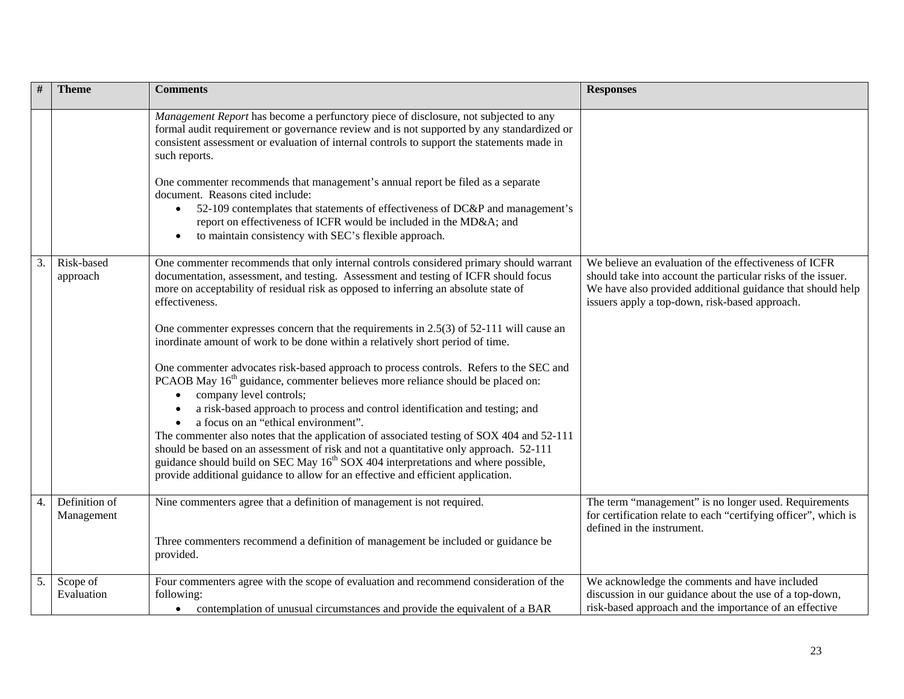|    | <b>Theme</b>                | <b>Comments</b>                                                                                                                                                                                                                                                                                                                    | <b>Responses</b>                                                                                                                                                                                                                      |
|----|-----------------------------|------------------------------------------------------------------------------------------------------------------------------------------------------------------------------------------------------------------------------------------------------------------------------------------------------------------------------------|---------------------------------------------------------------------------------------------------------------------------------------------------------------------------------------------------------------------------------------|
|    |                             | Management Report has become a perfunctory piece of disclosure, not subjected to any<br>formal audit requirement or governance review and is not supported by any standardized or<br>consistent assessment or evaluation of internal controls to support the statements made in<br>such reports.                                   |                                                                                                                                                                                                                                       |
|    |                             | One commenter recommends that management's annual report be filed as a separate<br>document. Reasons cited include:<br>52-109 contemplates that statements of effectiveness of DC&P and management's<br>report on effectiveness of ICFR would be included in the MD&A and<br>to maintain consistency with SEC's flexible approach. |                                                                                                                                                                                                                                       |
| 3. | Risk-based<br>approach      | One commenter recommends that only internal controls considered primary should warrant<br>documentation, assessment, and testing. Assessment and testing of ICFR should focus<br>more on acceptability of residual risk as opposed to inferring an absolute state of<br>effectiveness.                                             | We believe an evaluation of the effectiveness of ICFR<br>should take into account the particular risks of the issuer.<br>We have also provided additional guidance that should help<br>issuers apply a top-down, risk-based approach. |
|    |                             | One commenter expresses concern that the requirements in $2.5(3)$ of $52-111$ will cause an<br>inordinate amount of work to be done within a relatively short period of time.                                                                                                                                                      |                                                                                                                                                                                                                                       |
|    |                             | One commenter advocates risk-based approach to process controls. Refers to the SEC and<br>PCAOB May 16 <sup>th</sup> guidance, commenter believes more reliance should be placed on:<br>company level controls;<br>a risk-based approach to process and control identification and testing; and                                    |                                                                                                                                                                                                                                       |
|    |                             | a focus on an "ethical environment".<br>The commenter also notes that the application of associated testing of SOX 404 and 52-111                                                                                                                                                                                                  |                                                                                                                                                                                                                                       |
|    |                             | should be based on an assessment of risk and not a quantitative only approach. 52-111<br>guidance should build on SEC May 16 <sup>th</sup> SOX 404 interpretations and where possible,<br>provide additional guidance to allow for an effective and efficient application.                                                         |                                                                                                                                                                                                                                       |
| 4. | Definition of<br>Management | Nine commenters agree that a definition of management is not required.                                                                                                                                                                                                                                                             | The term "management" is no longer used. Requirements<br>for certification relate to each "certifying officer", which is<br>defined in the instrument.                                                                                |
|    |                             | Three commenters recommend a definition of management be included or guidance be<br>provided.                                                                                                                                                                                                                                      |                                                                                                                                                                                                                                       |
| 5. | Scope of<br>Evaluation      | Four commenters agree with the scope of evaluation and recommend consideration of the<br>following:<br>contemplation of unusual circumstances and provide the equivalent of a BAR                                                                                                                                                  | We acknowledge the comments and have included<br>discussion in our guidance about the use of a top-down,<br>risk-based approach and the importance of an effective                                                                    |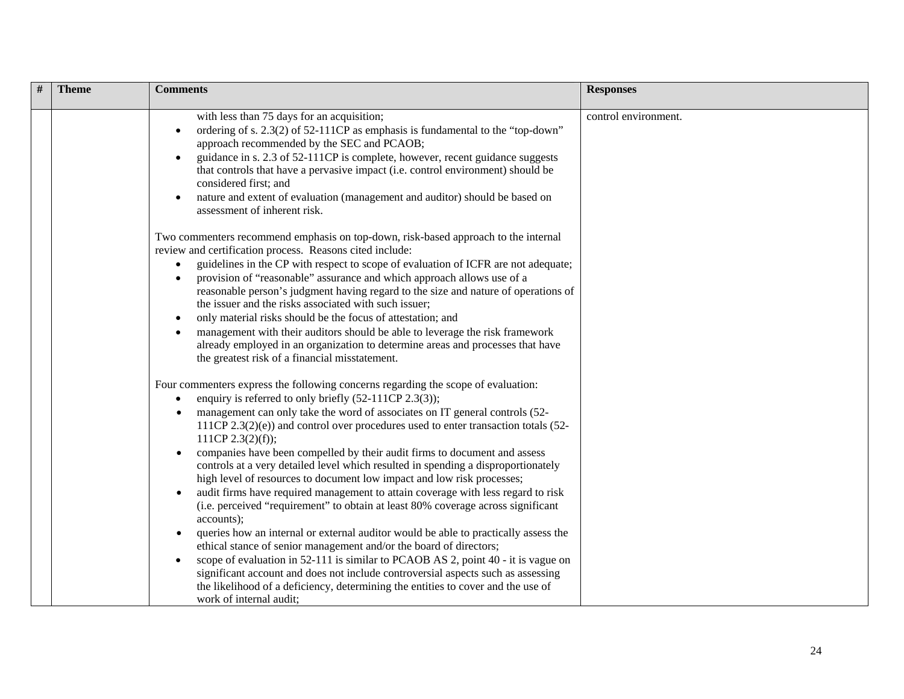| # | <b>Theme</b> | <b>Comments</b>                                                                                                                                                                                                                                                                                                                                                                                                                                                                                                                                                                                                                                                                                                                                                                                                                                                                                                                                                                                                                                                                                                                          | <b>Responses</b>     |
|---|--------------|------------------------------------------------------------------------------------------------------------------------------------------------------------------------------------------------------------------------------------------------------------------------------------------------------------------------------------------------------------------------------------------------------------------------------------------------------------------------------------------------------------------------------------------------------------------------------------------------------------------------------------------------------------------------------------------------------------------------------------------------------------------------------------------------------------------------------------------------------------------------------------------------------------------------------------------------------------------------------------------------------------------------------------------------------------------------------------------------------------------------------------------|----------------------|
|   |              | with less than 75 days for an acquisition;<br>ordering of s. 2.3(2) of 52-111CP as emphasis is fundamental to the "top-down"<br>approach recommended by the SEC and PCAOB;<br>guidance in s. 2.3 of 52-111CP is complete, however, recent guidance suggests<br>that controls that have a pervasive impact (i.e. control environment) should be<br>considered first; and<br>nature and extent of evaluation (management and auditor) should be based on<br>assessment of inherent risk.                                                                                                                                                                                                                                                                                                                                                                                                                                                                                                                                                                                                                                                   | control environment. |
|   |              | Two commenters recommend emphasis on top-down, risk-based approach to the internal<br>review and certification process. Reasons cited include:<br>guidelines in the CP with respect to scope of evaluation of ICFR are not adequate;<br>provision of "reasonable" assurance and which approach allows use of a<br>reasonable person's judgment having regard to the size and nature of operations of<br>the issuer and the risks associated with such issuer;<br>only material risks should be the focus of attestation; and<br>management with their auditors should be able to leverage the risk framework<br>already employed in an organization to determine areas and processes that have<br>the greatest risk of a financial misstatement.                                                                                                                                                                                                                                                                                                                                                                                         |                      |
|   |              | Four commenters express the following concerns regarding the scope of evaluation:<br>enquiry is referred to only briefly (52-111CP 2.3(3));<br>management can only take the word of associates on IT general controls (52-<br>111CP $2.3(2)(e)$ and control over procedures used to enter transaction totals (52-<br>111CP 2.3(2)(f));<br>companies have been compelled by their audit firms to document and assess<br>$\bullet$<br>controls at a very detailed level which resulted in spending a disproportionately<br>high level of resources to document low impact and low risk processes;<br>audit firms have required management to attain coverage with less regard to risk<br>$\bullet$<br>(i.e. perceived "requirement" to obtain at least 80% coverage across significant<br>accounts);<br>queries how an internal or external auditor would be able to practically assess the<br>ethical stance of senior management and/or the board of directors;<br>scope of evaluation in 52-111 is similar to PCAOB AS 2, point 40 - it is vague on<br>significant account and does not include controversial aspects such as assessing |                      |
|   |              | the likelihood of a deficiency, determining the entities to cover and the use of<br>work of internal audit;                                                                                                                                                                                                                                                                                                                                                                                                                                                                                                                                                                                                                                                                                                                                                                                                                                                                                                                                                                                                                              |                      |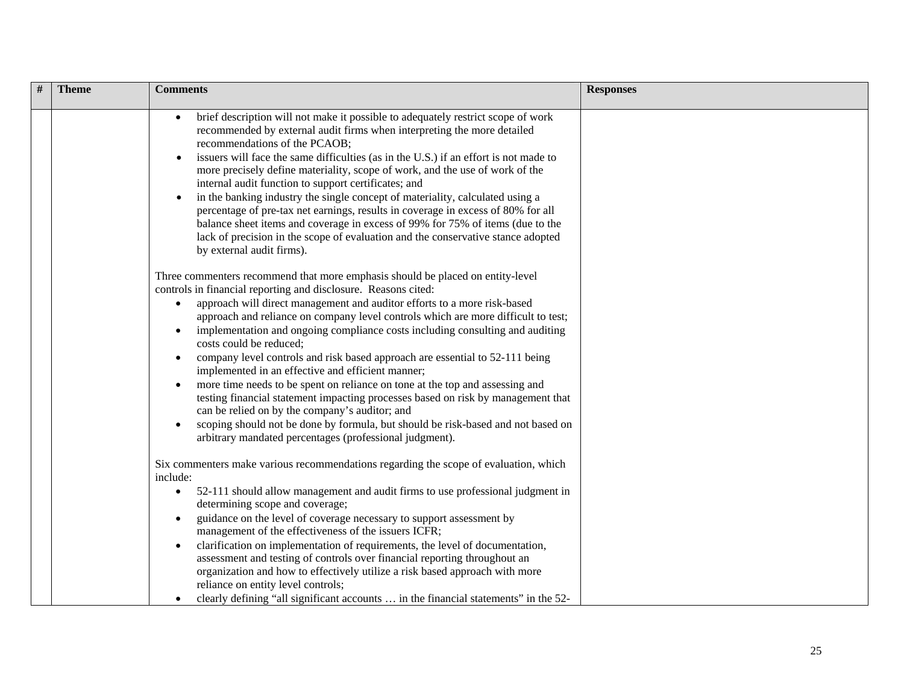| # | <b>Theme</b> | <b>Comments</b>                                                                                                                                                                                                                                                                                                                                                                                                                                                                                                                                                                                                                                                                                                                                                                                                                                                                                                                                      | <b>Responses</b> |
|---|--------------|------------------------------------------------------------------------------------------------------------------------------------------------------------------------------------------------------------------------------------------------------------------------------------------------------------------------------------------------------------------------------------------------------------------------------------------------------------------------------------------------------------------------------------------------------------------------------------------------------------------------------------------------------------------------------------------------------------------------------------------------------------------------------------------------------------------------------------------------------------------------------------------------------------------------------------------------------|------------------|
|   |              | brief description will not make it possible to adequately restrict scope of work<br>recommended by external audit firms when interpreting the more detailed<br>recommendations of the PCAOB;<br>issuers will face the same difficulties (as in the U.S.) if an effort is not made to<br>more precisely define materiality, scope of work, and the use of work of the<br>internal audit function to support certificates; and<br>in the banking industry the single concept of materiality, calculated using a<br>percentage of pre-tax net earnings, results in coverage in excess of 80% for all<br>balance sheet items and coverage in excess of 99% for 75% of items (due to the<br>lack of precision in the scope of evaluation and the conservative stance adopted<br>by external audit firms).                                                                                                                                                 |                  |
|   |              | Three commenters recommend that more emphasis should be placed on entity-level<br>controls in financial reporting and disclosure. Reasons cited:<br>approach will direct management and auditor efforts to a more risk-based<br>$\bullet$<br>approach and reliance on company level controls which are more difficult to test;<br>implementation and ongoing compliance costs including consulting and auditing<br>costs could be reduced;<br>company level controls and risk based approach are essential to 52-111 being<br>implemented in an effective and efficient manner;<br>more time needs to be spent on reliance on tone at the top and assessing and<br>testing financial statement impacting processes based on risk by management that<br>can be relied on by the company's auditor; and<br>scoping should not be done by formula, but should be risk-based and not based on<br>arbitrary mandated percentages (professional judgment). |                  |
|   |              | Six commenters make various recommendations regarding the scope of evaluation, which<br>include:<br>52-111 should allow management and audit firms to use professional judgment in<br>$\bullet$<br>determining scope and coverage;<br>guidance on the level of coverage necessary to support assessment by<br>management of the effectiveness of the issuers ICFR;<br>clarification on implementation of requirements, the level of documentation,<br>assessment and testing of controls over financial reporting throughout an<br>organization and how to effectively utilize a risk based approach with more<br>reliance on entity level controls;<br>clearly defining "all significant accounts  in the financial statements" in the 52-                                                                                                                                                                                                          |                  |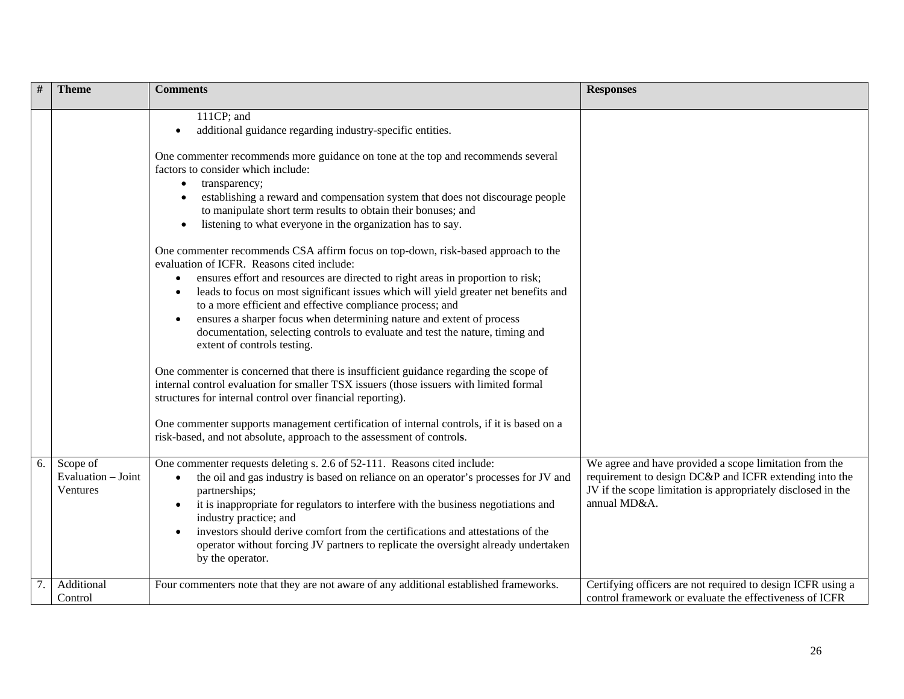|    | <b>Theme</b>                               | <b>Comments</b>                                                                                                                                                                                                                                                                                                                                                                                                                                                                                                                                                                                                                                                                                                                                                                                                                                                                                                                                                                                                    | <b>Responses</b>                                                                                                                                                                                 |
|----|--------------------------------------------|--------------------------------------------------------------------------------------------------------------------------------------------------------------------------------------------------------------------------------------------------------------------------------------------------------------------------------------------------------------------------------------------------------------------------------------------------------------------------------------------------------------------------------------------------------------------------------------------------------------------------------------------------------------------------------------------------------------------------------------------------------------------------------------------------------------------------------------------------------------------------------------------------------------------------------------------------------------------------------------------------------------------|--------------------------------------------------------------------------------------------------------------------------------------------------------------------------------------------------|
|    |                                            | 111CP; and<br>additional guidance regarding industry-specific entities.<br>One commenter recommends more guidance on tone at the top and recommends several<br>factors to consider which include:<br>transparency;<br>establishing a reward and compensation system that does not discourage people<br>to manipulate short term results to obtain their bonuses; and<br>listening to what everyone in the organization has to say.<br>One commenter recommends CSA affirm focus on top-down, risk-based approach to the<br>evaluation of ICFR. Reasons cited include:<br>ensures effort and resources are directed to right areas in proportion to risk;<br>leads to focus on most significant issues which will yield greater net benefits and<br>$\bullet$<br>to a more efficient and effective compliance process; and<br>ensures a sharper focus when determining nature and extent of process<br>documentation, selecting controls to evaluate and test the nature, timing and<br>extent of controls testing. |                                                                                                                                                                                                  |
|    |                                            | One commenter is concerned that there is insufficient guidance regarding the scope of<br>internal control evaluation for smaller TSX issuers (those issuers with limited formal<br>structures for internal control over financial reporting).                                                                                                                                                                                                                                                                                                                                                                                                                                                                                                                                                                                                                                                                                                                                                                      |                                                                                                                                                                                                  |
|    |                                            | One commenter supports management certification of internal controls, if it is based on a<br>risk-based, and not absolute, approach to the assessment of controls.                                                                                                                                                                                                                                                                                                                                                                                                                                                                                                                                                                                                                                                                                                                                                                                                                                                 |                                                                                                                                                                                                  |
| 6. | Scope of<br>Evaluation - Joint<br>Ventures | One commenter requests deleting s. 2.6 of 52-111. Reasons cited include:<br>the oil and gas industry is based on reliance on an operator's processes for JV and<br>$\bullet$<br>partnerships;<br>it is inappropriate for regulators to interfere with the business negotiations and<br>$\bullet$<br>industry practice; and<br>investors should derive comfort from the certifications and attestations of the<br>operator without forcing JV partners to replicate the oversight already undertaken<br>by the operator.                                                                                                                                                                                                                                                                                                                                                                                                                                                                                            | We agree and have provided a scope limitation from the<br>requirement to design DC&P and ICFR extending into the<br>JV if the scope limitation is appropriately disclosed in the<br>annual MD&A. |
|    | Additional<br>Control                      | Four commenters note that they are not aware of any additional established frameworks.                                                                                                                                                                                                                                                                                                                                                                                                                                                                                                                                                                                                                                                                                                                                                                                                                                                                                                                             | Certifying officers are not required to design ICFR using a<br>control framework or evaluate the effectiveness of ICFR                                                                           |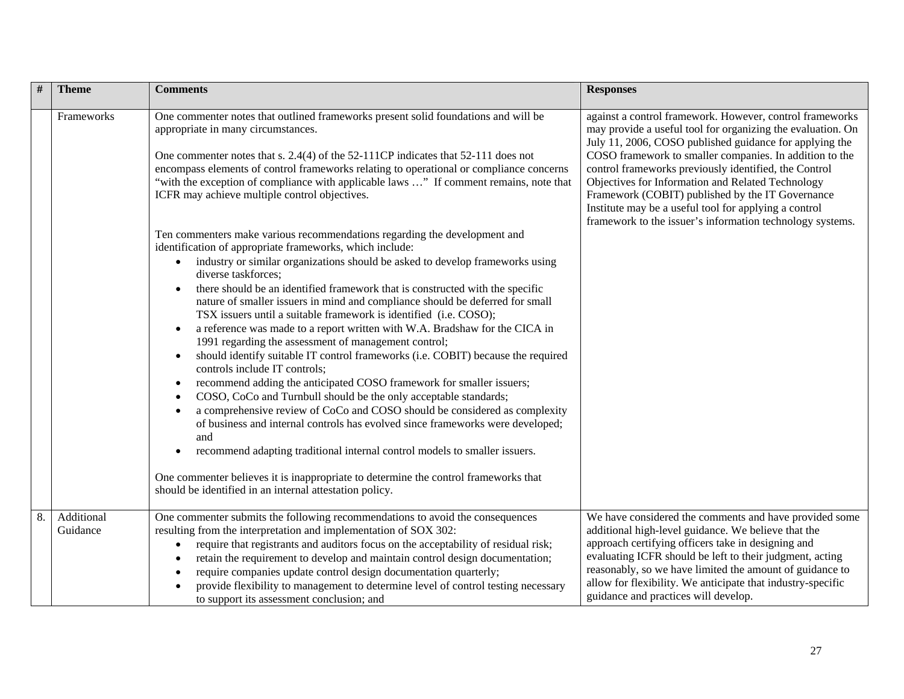| #  | <b>Theme</b>           | <b>Comments</b>                                                                                                                                                                                                                                                                                                                                                                                                                                                                                                                                                                                                                                                                                                                                                                                                                                                                                                                                                                                                                                                                           | <b>Responses</b>                                                                                                                                                                                                                                                                                                                                                                                                                                                                                                                      |
|----|------------------------|-------------------------------------------------------------------------------------------------------------------------------------------------------------------------------------------------------------------------------------------------------------------------------------------------------------------------------------------------------------------------------------------------------------------------------------------------------------------------------------------------------------------------------------------------------------------------------------------------------------------------------------------------------------------------------------------------------------------------------------------------------------------------------------------------------------------------------------------------------------------------------------------------------------------------------------------------------------------------------------------------------------------------------------------------------------------------------------------|---------------------------------------------------------------------------------------------------------------------------------------------------------------------------------------------------------------------------------------------------------------------------------------------------------------------------------------------------------------------------------------------------------------------------------------------------------------------------------------------------------------------------------------|
|    | Frameworks             | One commenter notes that outlined frameworks present solid foundations and will be<br>appropriate in many circumstances.<br>One commenter notes that s. 2.4(4) of the 52-111CP indicates that 52-111 does not<br>encompass elements of control frameworks relating to operational or compliance concerns<br>"with the exception of compliance with applicable laws " If comment remains, note that<br>ICFR may achieve multiple control objectives.<br>Ten commenters make various recommendations regarding the development and<br>identification of appropriate frameworks, which include:<br>industry or similar organizations should be asked to develop frameworks using<br>$\bullet$<br>diverse taskforces:                                                                                                                                                                                                                                                                                                                                                                         | against a control framework. However, control frameworks<br>may provide a useful tool for organizing the evaluation. On<br>July 11, 2006, COSO published guidance for applying the<br>COSO framework to smaller companies. In addition to the<br>control frameworks previously identified, the Control<br>Objectives for Information and Related Technology<br>Framework (COBIT) published by the IT Governance<br>Institute may be a useful tool for applying a control<br>framework to the issuer's information technology systems. |
|    |                        | there should be an identified framework that is constructed with the specific<br>nature of smaller issuers in mind and compliance should be deferred for small<br>TSX issuers until a suitable framework is identified (i.e. COSO);<br>a reference was made to a report written with W.A. Bradshaw for the CICA in<br>$\bullet$<br>1991 regarding the assessment of management control;<br>should identify suitable IT control frameworks (i.e. COBIT) because the required<br>$\bullet$<br>controls include IT controls;<br>recommend adding the anticipated COSO framework for smaller issuers;<br>$\bullet$<br>COSO, CoCo and Turnbull should be the only acceptable standards;<br>a comprehensive review of CoCo and COSO should be considered as complexity<br>of business and internal controls has evolved since frameworks were developed;<br>and<br>recommend adapting traditional internal control models to smaller issuers.<br>One commenter believes it is inappropriate to determine the control frameworks that<br>should be identified in an internal attestation policy. |                                                                                                                                                                                                                                                                                                                                                                                                                                                                                                                                       |
| 8. | Additional<br>Guidance | One commenter submits the following recommendations to avoid the consequences<br>resulting from the interpretation and implementation of SOX 302:<br>require that registrants and auditors focus on the acceptability of residual risk;<br>retain the requirement to develop and maintain control design documentation;<br>require companies update control design documentation quarterly;<br>provide flexibility to management to determine level of control testing necessary<br>to support its assessment conclusion; and                                                                                                                                                                                                                                                                                                                                                                                                                                                                                                                                                             | We have considered the comments and have provided some<br>additional high-level guidance. We believe that the<br>approach certifying officers take in designing and<br>evaluating ICFR should be left to their judgment, acting<br>reasonably, so we have limited the amount of guidance to<br>allow for flexibility. We anticipate that industry-specific<br>guidance and practices will develop.                                                                                                                                    |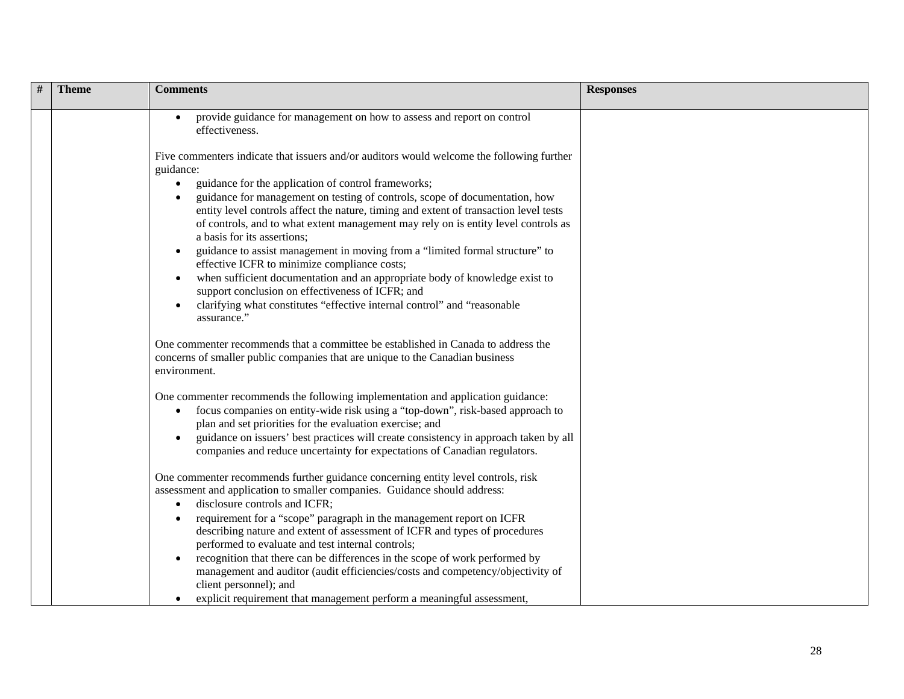| $\#$ | <b>Theme</b> | <b>Comments</b>                                                                                                                                                                                                                                                                                                                                                                                                                                                                                                                                                                                                                                                                                                                                                                                                                       | <b>Responses</b> |
|------|--------------|---------------------------------------------------------------------------------------------------------------------------------------------------------------------------------------------------------------------------------------------------------------------------------------------------------------------------------------------------------------------------------------------------------------------------------------------------------------------------------------------------------------------------------------------------------------------------------------------------------------------------------------------------------------------------------------------------------------------------------------------------------------------------------------------------------------------------------------|------------------|
|      |              | provide guidance for management on how to assess and report on control<br>effectiveness.                                                                                                                                                                                                                                                                                                                                                                                                                                                                                                                                                                                                                                                                                                                                              |                  |
|      |              | Five commenters indicate that issuers and/or auditors would welcome the following further<br>guidance:<br>guidance for the application of control frameworks;<br>$\bullet$<br>guidance for management on testing of controls, scope of documentation, how<br>entity level controls affect the nature, timing and extent of transaction level tests<br>of controls, and to what extent management may rely on is entity level controls as<br>a basis for its assertions;<br>guidance to assist management in moving from a "limited formal structure" to<br>effective ICFR to minimize compliance costs;<br>when sufficient documentation and an appropriate body of knowledge exist to<br>support conclusion on effectiveness of ICFR; and<br>clarifying what constitutes "effective internal control" and "reasonable<br>assurance." |                  |
|      |              | One commenter recommends that a committee be established in Canada to address the<br>concerns of smaller public companies that are unique to the Canadian business<br>environment.                                                                                                                                                                                                                                                                                                                                                                                                                                                                                                                                                                                                                                                    |                  |
|      |              | One commenter recommends the following implementation and application guidance:<br>focus companies on entity-wide risk using a "top-down", risk-based approach to<br>$\bullet$<br>plan and set priorities for the evaluation exercise; and<br>guidance on issuers' best practices will create consistency in approach taken by all<br>companies and reduce uncertainty for expectations of Canadian regulators.                                                                                                                                                                                                                                                                                                                                                                                                                       |                  |
|      |              | One commenter recommends further guidance concerning entity level controls, risk<br>assessment and application to smaller companies. Guidance should address:<br>disclosure controls and ICFR;<br>requirement for a "scope" paragraph in the management report on ICFR<br>describing nature and extent of assessment of ICFR and types of procedures<br>performed to evaluate and test internal controls;<br>recognition that there can be differences in the scope of work performed by<br>management and auditor (audit efficiencies/costs and competency/objectivity of<br>client personnel); and<br>explicit requirement that management perform a meaningful assessment,                                                                                                                                                         |                  |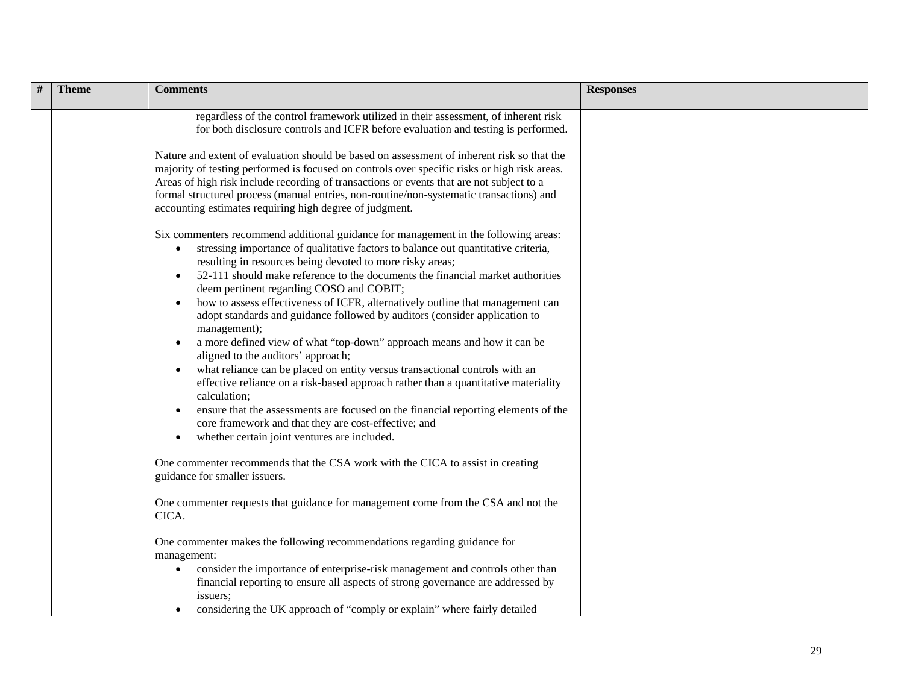| <b>Theme</b> | <b>Comments</b>                                                                                                                                                                                                                                                                                                                                                                                                                                                                                                                                                                                                                                                                                                                                                                                                                                                                                                                                                                                                                                                                                | <b>Responses</b> |
|--------------|------------------------------------------------------------------------------------------------------------------------------------------------------------------------------------------------------------------------------------------------------------------------------------------------------------------------------------------------------------------------------------------------------------------------------------------------------------------------------------------------------------------------------------------------------------------------------------------------------------------------------------------------------------------------------------------------------------------------------------------------------------------------------------------------------------------------------------------------------------------------------------------------------------------------------------------------------------------------------------------------------------------------------------------------------------------------------------------------|------------------|
|              | regardless of the control framework utilized in their assessment, of inherent risk<br>for both disclosure controls and ICFR before evaluation and testing is performed.                                                                                                                                                                                                                                                                                                                                                                                                                                                                                                                                                                                                                                                                                                                                                                                                                                                                                                                        |                  |
|              | Nature and extent of evaluation should be based on assessment of inherent risk so that the<br>majority of testing performed is focused on controls over specific risks or high risk areas.<br>Areas of high risk include recording of transactions or events that are not subject to a<br>formal structured process (manual entries, non-routine/non-systematic transactions) and<br>accounting estimates requiring high degree of judgment.                                                                                                                                                                                                                                                                                                                                                                                                                                                                                                                                                                                                                                                   |                  |
|              | Six commenters recommend additional guidance for management in the following areas:<br>stressing importance of qualitative factors to balance out quantitative criteria,<br>$\bullet$<br>resulting in resources being devoted to more risky areas;<br>52-111 should make reference to the documents the financial market authorities<br>deem pertinent regarding COSO and COBIT;<br>how to assess effectiveness of ICFR, alternatively outline that management can<br>adopt standards and guidance followed by auditors (consider application to<br>management);<br>a more defined view of what "top-down" approach means and how it can be<br>$\bullet$<br>aligned to the auditors' approach;<br>what reliance can be placed on entity versus transactional controls with an<br>effective reliance on a risk-based approach rather than a quantitative materiality<br>calculation;<br>ensure that the assessments are focused on the financial reporting elements of the<br>core framework and that they are cost-effective; and<br>whether certain joint ventures are included.<br>$\bullet$ |                  |
|              | One commenter recommends that the CSA work with the CICA to assist in creating<br>guidance for smaller issuers.                                                                                                                                                                                                                                                                                                                                                                                                                                                                                                                                                                                                                                                                                                                                                                                                                                                                                                                                                                                |                  |
|              | One commenter requests that guidance for management come from the CSA and not the<br>CICA.                                                                                                                                                                                                                                                                                                                                                                                                                                                                                                                                                                                                                                                                                                                                                                                                                                                                                                                                                                                                     |                  |
|              | One commenter makes the following recommendations regarding guidance for<br>management:<br>consider the importance of enterprise-risk management and controls other than<br>$\bullet$<br>financial reporting to ensure all aspects of strong governance are addressed by<br>issuers;<br>considering the UK approach of "comply or explain" where fairly detailed                                                                                                                                                                                                                                                                                                                                                                                                                                                                                                                                                                                                                                                                                                                               |                  |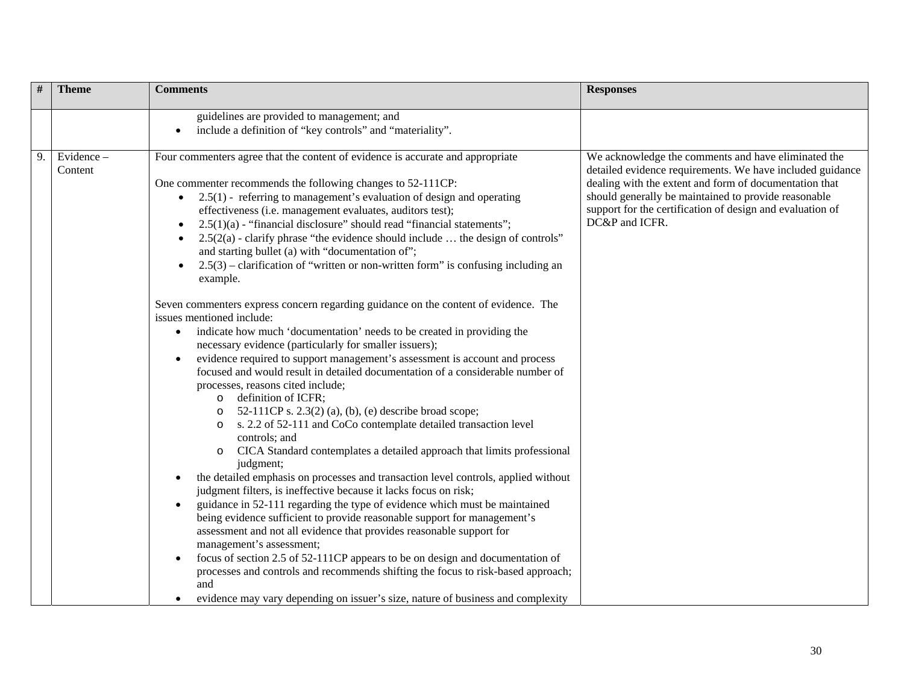| #  | <b>Theme</b>         | <b>Comments</b>                                                                                                                                                                                                                                                                                                                                                                                                                                                                                                                                                                                                                                                                                                                                                                                                                                                                                                                                                                                                           | <b>Responses</b>                                                                                                                                                                                                                                                                                                  |
|----|----------------------|---------------------------------------------------------------------------------------------------------------------------------------------------------------------------------------------------------------------------------------------------------------------------------------------------------------------------------------------------------------------------------------------------------------------------------------------------------------------------------------------------------------------------------------------------------------------------------------------------------------------------------------------------------------------------------------------------------------------------------------------------------------------------------------------------------------------------------------------------------------------------------------------------------------------------------------------------------------------------------------------------------------------------|-------------------------------------------------------------------------------------------------------------------------------------------------------------------------------------------------------------------------------------------------------------------------------------------------------------------|
|    |                      | guidelines are provided to management; and<br>include a definition of "key controls" and "materiality".                                                                                                                                                                                                                                                                                                                                                                                                                                                                                                                                                                                                                                                                                                                                                                                                                                                                                                                   |                                                                                                                                                                                                                                                                                                                   |
| 9. | Evidence-<br>Content | Four commenters agree that the content of evidence is accurate and appropriate<br>One commenter recommends the following changes to 52-111CP:<br>• $2.5(1)$ - referring to management's evaluation of design and operating<br>effectiveness (i.e. management evaluates, auditors test);<br>$2.5(1)(a)$ - "financial disclosure" should read "financial statements";<br>$2.5(2(a)$ - clarify phrase "the evidence should include  the design of controls"<br>and starting bullet (a) with "documentation of";<br>$2.5(3)$ – clarification of "written or non-written form" is confusing including an<br>example.                                                                                                                                                                                                                                                                                                                                                                                                           | We acknowledge the comments and have eliminated the<br>detailed evidence requirements. We have included guidance<br>dealing with the extent and form of documentation that<br>should generally be maintained to provide reasonable<br>support for the certification of design and evaluation of<br>DC&P and ICFR. |
|    |                      | Seven commenters express concern regarding guidance on the content of evidence. The<br>issues mentioned include:<br>indicate how much 'documentation' needs to be created in providing the<br>$\bullet$<br>necessary evidence (particularly for smaller issuers);<br>evidence required to support management's assessment is account and process<br>focused and would result in detailed documentation of a considerable number of<br>processes, reasons cited include;<br>definition of ICFR;<br>$\circ$<br>52-111CP s. 2.3(2) (a), (b), (e) describe broad scope;<br>$\circ$<br>s. 2.2 of 52-111 and CoCo contemplate detailed transaction level<br>$\circ$<br>controls; and<br>CICA Standard contemplates a detailed approach that limits professional<br>$\circ$<br>judgment;<br>the detailed emphasis on processes and transaction level controls, applied without<br>judgment filters, is ineffective because it lacks focus on risk;<br>guidance in 52-111 regarding the type of evidence which must be maintained |                                                                                                                                                                                                                                                                                                                   |
|    |                      | being evidence sufficient to provide reasonable support for management's<br>assessment and not all evidence that provides reasonable support for<br>management's assessment;<br>focus of section 2.5 of 52-111CP appears to be on design and documentation of<br>processes and controls and recommends shifting the focus to risk-based approach;<br>and<br>evidence may vary depending on issuer's size, nature of business and complexity                                                                                                                                                                                                                                                                                                                                                                                                                                                                                                                                                                               |                                                                                                                                                                                                                                                                                                                   |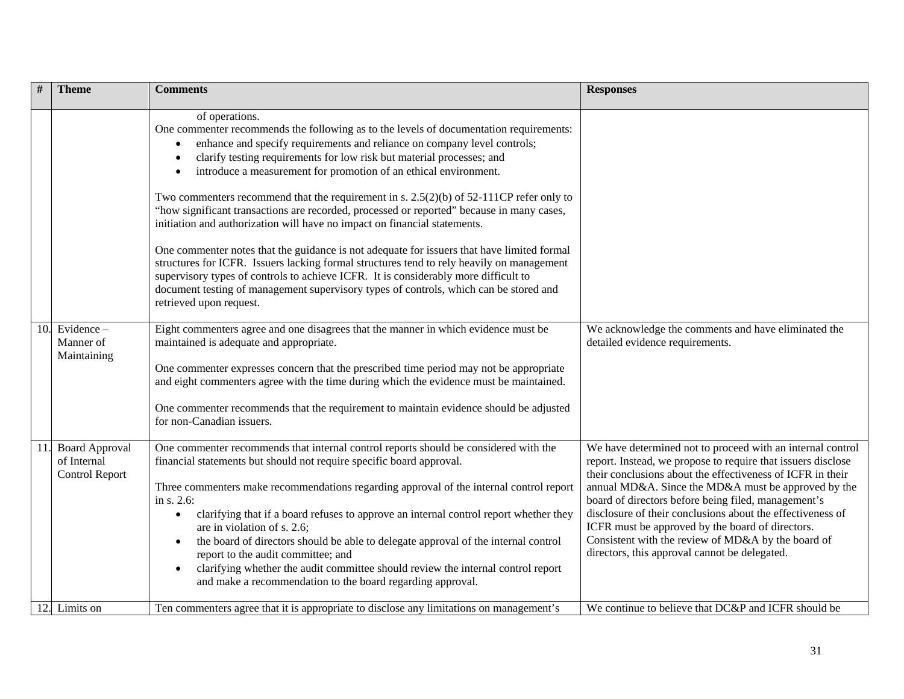|     | <b>Theme</b>                                                  | <b>Comments</b>                                                                                                                                                                                                                                                                                                                                                                                                                                                                                                                                                                                                                                                                                                                                                                                                                                                                                                                                                                                                  | <b>Responses</b>                                                                                                                                                                                                                                                                                                                                                                                                                                                                                                                |
|-----|---------------------------------------------------------------|------------------------------------------------------------------------------------------------------------------------------------------------------------------------------------------------------------------------------------------------------------------------------------------------------------------------------------------------------------------------------------------------------------------------------------------------------------------------------------------------------------------------------------------------------------------------------------------------------------------------------------------------------------------------------------------------------------------------------------------------------------------------------------------------------------------------------------------------------------------------------------------------------------------------------------------------------------------------------------------------------------------|---------------------------------------------------------------------------------------------------------------------------------------------------------------------------------------------------------------------------------------------------------------------------------------------------------------------------------------------------------------------------------------------------------------------------------------------------------------------------------------------------------------------------------|
|     |                                                               | of operations.<br>One commenter recommends the following as to the levels of documentation requirements:<br>enhance and specify requirements and reliance on company level controls;<br>clarify testing requirements for low risk but material processes; and<br>introduce a measurement for promotion of an ethical environment.<br>Two commenters recommend that the requirement in s. $2.5(2)(b)$ of $52-111CP$ refer only to<br>"how significant transactions are recorded, processed or reported" because in many cases,<br>initiation and authorization will have no impact on financial statements.<br>One commenter notes that the guidance is not adequate for issuers that have limited formal<br>structures for ICFR. Issuers lacking formal structures tend to rely heavily on management<br>supervisory types of controls to achieve ICFR. It is considerably more difficult to<br>document testing of management supervisory types of controls, which can be stored and<br>retrieved upon request. |                                                                                                                                                                                                                                                                                                                                                                                                                                                                                                                                 |
|     | 10. Evidence $-$<br>Manner of<br>Maintaining                  | Eight commenters agree and one disagrees that the manner in which evidence must be<br>maintained is adequate and appropriate.<br>One commenter expresses concern that the prescribed time period may not be appropriate<br>and eight commenters agree with the time during which the evidence must be maintained.<br>One commenter recommends that the requirement to maintain evidence should be adjusted<br>for non-Canadian issuers.                                                                                                                                                                                                                                                                                                                                                                                                                                                                                                                                                                          | We acknowledge the comments and have eliminated the<br>detailed evidence requirements.                                                                                                                                                                                                                                                                                                                                                                                                                                          |
| 11. | <b>Board Approval</b><br>of Internal<br><b>Control Report</b> | One commenter recommends that internal control reports should be considered with the<br>financial statements but should not require specific board approval.<br>Three commenters make recommendations regarding approval of the internal control report<br>in s. 2.6:<br>clarifying that if a board refuses to approve an internal control report whether they<br>$\bullet$<br>are in violation of s. 2.6;<br>the board of directors should be able to delegate approval of the internal control<br>report to the audit committee; and<br>clarifying whether the audit committee should review the internal control report<br>$\bullet$<br>and make a recommendation to the board regarding approval.                                                                                                                                                                                                                                                                                                            | We have determined not to proceed with an internal control<br>report. Instead, we propose to require that issuers disclose<br>their conclusions about the effectiveness of ICFR in their<br>annual MD&A. Since the MD&A must be approved by the<br>board of directors before being filed, management's<br>disclosure of their conclusions about the effectiveness of<br>ICFR must be approved by the board of directors.<br>Consistent with the review of MD&A by the board of<br>directors, this approval cannot be delegated. |
|     | 12. Limits on                                                 | Ten commenters agree that it is appropriate to disclose any limitations on management's                                                                                                                                                                                                                                                                                                                                                                                                                                                                                                                                                                                                                                                                                                                                                                                                                                                                                                                          | We continue to believe that DC&P and ICFR should be                                                                                                                                                                                                                                                                                                                                                                                                                                                                             |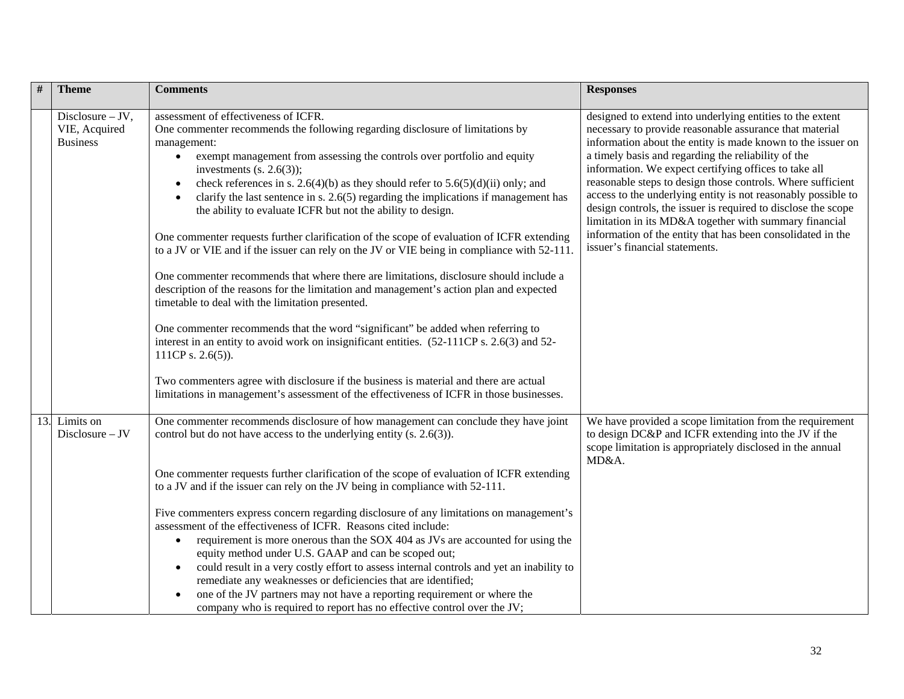| $\#$ | <b>Theme</b>                                           | <b>Comments</b>                                                                                                                                                                                                                                                                                                                                                                                                                                                                                                                                                                                                                                                                                                                                                                                                                                                                                                                                                                                                                                                                                                                                                                                                                                                                                                                                | <b>Responses</b>                                                                                                                                                                                                                                                                                                                                                                                                                                                                                                                                                                                                                                                |
|------|--------------------------------------------------------|------------------------------------------------------------------------------------------------------------------------------------------------------------------------------------------------------------------------------------------------------------------------------------------------------------------------------------------------------------------------------------------------------------------------------------------------------------------------------------------------------------------------------------------------------------------------------------------------------------------------------------------------------------------------------------------------------------------------------------------------------------------------------------------------------------------------------------------------------------------------------------------------------------------------------------------------------------------------------------------------------------------------------------------------------------------------------------------------------------------------------------------------------------------------------------------------------------------------------------------------------------------------------------------------------------------------------------------------|-----------------------------------------------------------------------------------------------------------------------------------------------------------------------------------------------------------------------------------------------------------------------------------------------------------------------------------------------------------------------------------------------------------------------------------------------------------------------------------------------------------------------------------------------------------------------------------------------------------------------------------------------------------------|
|      | $Disclosure - JV,$<br>VIE, Acquired<br><b>Business</b> | assessment of effectiveness of ICFR.<br>One commenter recommends the following regarding disclosure of limitations by<br>management:<br>exempt management from assessing the controls over portfolio and equity<br>$\bullet$<br>investments $(s. 2.6(3))$ ;<br>check references in s. 2.6(4)(b) as they should refer to $5.6(5)(d)(ii)$ only; and<br>clarify the last sentence in s. $2.6(5)$ regarding the implications if management has<br>the ability to evaluate ICFR but not the ability to design.<br>One commenter requests further clarification of the scope of evaluation of ICFR extending<br>to a JV or VIE and if the issuer can rely on the JV or VIE being in compliance with 52-111.<br>One commenter recommends that where there are limitations, disclosure should include a<br>description of the reasons for the limitation and management's action plan and expected<br>timetable to deal with the limitation presented.<br>One commenter recommends that the word "significant" be added when referring to<br>interest in an entity to avoid work on insignificant entities. $(52-111CP s. 2.6(3)$ and 52-<br>111CP s. $2.6(5)$ ).<br>Two commenters agree with disclosure if the business is material and there are actual<br>limitations in management's assessment of the effectiveness of ICFR in those businesses. | designed to extend into underlying entities to the extent<br>necessary to provide reasonable assurance that material<br>information about the entity is made known to the issuer on<br>a timely basis and regarding the reliability of the<br>information. We expect certifying offices to take all<br>reasonable steps to design those controls. Where sufficient<br>access to the underlying entity is not reasonably possible to<br>design controls, the issuer is required to disclose the scope<br>limitation in its MD&A together with summary financial<br>information of the entity that has been consolidated in the<br>issuer's financial statements. |
| 13.  | Limits on<br>$Disclosure - JV$                         | One commenter recommends disclosure of how management can conclude they have joint<br>control but do not have access to the underlying entity (s. 2.6(3)).<br>One commenter requests further clarification of the scope of evaluation of ICFR extending<br>to a JV and if the issuer can rely on the JV being in compliance with 52-111.<br>Five commenters express concern regarding disclosure of any limitations on management's<br>assessment of the effectiveness of ICFR. Reasons cited include:<br>requirement is more onerous than the SOX 404 as JVs are accounted for using the<br>$\bullet$<br>equity method under U.S. GAAP and can be scoped out;<br>could result in a very costly effort to assess internal controls and yet an inability to<br>$\bullet$<br>remediate any weaknesses or deficiencies that are identified;<br>one of the JV partners may not have a reporting requirement or where the<br>٠<br>company who is required to report has no effective control over the JV;                                                                                                                                                                                                                                                                                                                                           | We have provided a scope limitation from the requirement<br>to design DC&P and ICFR extending into the JV if the<br>scope limitation is appropriately disclosed in the annual<br>MD&A.                                                                                                                                                                                                                                                                                                                                                                                                                                                                          |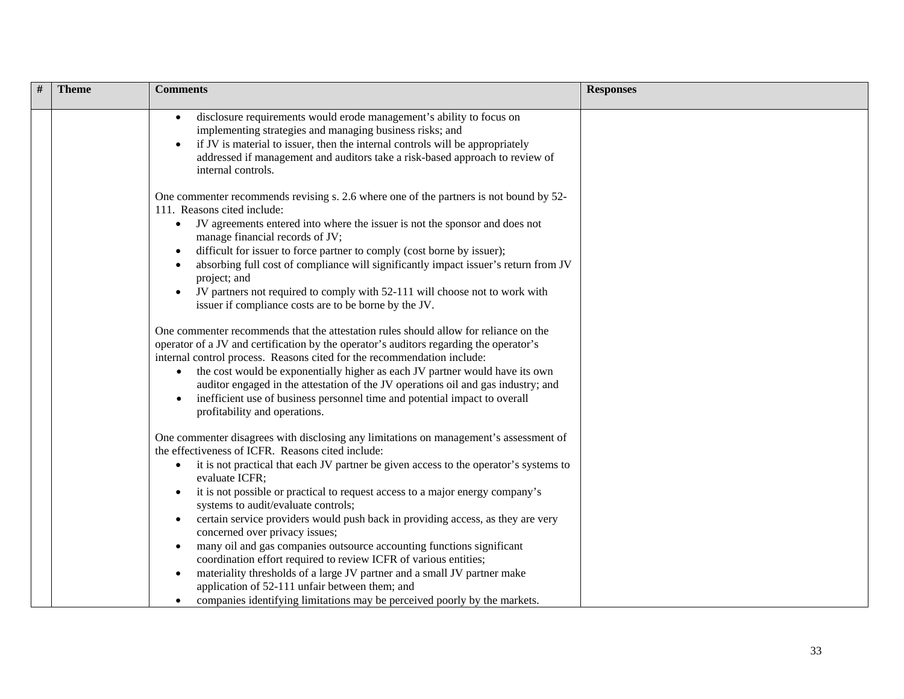| # | <b>Theme</b> | <b>Comments</b>                                                                                                                                                                                                                                                                                                                                                                                                                                                                                                                                                                                                                                                                                                                                                                                                                                                                                                                                                       | <b>Responses</b> |
|---|--------------|-----------------------------------------------------------------------------------------------------------------------------------------------------------------------------------------------------------------------------------------------------------------------------------------------------------------------------------------------------------------------------------------------------------------------------------------------------------------------------------------------------------------------------------------------------------------------------------------------------------------------------------------------------------------------------------------------------------------------------------------------------------------------------------------------------------------------------------------------------------------------------------------------------------------------------------------------------------------------|------------------|
|   |              | disclosure requirements would erode management's ability to focus on<br>implementing strategies and managing business risks; and<br>if JV is material to issuer, then the internal controls will be appropriately<br>addressed if management and auditors take a risk-based approach to review of<br>internal controls.                                                                                                                                                                                                                                                                                                                                                                                                                                                                                                                                                                                                                                               |                  |
|   |              | One commenter recommends revising s. 2.6 where one of the partners is not bound by 52-<br>111. Reasons cited include:                                                                                                                                                                                                                                                                                                                                                                                                                                                                                                                                                                                                                                                                                                                                                                                                                                                 |                  |
|   |              | JV agreements entered into where the issuer is not the sponsor and does not<br>$\bullet$<br>manage financial records of JV;<br>difficult for issuer to force partner to comply (cost borne by issuer);<br>absorbing full cost of compliance will significantly impact issuer's return from JV<br>project; and<br>JV partners not required to comply with 52-111 will choose not to work with<br>issuer if compliance costs are to be borne by the JV.<br>One commenter recommends that the attestation rules should allow for reliance on the<br>operator of a JV and certification by the operator's auditors regarding the operator's<br>internal control process. Reasons cited for the recommendation include:<br>the cost would be exponentially higher as each JV partner would have its own<br>auditor engaged in the attestation of the JV operations oil and gas industry; and<br>inefficient use of business personnel time and potential impact to overall |                  |
|   |              | profitability and operations.<br>One commenter disagrees with disclosing any limitations on management's assessment of<br>the effectiveness of ICFR. Reasons cited include:<br>it is not practical that each JV partner be given access to the operator's systems to<br>$\bullet$<br>evaluate ICFR;<br>it is not possible or practical to request access to a major energy company's<br>systems to audit/evaluate controls;<br>certain service providers would push back in providing access, as they are very<br>concerned over privacy issues;<br>many oil and gas companies outsource accounting functions significant<br>coordination effort required to review ICFR of various entities;<br>materiality thresholds of a large JV partner and a small JV partner make<br>$\bullet$<br>application of 52-111 unfair between them; and<br>companies identifying limitations may be perceived poorly by the markets.                                                 |                  |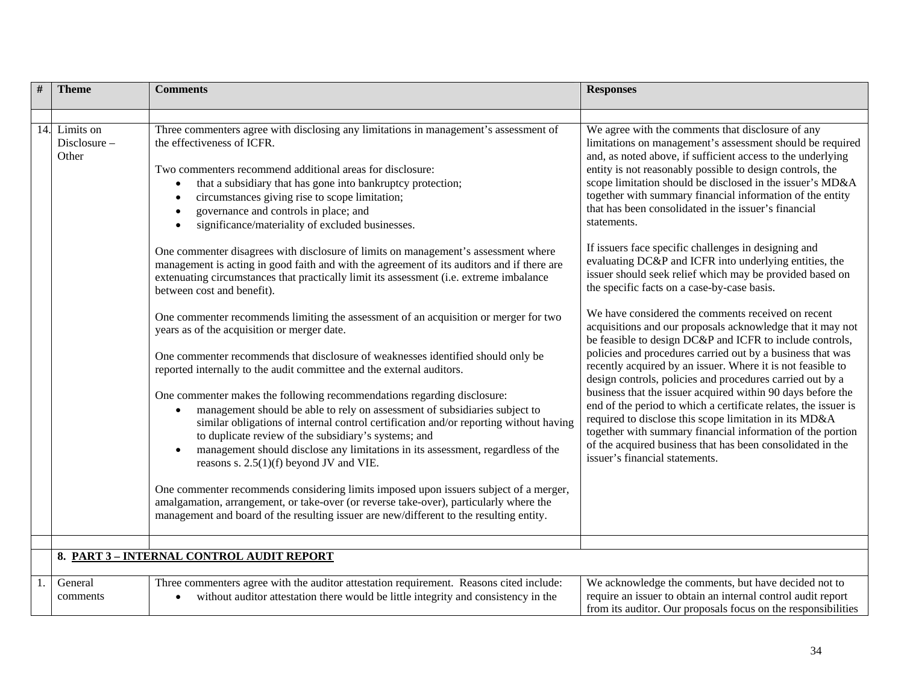| $\#$ | <b>Theme</b>                          | <b>Comments</b>                                                                                                                                                                                                                                                                                                                                                                                                                        | <b>Responses</b>                                                                                                                                                                                                                                                                                                                                                                                                                            |
|------|---------------------------------------|----------------------------------------------------------------------------------------------------------------------------------------------------------------------------------------------------------------------------------------------------------------------------------------------------------------------------------------------------------------------------------------------------------------------------------------|---------------------------------------------------------------------------------------------------------------------------------------------------------------------------------------------------------------------------------------------------------------------------------------------------------------------------------------------------------------------------------------------------------------------------------------------|
|      |                                       |                                                                                                                                                                                                                                                                                                                                                                                                                                        |                                                                                                                                                                                                                                                                                                                                                                                                                                             |
|      | 14. Limits on<br>Disclosure-<br>Other | Three commenters agree with disclosing any limitations in management's assessment of<br>the effectiveness of ICFR.<br>Two commenters recommend additional areas for disclosure:<br>that a subsidiary that has gone into bankruptcy protection;<br>circumstances giving rise to scope limitation;<br>governance and controls in place; and<br>significance/materiality of excluded businesses.                                          | We agree with the comments that disclosure of any<br>limitations on management's assessment should be required<br>and, as noted above, if sufficient access to the underlying<br>entity is not reasonably possible to design controls, the<br>scope limitation should be disclosed in the issuer's MD&A<br>together with summary financial information of the entity<br>that has been consolidated in the issuer's financial<br>statements. |
|      |                                       | One commenter disagrees with disclosure of limits on management's assessment where<br>management is acting in good faith and with the agreement of its auditors and if there are<br>extenuating circumstances that practically limit its assessment (i.e. extreme imbalance<br>between cost and benefit).                                                                                                                              | If issuers face specific challenges in designing and<br>evaluating DC&P and ICFR into underlying entities, the<br>issuer should seek relief which may be provided based on<br>the specific facts on a case-by-case basis.                                                                                                                                                                                                                   |
|      |                                       | One commenter recommends limiting the assessment of an acquisition or merger for two<br>years as of the acquisition or merger date.                                                                                                                                                                                                                                                                                                    | We have considered the comments received on recent<br>acquisitions and our proposals acknowledge that it may not<br>be feasible to design DC&P and ICFR to include controls,                                                                                                                                                                                                                                                                |
|      |                                       | One commenter recommends that disclosure of weaknesses identified should only be<br>reported internally to the audit committee and the external auditors.                                                                                                                                                                                                                                                                              | policies and procedures carried out by a business that was<br>recently acquired by an issuer. Where it is not feasible to<br>design controls, policies and procedures carried out by a                                                                                                                                                                                                                                                      |
|      |                                       | One commenter makes the following recommendations regarding disclosure:<br>management should be able to rely on assessment of subsidiaries subject to<br>similar obligations of internal control certification and/or reporting without having<br>to duplicate review of the subsidiary's systems; and<br>management should disclose any limitations in its assessment, regardless of the<br>reasons s. $2.5(1)(f)$ beyond JV and VIE. | business that the issuer acquired within 90 days before the<br>end of the period to which a certificate relates, the issuer is<br>required to disclose this scope limitation in its MD&A<br>together with summary financial information of the portion<br>of the acquired business that has been consolidated in the<br>issuer's financial statements.                                                                                      |
|      |                                       | One commenter recommends considering limits imposed upon issuers subject of a merger,<br>amalgamation, arrangement, or take-over (or reverse take-over), particularly where the<br>management and board of the resulting issuer are new/different to the resulting entity.                                                                                                                                                             |                                                                                                                                                                                                                                                                                                                                                                                                                                             |
|      |                                       |                                                                                                                                                                                                                                                                                                                                                                                                                                        |                                                                                                                                                                                                                                                                                                                                                                                                                                             |
|      |                                       | 8. PART 3 - INTERNAL CONTROL AUDIT REPORT                                                                                                                                                                                                                                                                                                                                                                                              |                                                                                                                                                                                                                                                                                                                                                                                                                                             |
|      | General<br>comments                   | Three commenters agree with the auditor attestation requirement. Reasons cited include:<br>without auditor attestation there would be little integrity and consistency in the                                                                                                                                                                                                                                                          | We acknowledge the comments, but have decided not to<br>require an issuer to obtain an internal control audit report<br>from its auditor. Our proposals focus on the responsibilities                                                                                                                                                                                                                                                       |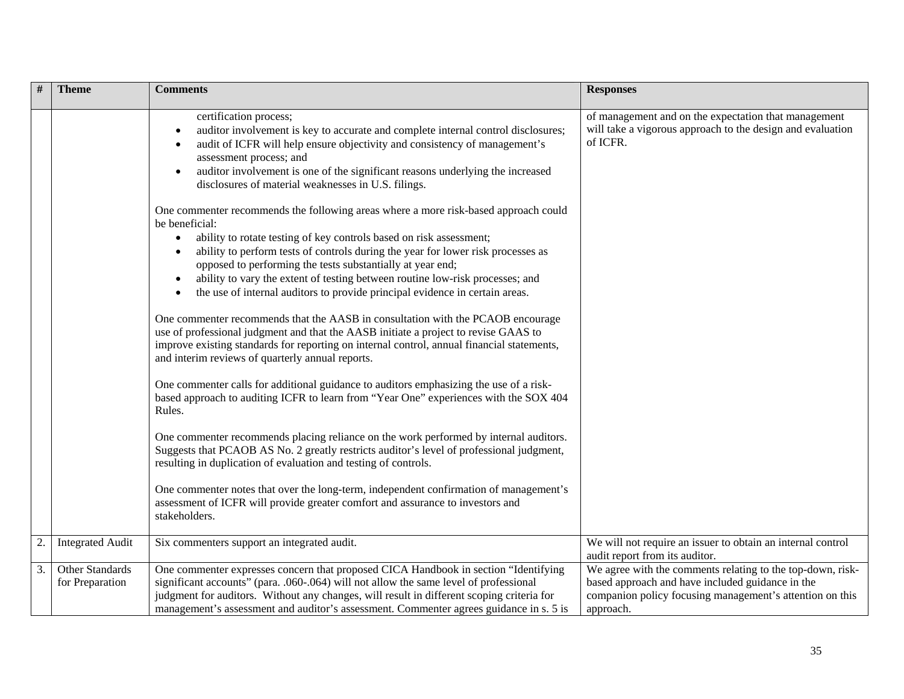| #  | <b>Theme</b>                       | <b>Comments</b>                                                                                                                                                                                                                                                                                                                                                                                                                                                                                                                                                                                                                                                           | <b>Responses</b>                                                                                                                                                                        |
|----|------------------------------------|---------------------------------------------------------------------------------------------------------------------------------------------------------------------------------------------------------------------------------------------------------------------------------------------------------------------------------------------------------------------------------------------------------------------------------------------------------------------------------------------------------------------------------------------------------------------------------------------------------------------------------------------------------------------------|-----------------------------------------------------------------------------------------------------------------------------------------------------------------------------------------|
|    |                                    | certification process;<br>auditor involvement is key to accurate and complete internal control disclosures;<br>audit of ICFR will help ensure objectivity and consistency of management's<br>assessment process; and<br>auditor involvement is one of the significant reasons underlying the increased<br>disclosures of material weaknesses in U.S. filings.                                                                                                                                                                                                                                                                                                             | of management and on the expectation that management<br>will take a vigorous approach to the design and evaluation<br>of ICFR.                                                          |
|    |                                    | One commenter recommends the following areas where a more risk-based approach could<br>be beneficial:<br>ability to rotate testing of key controls based on risk assessment;<br>ability to perform tests of controls during the year for lower risk processes as<br>opposed to performing the tests substantially at year end;<br>ability to vary the extent of testing between routine low-risk processes; and<br>the use of internal auditors to provide principal evidence in certain areas.<br>One commenter recommends that the AASB in consultation with the PCAOB encourage<br>use of professional judgment and that the AASB initiate a project to revise GAAS to |                                                                                                                                                                                         |
|    |                                    | improve existing standards for reporting on internal control, annual financial statements,<br>and interim reviews of quarterly annual reports.<br>One commenter calls for additional guidance to auditors emphasizing the use of a risk-<br>based approach to auditing ICFR to learn from "Year One" experiences with the SOX 404<br>Rules.                                                                                                                                                                                                                                                                                                                               |                                                                                                                                                                                         |
|    |                                    | One commenter recommends placing reliance on the work performed by internal auditors.<br>Suggests that PCAOB AS No. 2 greatly restricts auditor's level of professional judgment,<br>resulting in duplication of evaluation and testing of controls.                                                                                                                                                                                                                                                                                                                                                                                                                      |                                                                                                                                                                                         |
|    |                                    | One commenter notes that over the long-term, independent confirmation of management's<br>assessment of ICFR will provide greater comfort and assurance to investors and<br>stakeholders.                                                                                                                                                                                                                                                                                                                                                                                                                                                                                  |                                                                                                                                                                                         |
| 2. | <b>Integrated Audit</b>            | Six commenters support an integrated audit.                                                                                                                                                                                                                                                                                                                                                                                                                                                                                                                                                                                                                               | We will not require an issuer to obtain an internal control<br>audit report from its auditor.                                                                                           |
| 3. | Other Standards<br>for Preparation | One commenter expresses concern that proposed CICA Handbook in section "Identifying<br>significant accounts" (para. .060-.064) will not allow the same level of professional<br>judgment for auditors. Without any changes, will result in different scoping criteria for<br>management's assessment and auditor's assessment. Commenter agrees guidance in s. 5 is                                                                                                                                                                                                                                                                                                       | We agree with the comments relating to the top-down, risk-<br>based approach and have included guidance in the<br>companion policy focusing management's attention on this<br>approach. |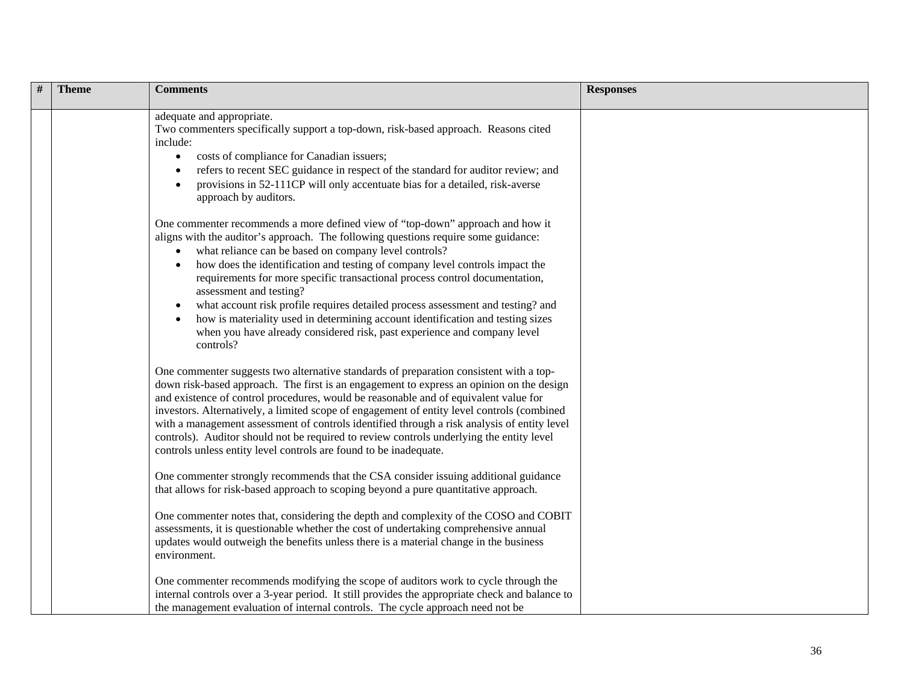| <b>Theme</b> | <b>Comments</b>                                                                                                                                                                                                                                                                                                                                                                                                                                                                                                                                                                                                                                                                                                  | <b>Responses</b> |
|--------------|------------------------------------------------------------------------------------------------------------------------------------------------------------------------------------------------------------------------------------------------------------------------------------------------------------------------------------------------------------------------------------------------------------------------------------------------------------------------------------------------------------------------------------------------------------------------------------------------------------------------------------------------------------------------------------------------------------------|------------------|
|              | adequate and appropriate.<br>Two commenters specifically support a top-down, risk-based approach. Reasons cited<br>include:<br>costs of compliance for Canadian issuers;<br>$\bullet$<br>refers to recent SEC guidance in respect of the standard for auditor review; and<br>provisions in 52-111CP will only accentuate bias for a detailed, risk-averse<br>approach by auditors.                                                                                                                                                                                                                                                                                                                               |                  |
|              | One commenter recommends a more defined view of "top-down" approach and how it<br>aligns with the auditor's approach. The following questions require some guidance:<br>what reliance can be based on company level controls?<br>$\bullet$<br>how does the identification and testing of company level controls impact the<br>requirements for more specific transactional process control documentation,<br>assessment and testing?<br>what account risk profile requires detailed process assessment and testing? and<br>$\bullet$<br>how is materiality used in determining account identification and testing sizes<br>when you have already considered risk, past experience and company level<br>controls? |                  |
|              | One commenter suggests two alternative standards of preparation consistent with a top-<br>down risk-based approach. The first is an engagement to express an opinion on the design<br>and existence of control procedures, would be reasonable and of equivalent value for<br>investors. Alternatively, a limited scope of engagement of entity level controls (combined<br>with a management assessment of controls identified through a risk analysis of entity level<br>controls). Auditor should not be required to review controls underlying the entity level<br>controls unless entity level controls are found to be inadequate.                                                                         |                  |
|              | One commenter strongly recommends that the CSA consider issuing additional guidance<br>that allows for risk-based approach to scoping beyond a pure quantitative approach.                                                                                                                                                                                                                                                                                                                                                                                                                                                                                                                                       |                  |
|              | One commenter notes that, considering the depth and complexity of the COSO and COBIT<br>assessments, it is questionable whether the cost of undertaking comprehensive annual<br>updates would outweigh the benefits unless there is a material change in the business<br>environment.                                                                                                                                                                                                                                                                                                                                                                                                                            |                  |
|              | One commenter recommends modifying the scope of auditors work to cycle through the<br>internal controls over a 3-year period. It still provides the appropriate check and balance to<br>the management evaluation of internal controls. The cycle approach need not be                                                                                                                                                                                                                                                                                                                                                                                                                                           |                  |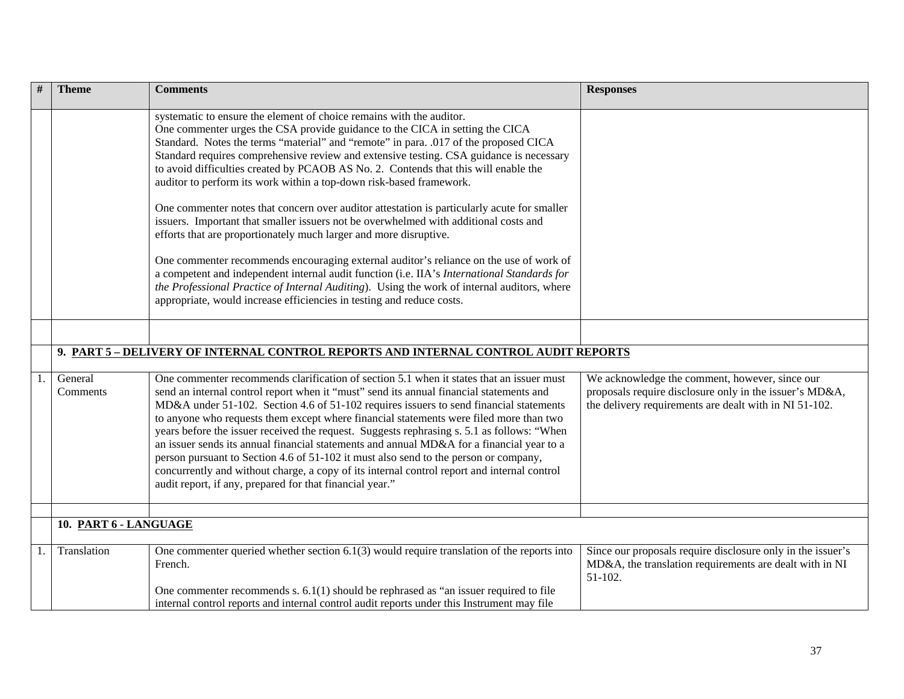| #  | <b>Theme</b>          | <b>Comments</b>                                                                                                                                                                                                                                                                                                                                                                                                                                                                                                                                                                                                                                                                                                                                                                                                       | <b>Responses</b>                                                                                                                                                    |
|----|-----------------------|-----------------------------------------------------------------------------------------------------------------------------------------------------------------------------------------------------------------------------------------------------------------------------------------------------------------------------------------------------------------------------------------------------------------------------------------------------------------------------------------------------------------------------------------------------------------------------------------------------------------------------------------------------------------------------------------------------------------------------------------------------------------------------------------------------------------------|---------------------------------------------------------------------------------------------------------------------------------------------------------------------|
|    |                       | systematic to ensure the element of choice remains with the auditor.<br>One commenter urges the CSA provide guidance to the CICA in setting the CICA<br>Standard. Notes the terms "material" and "remote" in para. .017 of the proposed CICA<br>Standard requires comprehensive review and extensive testing. CSA guidance is necessary<br>to avoid difficulties created by PCAOB AS No. 2. Contends that this will enable the<br>auditor to perform its work within a top-down risk-based framework.                                                                                                                                                                                                                                                                                                                 |                                                                                                                                                                     |
|    |                       | One commenter notes that concern over auditor attestation is particularly acute for smaller<br>issuers. Important that smaller issuers not be overwhelmed with additional costs and<br>efforts that are proportionately much larger and more disruptive.                                                                                                                                                                                                                                                                                                                                                                                                                                                                                                                                                              |                                                                                                                                                                     |
|    |                       | One commenter recommends encouraging external auditor's reliance on the use of work of<br>a competent and independent internal audit function (i.e. IIA's International Standards for<br>the Professional Practice of Internal Auditing). Using the work of internal auditors, where<br>appropriate, would increase efficiencies in testing and reduce costs.                                                                                                                                                                                                                                                                                                                                                                                                                                                         |                                                                                                                                                                     |
|    |                       |                                                                                                                                                                                                                                                                                                                                                                                                                                                                                                                                                                                                                                                                                                                                                                                                                       |                                                                                                                                                                     |
|    |                       | 9. PART 5 - DELIVERY OF INTERNAL CONTROL REPORTS AND INTERNAL CONTROL AUDIT REPORTS                                                                                                                                                                                                                                                                                                                                                                                                                                                                                                                                                                                                                                                                                                                                   |                                                                                                                                                                     |
| 1. | General<br>Comments   | One commenter recommends clarification of section 5.1 when it states that an issuer must<br>send an internal control report when it "must" send its annual financial statements and<br>MD&A under 51-102. Section 4.6 of 51-102 requires issuers to send financial statements<br>to anyone who requests them except where financial statements were filed more than two<br>years before the issuer received the request. Suggests rephrasing s. 5.1 as follows: "When<br>an issuer sends its annual financial statements and annual MD&A for a financial year to a<br>person pursuant to Section 4.6 of 51-102 it must also send to the person or company,<br>concurrently and without charge, a copy of its internal control report and internal control<br>audit report, if any, prepared for that financial year." | We acknowledge the comment, however, since our<br>proposals require disclosure only in the issuer's MD&A,<br>the delivery requirements are dealt with in NI 51-102. |
|    | 10. PART 6 - LANGUAGE |                                                                                                                                                                                                                                                                                                                                                                                                                                                                                                                                                                                                                                                                                                                                                                                                                       |                                                                                                                                                                     |
| 1. | Translation           | One commenter queried whether section $6.1(3)$ would require translation of the reports into<br>French.                                                                                                                                                                                                                                                                                                                                                                                                                                                                                                                                                                                                                                                                                                               | Since our proposals require disclosure only in the issuer's<br>MD&A, the translation requirements are dealt with in NI<br>$51-102.$                                 |
|    |                       | One commenter recommends $s. 6.1(1)$ should be rephrased as "an issuer required to file<br>internal control reports and internal control audit reports under this Instrument may file                                                                                                                                                                                                                                                                                                                                                                                                                                                                                                                                                                                                                                 |                                                                                                                                                                     |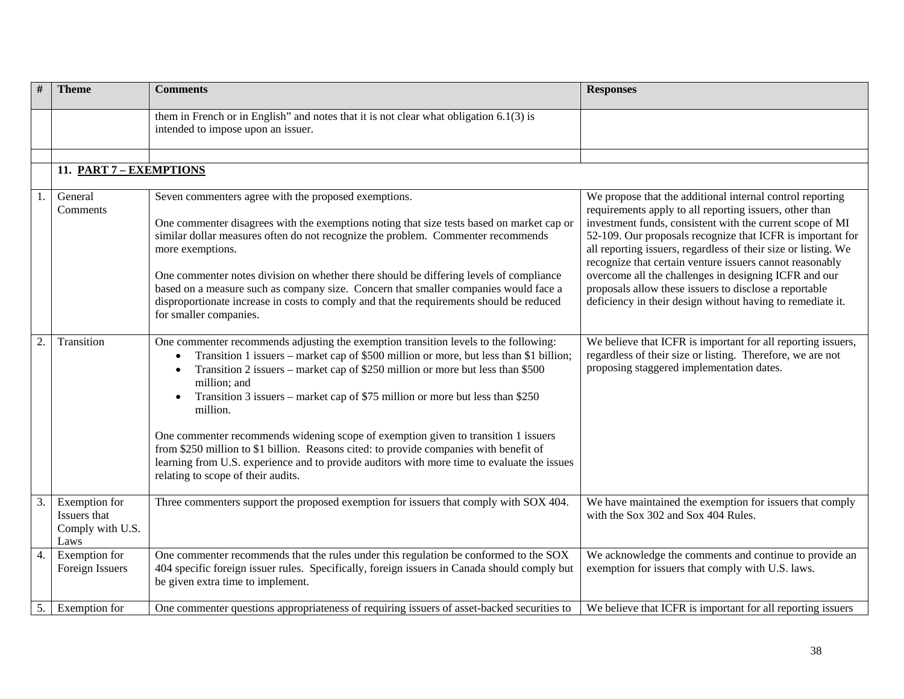| #  | <b>Theme</b>                                              | <b>Comments</b>                                                                                                                                                                                                                                                                                                                                                                                                                                                                                                                                                                                                                                                                                                              | <b>Responses</b>                                                                                                                                                                                                                                                                                                                                                                                                                                                                                                                                               |
|----|-----------------------------------------------------------|------------------------------------------------------------------------------------------------------------------------------------------------------------------------------------------------------------------------------------------------------------------------------------------------------------------------------------------------------------------------------------------------------------------------------------------------------------------------------------------------------------------------------------------------------------------------------------------------------------------------------------------------------------------------------------------------------------------------------|----------------------------------------------------------------------------------------------------------------------------------------------------------------------------------------------------------------------------------------------------------------------------------------------------------------------------------------------------------------------------------------------------------------------------------------------------------------------------------------------------------------------------------------------------------------|
|    |                                                           | them in French or in English" and notes that it is not clear what obligation $6.1(3)$ is<br>intended to impose upon an issuer.                                                                                                                                                                                                                                                                                                                                                                                                                                                                                                                                                                                               |                                                                                                                                                                                                                                                                                                                                                                                                                                                                                                                                                                |
|    | 11. PART 7 - EXEMPTIONS                                   |                                                                                                                                                                                                                                                                                                                                                                                                                                                                                                                                                                                                                                                                                                                              |                                                                                                                                                                                                                                                                                                                                                                                                                                                                                                                                                                |
|    |                                                           |                                                                                                                                                                                                                                                                                                                                                                                                                                                                                                                                                                                                                                                                                                                              |                                                                                                                                                                                                                                                                                                                                                                                                                                                                                                                                                                |
|    | General<br>Comments                                       | Seven commenters agree with the proposed exemptions.<br>One commenter disagrees with the exemptions noting that size tests based on market cap or<br>similar dollar measures often do not recognize the problem. Commenter recommends<br>more exemptions.<br>One commenter notes division on whether there should be differing levels of compliance<br>based on a measure such as company size. Concern that smaller companies would face a<br>disproportionate increase in costs to comply and that the requirements should be reduced<br>for smaller companies.                                                                                                                                                            | We propose that the additional internal control reporting<br>requirements apply to all reporting issuers, other than<br>investment funds, consistent with the current scope of MI<br>52-109. Our proposals recognize that ICFR is important for<br>all reporting issuers, regardless of their size or listing. We<br>recognize that certain venture issuers cannot reasonably<br>overcome all the challenges in designing ICFR and our<br>proposals allow these issuers to disclose a reportable<br>deficiency in their design without having to remediate it. |
| 2. | Transition                                                | One commenter recommends adjusting the exemption transition levels to the following:<br>Transition 1 issuers – market cap of \$500 million or more, but less than \$1 billion;<br>$\bullet$<br>Transition 2 issuers – market cap of \$250 million or more but less than \$500<br>million; and<br>Transition 3 issuers – market cap of \$75 million or more but less than \$250<br>$\bullet$<br>million.<br>One commenter recommends widening scope of exemption given to transition 1 issuers<br>from \$250 million to \$1 billion. Reasons cited: to provide companies with benefit of<br>learning from U.S. experience and to provide auditors with more time to evaluate the issues<br>relating to scope of their audits. | We believe that ICFR is important for all reporting issuers,<br>regardless of their size or listing. Therefore, we are not<br>proposing staggered implementation dates.                                                                                                                                                                                                                                                                                                                                                                                        |
| 3. | Exemption for<br>Issuers that<br>Comply with U.S.<br>Laws | Three commenters support the proposed exemption for issuers that comply with SOX 404.                                                                                                                                                                                                                                                                                                                                                                                                                                                                                                                                                                                                                                        | We have maintained the exemption for issuers that comply<br>with the Sox 302 and Sox 404 Rules.                                                                                                                                                                                                                                                                                                                                                                                                                                                                |
| 4. | Exemption for<br>Foreign Issuers                          | One commenter recommends that the rules under this regulation be conformed to the SOX<br>404 specific foreign issuer rules. Specifically, foreign issuers in Canada should comply but<br>be given extra time to implement.                                                                                                                                                                                                                                                                                                                                                                                                                                                                                                   | We acknowledge the comments and continue to provide an<br>exemption for issuers that comply with U.S. laws.                                                                                                                                                                                                                                                                                                                                                                                                                                                    |
| 5. | Exemption for                                             | One commenter questions appropriateness of requiring issuers of asset-backed securities to                                                                                                                                                                                                                                                                                                                                                                                                                                                                                                                                                                                                                                   | We believe that ICFR is important for all reporting issuers                                                                                                                                                                                                                                                                                                                                                                                                                                                                                                    |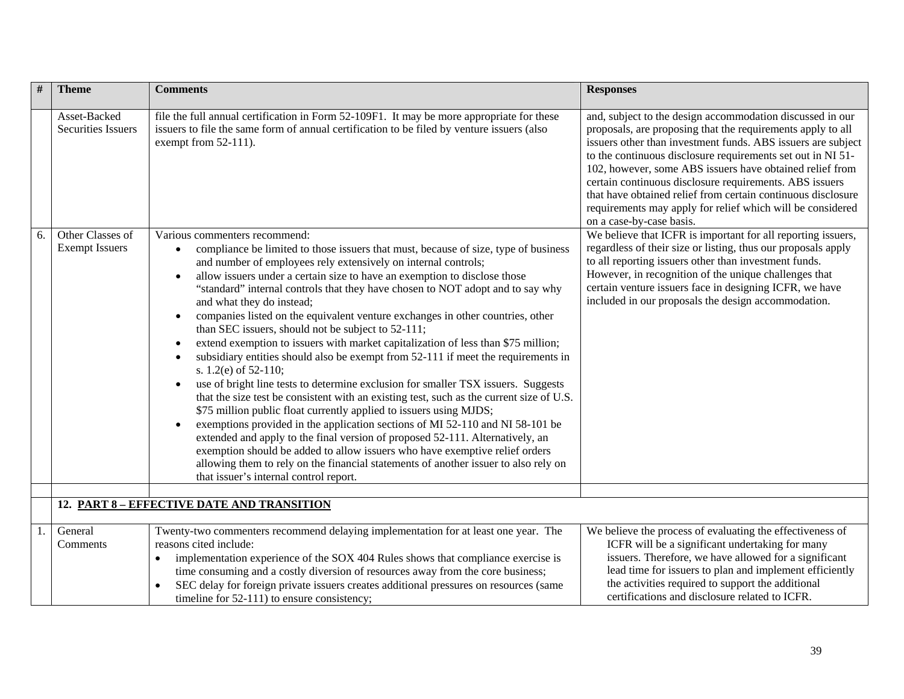| #  | <b>Theme</b>                              | <b>Comments</b>                                                                                                                                                                                                                                                                                                                                                                                                                                                                                                                                                                                                                                                                                                                                                                                                                                                                                                                                                                                                                                                                                                                                                                                                                                                                                                                                                                                                | <b>Responses</b>                                                                                                                                                                                                                                                                                                                                                                                                                                                                                                                         |
|----|-------------------------------------------|----------------------------------------------------------------------------------------------------------------------------------------------------------------------------------------------------------------------------------------------------------------------------------------------------------------------------------------------------------------------------------------------------------------------------------------------------------------------------------------------------------------------------------------------------------------------------------------------------------------------------------------------------------------------------------------------------------------------------------------------------------------------------------------------------------------------------------------------------------------------------------------------------------------------------------------------------------------------------------------------------------------------------------------------------------------------------------------------------------------------------------------------------------------------------------------------------------------------------------------------------------------------------------------------------------------------------------------------------------------------------------------------------------------|------------------------------------------------------------------------------------------------------------------------------------------------------------------------------------------------------------------------------------------------------------------------------------------------------------------------------------------------------------------------------------------------------------------------------------------------------------------------------------------------------------------------------------------|
|    | Asset-Backed<br><b>Securities Issuers</b> | file the full annual certification in Form 52-109F1. It may be more appropriate for these<br>issuers to file the same form of annual certification to be filed by venture issuers (also<br>exempt from $52-111$ ).                                                                                                                                                                                                                                                                                                                                                                                                                                                                                                                                                                                                                                                                                                                                                                                                                                                                                                                                                                                                                                                                                                                                                                                             | and, subject to the design accommodation discussed in our<br>proposals, are proposing that the requirements apply to all<br>issuers other than investment funds. ABS issuers are subject<br>to the continuous disclosure requirements set out in NI 51-<br>102, however, some ABS issuers have obtained relief from<br>certain continuous disclosure requirements. ABS issuers<br>that have obtained relief from certain continuous disclosure<br>requirements may apply for relief which will be considered<br>on a case-by-case basis. |
| 6. | Other Classes of<br><b>Exempt Issuers</b> | Various commenters recommend:<br>compliance be limited to those issuers that must, because of size, type of business<br>and number of employees rely extensively on internal controls;<br>allow issuers under a certain size to have an exemption to disclose those<br>$\bullet$<br>"standard" internal controls that they have chosen to NOT adopt and to say why<br>and what they do instead;<br>companies listed on the equivalent venture exchanges in other countries, other<br>$\bullet$<br>than SEC issuers, should not be subject to 52-111;<br>extend exemption to issuers with market capitalization of less than \$75 million;<br>subsidiary entities should also be exempt from 52-111 if meet the requirements in<br>s. $1.2(e)$ of 52-110;<br>use of bright line tests to determine exclusion for smaller TSX issuers. Suggests<br>that the size test be consistent with an existing test, such as the current size of U.S.<br>\$75 million public float currently applied to issuers using MJDS;<br>exemptions provided in the application sections of MI 52-110 and NI 58-101 be<br>$\bullet$<br>extended and apply to the final version of proposed 52-111. Alternatively, an<br>exemption should be added to allow issuers who have exemptive relief orders<br>allowing them to rely on the financial statements of another issuer to also rely on<br>that issuer's internal control report. | We believe that ICFR is important for all reporting issuers,<br>regardless of their size or listing, thus our proposals apply<br>to all reporting issuers other than investment funds.<br>However, in recognition of the unique challenges that<br>certain venture issuers face in designing ICFR, we have<br>included in our proposals the design accommodation.                                                                                                                                                                        |
|    |                                           | 12. PART 8 - EFFECTIVE DATE AND TRANSITION                                                                                                                                                                                                                                                                                                                                                                                                                                                                                                                                                                                                                                                                                                                                                                                                                                                                                                                                                                                                                                                                                                                                                                                                                                                                                                                                                                     |                                                                                                                                                                                                                                                                                                                                                                                                                                                                                                                                          |
|    |                                           |                                                                                                                                                                                                                                                                                                                                                                                                                                                                                                                                                                                                                                                                                                                                                                                                                                                                                                                                                                                                                                                                                                                                                                                                                                                                                                                                                                                                                |                                                                                                                                                                                                                                                                                                                                                                                                                                                                                                                                          |
| 1. | General<br>Comments                       | Twenty-two commenters recommend delaying implementation for at least one year. The<br>reasons cited include:<br>implementation experience of the SOX 404 Rules shows that compliance exercise is<br>time consuming and a costly diversion of resources away from the core business;<br>SEC delay for foreign private issuers creates additional pressures on resources (same<br>timeline for 52-111) to ensure consistency;                                                                                                                                                                                                                                                                                                                                                                                                                                                                                                                                                                                                                                                                                                                                                                                                                                                                                                                                                                                    | We believe the process of evaluating the effectiveness of<br>ICFR will be a significant undertaking for many<br>issuers. Therefore, we have allowed for a significant<br>lead time for issuers to plan and implement efficiently<br>the activities required to support the additional<br>certifications and disclosure related to ICFR.                                                                                                                                                                                                  |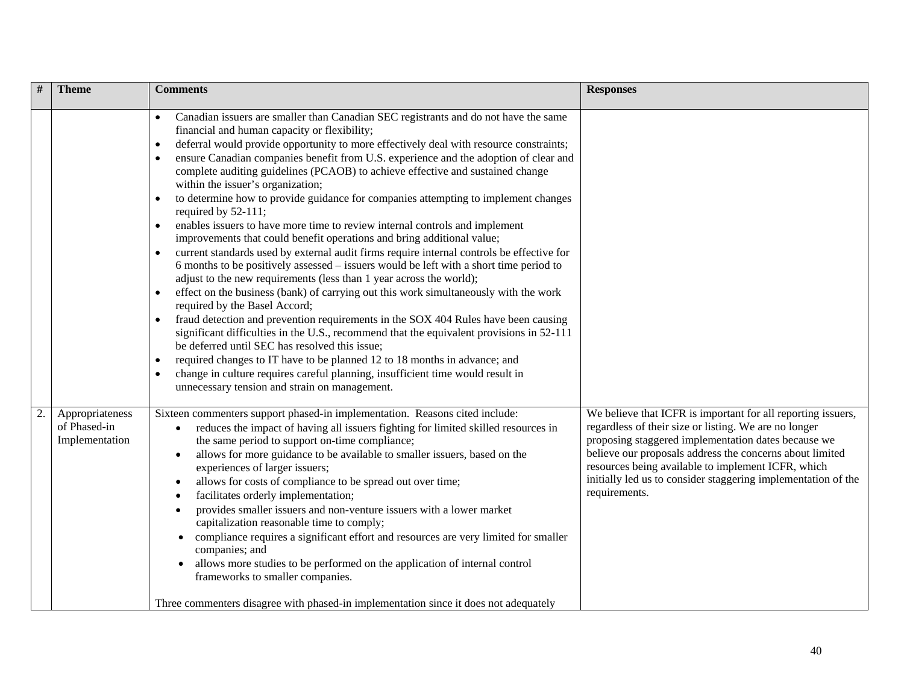| #  | <b>Theme</b>                                      | <b>Comments</b>                                                                                                                                                                                                                                                                                                                                                                                                                                                                                                                                                                                                                                                                                                                                                                                                                                                                                                                                                                                                                                                                                                                                                                                                                                                                                                                                                                                                                                                                                                                                                                                                                             | <b>Responses</b>                                                                                                                                                                                                                                                                                                                                                                 |
|----|---------------------------------------------------|---------------------------------------------------------------------------------------------------------------------------------------------------------------------------------------------------------------------------------------------------------------------------------------------------------------------------------------------------------------------------------------------------------------------------------------------------------------------------------------------------------------------------------------------------------------------------------------------------------------------------------------------------------------------------------------------------------------------------------------------------------------------------------------------------------------------------------------------------------------------------------------------------------------------------------------------------------------------------------------------------------------------------------------------------------------------------------------------------------------------------------------------------------------------------------------------------------------------------------------------------------------------------------------------------------------------------------------------------------------------------------------------------------------------------------------------------------------------------------------------------------------------------------------------------------------------------------------------------------------------------------------------|----------------------------------------------------------------------------------------------------------------------------------------------------------------------------------------------------------------------------------------------------------------------------------------------------------------------------------------------------------------------------------|
|    |                                                   | Canadian issuers are smaller than Canadian SEC registrants and do not have the same<br>$\bullet$<br>financial and human capacity or flexibility;<br>deferral would provide opportunity to more effectively deal with resource constraints;<br>$\bullet$<br>ensure Canadian companies benefit from U.S. experience and the adoption of clear and<br>complete auditing guidelines (PCAOB) to achieve effective and sustained change<br>within the issuer's organization;<br>to determine how to provide guidance for companies attempting to implement changes<br>required by 52-111;<br>enables issuers to have more time to review internal controls and implement<br>improvements that could benefit operations and bring additional value;<br>current standards used by external audit firms require internal controls be effective for<br>$\bullet$<br>6 months to be positively assessed – issuers would be left with a short time period to<br>adjust to the new requirements (less than 1 year across the world);<br>effect on the business (bank) of carrying out this work simultaneously with the work<br>$\bullet$<br>required by the Basel Accord;<br>fraud detection and prevention requirements in the SOX 404 Rules have been causing<br>significant difficulties in the U.S., recommend that the equivalent provisions in 52-111<br>be deferred until SEC has resolved this issue;<br>required changes to IT have to be planned 12 to 18 months in advance; and<br>$\bullet$<br>change in culture requires careful planning, insufficient time would result in<br>$\bullet$<br>unnecessary tension and strain on management. |                                                                                                                                                                                                                                                                                                                                                                                  |
| 2. | Appropriateness<br>of Phased-in<br>Implementation | Sixteen commenters support phased-in implementation. Reasons cited include:<br>reduces the impact of having all issuers fighting for limited skilled resources in<br>$\bullet$<br>the same period to support on-time compliance;<br>allows for more guidance to be available to smaller issuers, based on the<br>$\bullet$<br>experiences of larger issuers;<br>allows for costs of compliance to be spread out over time;<br>٠<br>facilitates orderly implementation;<br>provides smaller issuers and non-venture issuers with a lower market<br>capitalization reasonable time to comply;<br>compliance requires a significant effort and resources are very limited for smaller<br>$\bullet$<br>companies; and<br>allows more studies to be performed on the application of internal control<br>frameworks to smaller companies.<br>Three commenters disagree with phased-in implementation since it does not adequately                                                                                                                                                                                                                                                                                                                                                                                                                                                                                                                                                                                                                                                                                                                 | We believe that ICFR is important for all reporting issuers,<br>regardless of their size or listing. We are no longer<br>proposing staggered implementation dates because we<br>believe our proposals address the concerns about limited<br>resources being available to implement ICFR, which<br>initially led us to consider staggering implementation of the<br>requirements. |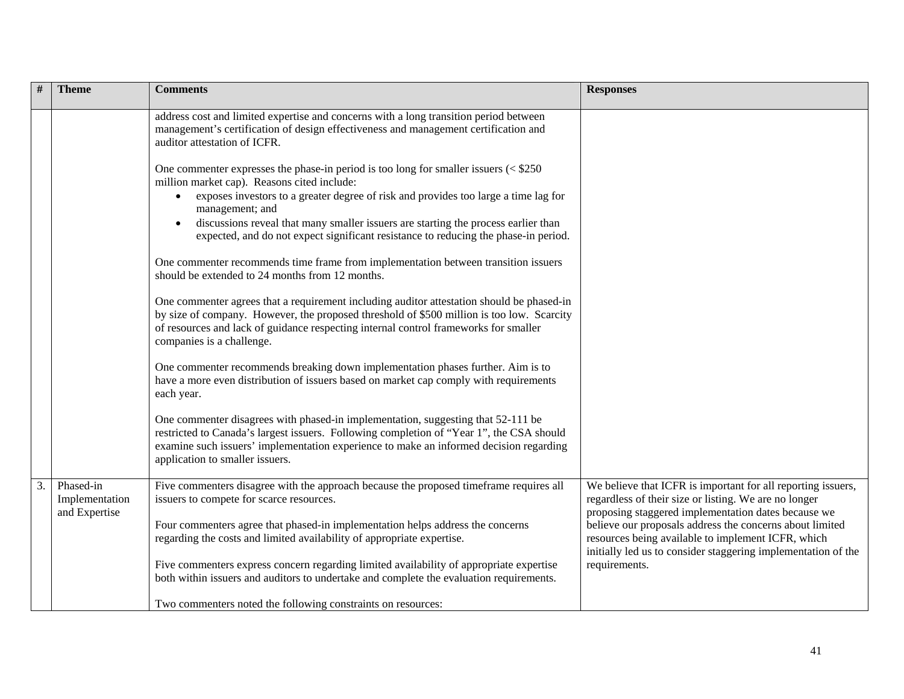|    | <b>Theme</b>                                 | <b>Comments</b>                                                                                                                                                                                                                                                                                                                                                                                                                                         | <b>Responses</b>                                                                                                                                                                                                                                                                               |
|----|----------------------------------------------|---------------------------------------------------------------------------------------------------------------------------------------------------------------------------------------------------------------------------------------------------------------------------------------------------------------------------------------------------------------------------------------------------------------------------------------------------------|------------------------------------------------------------------------------------------------------------------------------------------------------------------------------------------------------------------------------------------------------------------------------------------------|
|    |                                              | address cost and limited expertise and concerns with a long transition period between<br>management's certification of design effectiveness and management certification and<br>auditor attestation of ICFR.                                                                                                                                                                                                                                            |                                                                                                                                                                                                                                                                                                |
|    |                                              | One commenter expresses the phase-in period is too long for smaller issuers $\le$ \$250<br>million market cap). Reasons cited include:<br>exposes investors to a greater degree of risk and provides too large a time lag for<br>$\bullet$<br>management; and<br>discussions reveal that many smaller issuers are starting the process earlier than<br>$\bullet$<br>expected, and do not expect significant resistance to reducing the phase-in period. |                                                                                                                                                                                                                                                                                                |
|    |                                              | One commenter recommends time frame from implementation between transition issuers<br>should be extended to 24 months from 12 months.                                                                                                                                                                                                                                                                                                                   |                                                                                                                                                                                                                                                                                                |
|    |                                              | One commenter agrees that a requirement including auditor attestation should be phased-in<br>by size of company. However, the proposed threshold of \$500 million is too low. Scarcity<br>of resources and lack of guidance respecting internal control frameworks for smaller<br>companies is a challenge.                                                                                                                                             |                                                                                                                                                                                                                                                                                                |
|    |                                              | One commenter recommends breaking down implementation phases further. Aim is to<br>have a more even distribution of issuers based on market cap comply with requirements<br>each year.                                                                                                                                                                                                                                                                  |                                                                                                                                                                                                                                                                                                |
|    |                                              | One commenter disagrees with phased-in implementation, suggesting that 52-111 be<br>restricted to Canada's largest issuers. Following completion of "Year 1", the CSA should<br>examine such issuers' implementation experience to make an informed decision regarding<br>application to smaller issuers.                                                                                                                                               |                                                                                                                                                                                                                                                                                                |
| 3. | Phased-in<br>Implementation<br>and Expertise | Five commenters disagree with the approach because the proposed timeframe requires all<br>issuers to compete for scarce resources.<br>Four commenters agree that phased-in implementation helps address the concerns<br>regarding the costs and limited availability of appropriate expertise.                                                                                                                                                          | We believe that ICFR is important for all reporting issuers,<br>regardless of their size or listing. We are no longer<br>proposing staggered implementation dates because we<br>believe our proposals address the concerns about limited<br>resources being available to implement ICFR, which |
|    |                                              | Five commenters express concern regarding limited availability of appropriate expertise<br>both within issuers and auditors to undertake and complete the evaluation requirements.                                                                                                                                                                                                                                                                      | initially led us to consider staggering implementation of the<br>requirements.                                                                                                                                                                                                                 |
|    |                                              | Two commenters noted the following constraints on resources:                                                                                                                                                                                                                                                                                                                                                                                            |                                                                                                                                                                                                                                                                                                |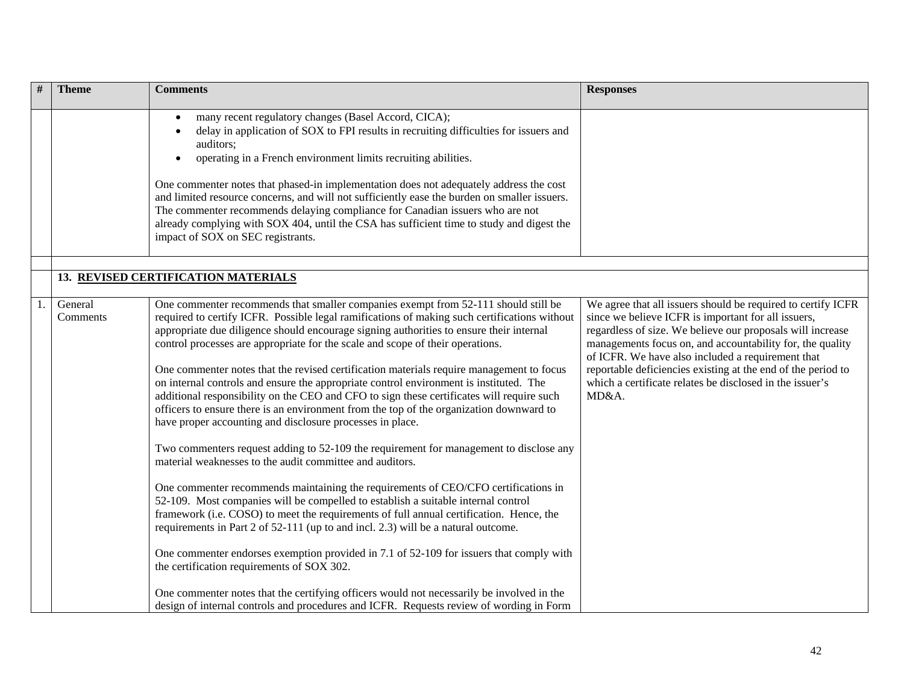| # | <b>Theme</b>        | <b>Comments</b>                                                                                                                                                                                                                                                                                                                                                                                                                                                                                                                                                                                                                                                                                                                                                                                                                                                                                                                                                                                                                                                                                                                                                                                                                                                                                                                                                                                                                                                                                                                                                                                                                                              | <b>Responses</b>                                                                                                                                                                                                                                                                                                                                                                                                                         |
|---|---------------------|--------------------------------------------------------------------------------------------------------------------------------------------------------------------------------------------------------------------------------------------------------------------------------------------------------------------------------------------------------------------------------------------------------------------------------------------------------------------------------------------------------------------------------------------------------------------------------------------------------------------------------------------------------------------------------------------------------------------------------------------------------------------------------------------------------------------------------------------------------------------------------------------------------------------------------------------------------------------------------------------------------------------------------------------------------------------------------------------------------------------------------------------------------------------------------------------------------------------------------------------------------------------------------------------------------------------------------------------------------------------------------------------------------------------------------------------------------------------------------------------------------------------------------------------------------------------------------------------------------------------------------------------------------------|------------------------------------------------------------------------------------------------------------------------------------------------------------------------------------------------------------------------------------------------------------------------------------------------------------------------------------------------------------------------------------------------------------------------------------------|
|   |                     | many recent regulatory changes (Basel Accord, CICA);<br>delay in application of SOX to FPI results in recruiting difficulties for issuers and<br>auditors;<br>operating in a French environment limits recruiting abilities.<br>One commenter notes that phased-in implementation does not adequately address the cost<br>and limited resource concerns, and will not sufficiently ease the burden on smaller issuers.<br>The commenter recommends delaying compliance for Canadian issuers who are not<br>already complying with SOX 404, until the CSA has sufficient time to study and digest the<br>impact of SOX on SEC registrants.                                                                                                                                                                                                                                                                                                                                                                                                                                                                                                                                                                                                                                                                                                                                                                                                                                                                                                                                                                                                                    |                                                                                                                                                                                                                                                                                                                                                                                                                                          |
|   |                     |                                                                                                                                                                                                                                                                                                                                                                                                                                                                                                                                                                                                                                                                                                                                                                                                                                                                                                                                                                                                                                                                                                                                                                                                                                                                                                                                                                                                                                                                                                                                                                                                                                                              |                                                                                                                                                                                                                                                                                                                                                                                                                                          |
|   |                     | 13. REVISED CERTIFICATION MATERIALS                                                                                                                                                                                                                                                                                                                                                                                                                                                                                                                                                                                                                                                                                                                                                                                                                                                                                                                                                                                                                                                                                                                                                                                                                                                                                                                                                                                                                                                                                                                                                                                                                          |                                                                                                                                                                                                                                                                                                                                                                                                                                          |
|   | General<br>Comments | One commenter recommends that smaller companies exempt from 52-111 should still be<br>required to certify ICFR. Possible legal ramifications of making such certifications without<br>appropriate due diligence should encourage signing authorities to ensure their internal<br>control processes are appropriate for the scale and scope of their operations.<br>One commenter notes that the revised certification materials require management to focus<br>on internal controls and ensure the appropriate control environment is instituted. The<br>additional responsibility on the CEO and CFO to sign these certificates will require such<br>officers to ensure there is an environment from the top of the organization downward to<br>have proper accounting and disclosure processes in place.<br>Two commenters request adding to 52-109 the requirement for management to disclose any<br>material weaknesses to the audit committee and auditors.<br>One commenter recommends maintaining the requirements of CEO/CFO certifications in<br>52-109. Most companies will be compelled to establish a suitable internal control<br>framework (i.e. COSO) to meet the requirements of full annual certification. Hence, the<br>requirements in Part 2 of 52-111 (up to and incl. 2.3) will be a natural outcome.<br>One commenter endorses exemption provided in 7.1 of 52-109 for issuers that comply with<br>the certification requirements of SOX 302.<br>One commenter notes that the certifying officers would not necessarily be involved in the<br>design of internal controls and procedures and ICFR. Requests review of wording in Form | We agree that all issuers should be required to certify ICFR<br>since we believe ICFR is important for all issuers,<br>regardless of size. We believe our proposals will increase<br>managements focus on, and accountability for, the quality<br>of ICFR. We have also included a requirement that<br>reportable deficiencies existing at the end of the period to<br>which a certificate relates be disclosed in the issuer's<br>MD&A. |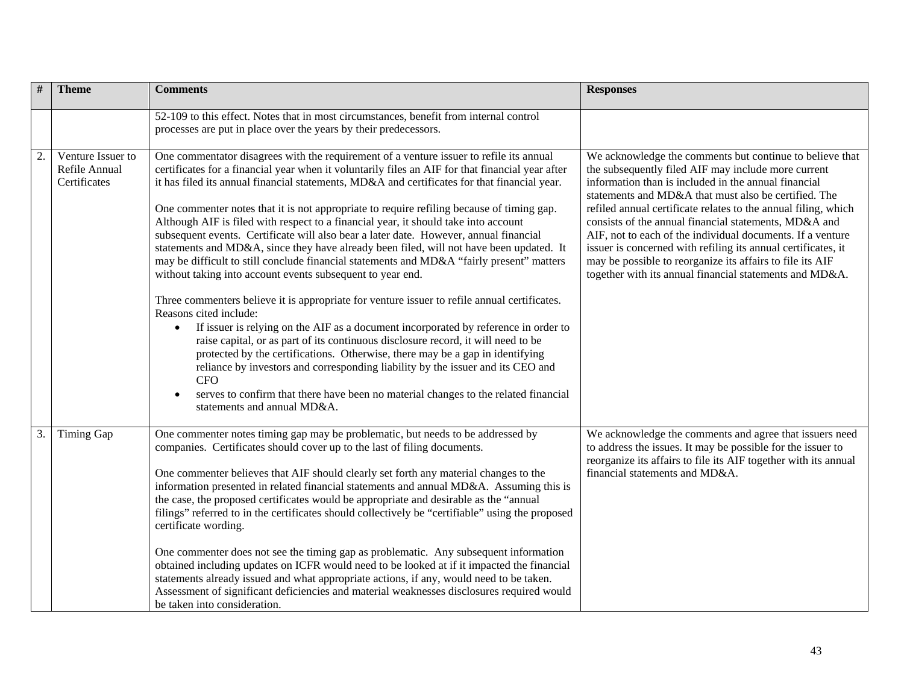| $\#$ | <b>Theme</b>                                       | <b>Comments</b>                                                                                                                                                                                                                                                                                                                                                                                                                                                                                                                                                                                                                                                                                                                                                                                                                                                                                                                                                                                                                                                                                                                                                                                                                                                                                                                                                                                                                              | <b>Responses</b>                                                                                                                                                                                                                                                                                                                                                                                                                                                                                                                                                                                                  |
|------|----------------------------------------------------|----------------------------------------------------------------------------------------------------------------------------------------------------------------------------------------------------------------------------------------------------------------------------------------------------------------------------------------------------------------------------------------------------------------------------------------------------------------------------------------------------------------------------------------------------------------------------------------------------------------------------------------------------------------------------------------------------------------------------------------------------------------------------------------------------------------------------------------------------------------------------------------------------------------------------------------------------------------------------------------------------------------------------------------------------------------------------------------------------------------------------------------------------------------------------------------------------------------------------------------------------------------------------------------------------------------------------------------------------------------------------------------------------------------------------------------------|-------------------------------------------------------------------------------------------------------------------------------------------------------------------------------------------------------------------------------------------------------------------------------------------------------------------------------------------------------------------------------------------------------------------------------------------------------------------------------------------------------------------------------------------------------------------------------------------------------------------|
|      |                                                    | 52-109 to this effect. Notes that in most circumstances, benefit from internal control<br>processes are put in place over the years by their predecessors.                                                                                                                                                                                                                                                                                                                                                                                                                                                                                                                                                                                                                                                                                                                                                                                                                                                                                                                                                                                                                                                                                                                                                                                                                                                                                   |                                                                                                                                                                                                                                                                                                                                                                                                                                                                                                                                                                                                                   |
| 2.   | Venture Issuer to<br>Refile Annual<br>Certificates | One commentator disagrees with the requirement of a venture issuer to refile its annual<br>certificates for a financial year when it voluntarily files an AIF for that financial year after<br>it has filed its annual financial statements, MD&A and certificates for that financial year.<br>One commenter notes that it is not appropriate to require refiling because of timing gap.<br>Although AIF is filed with respect to a financial year, it should take into account<br>subsequent events. Certificate will also bear a later date. However, annual financial<br>statements and MD&A, since they have already been filed, will not have been updated. It<br>may be difficult to still conclude financial statements and MD&A "fairly present" matters<br>without taking into account events subsequent to year end.<br>Three commenters believe it is appropriate for venture issuer to refile annual certificates.<br>Reasons cited include:<br>If issuer is relying on the AIF as a document incorporated by reference in order to<br>raise capital, or as part of its continuous disclosure record, it will need to be<br>protected by the certifications. Otherwise, there may be a gap in identifying<br>reliance by investors and corresponding liability by the issuer and its CEO and<br><b>CFO</b><br>serves to confirm that there have been no material changes to the related financial<br>statements and annual MD&A. | We acknowledge the comments but continue to believe that<br>the subsequently filed AIF may include more current<br>information than is included in the annual financial<br>statements and MD&A that must also be certified. The<br>refiled annual certificate relates to the annual filing, which<br>consists of the annual financial statements, MD&A and<br>AIF, not to each of the individual documents. If a venture<br>issuer is concerned with refiling its annual certificates, it<br>may be possible to reorganize its affairs to file its AIF<br>together with its annual financial statements and MD&A. |
| 3.   | Timing Gap                                         | One commenter notes timing gap may be problematic, but needs to be addressed by<br>companies. Certificates should cover up to the last of filing documents.<br>One commenter believes that AIF should clearly set forth any material changes to the<br>information presented in related financial statements and annual MD&A. Assuming this is<br>the case, the proposed certificates would be appropriate and desirable as the "annual<br>filings" referred to in the certificates should collectively be "certifiable" using the proposed<br>certificate wording.<br>One commenter does not see the timing gap as problematic. Any subsequent information<br>obtained including updates on ICFR would need to be looked at if it impacted the financial<br>statements already issued and what appropriate actions, if any, would need to be taken.<br>Assessment of significant deficiencies and material weaknesses disclosures required would<br>be taken into consideration.                                                                                                                                                                                                                                                                                                                                                                                                                                                            | We acknowledge the comments and agree that issuers need<br>to address the issues. It may be possible for the issuer to<br>reorganize its affairs to file its AIF together with its annual<br>financial statements and MD&A.                                                                                                                                                                                                                                                                                                                                                                                       |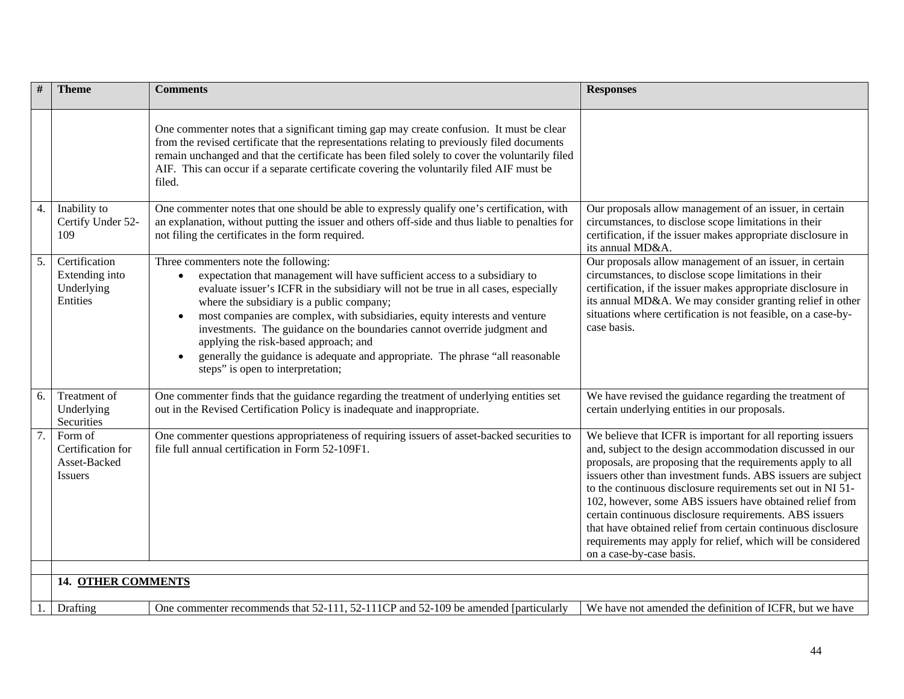| #                         | <b>Theme</b>                                                   | <b>Comments</b>                                                                                                                                                                                                                                                                                                                                                                                                                                                                                                                                                                               | <b>Responses</b>                                                                                                                                                                                                                                                                                                                                                                                                                                                                                                                                                                                         |
|---------------------------|----------------------------------------------------------------|-----------------------------------------------------------------------------------------------------------------------------------------------------------------------------------------------------------------------------------------------------------------------------------------------------------------------------------------------------------------------------------------------------------------------------------------------------------------------------------------------------------------------------------------------------------------------------------------------|----------------------------------------------------------------------------------------------------------------------------------------------------------------------------------------------------------------------------------------------------------------------------------------------------------------------------------------------------------------------------------------------------------------------------------------------------------------------------------------------------------------------------------------------------------------------------------------------------------|
|                           |                                                                | One commenter notes that a significant timing gap may create confusion. It must be clear<br>from the revised certificate that the representations relating to previously filed documents<br>remain unchanged and that the certificate has been filed solely to cover the voluntarily filed<br>AIF. This can occur if a separate certificate covering the voluntarily filed AIF must be<br>filed.                                                                                                                                                                                              |                                                                                                                                                                                                                                                                                                                                                                                                                                                                                                                                                                                                          |
| 4.                        | Inability to<br>Certify Under 52-<br>109                       | One commenter notes that one should be able to expressly qualify one's certification, with<br>an explanation, without putting the issuer and others off-side and thus liable to penalties for<br>not filing the certificates in the form required.                                                                                                                                                                                                                                                                                                                                            | Our proposals allow management of an issuer, in certain<br>circumstances, to disclose scope limitations in their<br>certification, if the issuer makes appropriate disclosure in<br>its annual MD&A.                                                                                                                                                                                                                                                                                                                                                                                                     |
| 5.                        | Certification<br>Extending into<br>Underlying<br>Entities      | Three commenters note the following:<br>expectation that management will have sufficient access to a subsidiary to<br>$\bullet$<br>evaluate issuer's ICFR in the subsidiary will not be true in all cases, especially<br>where the subsidiary is a public company;<br>most companies are complex, with subsidiaries, equity interests and venture<br>investments. The guidance on the boundaries cannot override judgment and<br>applying the risk-based approach; and<br>generally the guidance is adequate and appropriate. The phrase "all reasonable<br>steps" is open to interpretation; | Our proposals allow management of an issuer, in certain<br>circumstances, to disclose scope limitations in their<br>certification, if the issuer makes appropriate disclosure in<br>its annual MD&A. We may consider granting relief in other<br>situations where certification is not feasible, on a case-by-<br>case basis.                                                                                                                                                                                                                                                                            |
| 6.                        | Treatment of<br>Underlying<br>Securities                       | One commenter finds that the guidance regarding the treatment of underlying entities set<br>out in the Revised Certification Policy is inadequate and inappropriate.                                                                                                                                                                                                                                                                                                                                                                                                                          | We have revised the guidance regarding the treatment of<br>certain underlying entities in our proposals.                                                                                                                                                                                                                                                                                                                                                                                                                                                                                                 |
| $\overline{7}$ .          | Form of<br>Certification for<br>Asset-Backed<br><b>Issuers</b> | One commenter questions appropriateness of requiring issuers of asset-backed securities to<br>file full annual certification in Form 52-109F1.                                                                                                                                                                                                                                                                                                                                                                                                                                                | We believe that ICFR is important for all reporting issuers<br>and, subject to the design accommodation discussed in our<br>proposals, are proposing that the requirements apply to all<br>issuers other than investment funds. ABS issuers are subject<br>to the continuous disclosure requirements set out in NI 51-<br>102, however, some ABS issuers have obtained relief from<br>certain continuous disclosure requirements. ABS issuers<br>that have obtained relief from certain continuous disclosure<br>requirements may apply for relief, which will be considered<br>on a case-by-case basis. |
|                           |                                                                |                                                                                                                                                                                                                                                                                                                                                                                                                                                                                                                                                                                               |                                                                                                                                                                                                                                                                                                                                                                                                                                                                                                                                                                                                          |
| <b>14. OTHER COMMENTS</b> |                                                                |                                                                                                                                                                                                                                                                                                                                                                                                                                                                                                                                                                                               |                                                                                                                                                                                                                                                                                                                                                                                                                                                                                                                                                                                                          |
| 1.                        | Drafting                                                       | One commenter recommends that 52-111, 52-111CP and 52-109 be amended [particularly                                                                                                                                                                                                                                                                                                                                                                                                                                                                                                            | We have not amended the definition of ICFR, but we have                                                                                                                                                                                                                                                                                                                                                                                                                                                                                                                                                  |